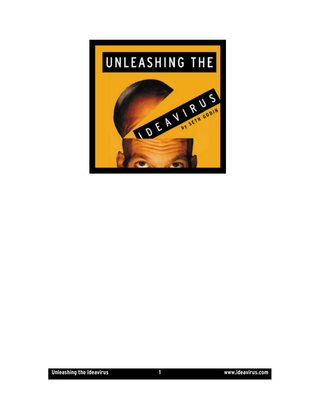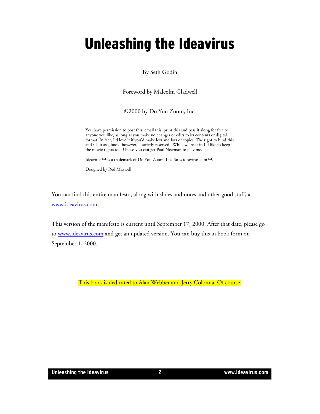# Unleashing the Ideavirus

By Seth Godin

Foreword by Malcolm Gladwell

©2000 by Do You Zoom, Inc.

You have permission to post this, email this, print this and pass it along for free to anyone you like, as long as you make no changes or edits to its contents or digital format. In fact, I'd love it if you'd make lots and lots of copies. The right to bind this and sell it as a book, however, is strictly reserved. While we're at it, I'd like to keep the movie rights too. Unless you can get Paul Newman to play me.

Ideavirus™ is a trademark of Do You Zoom, Inc. So is ideavirus.com™.

Designed by Red Maxwell

You can find this entire manifesto, along with slides and notes and other good stuff, at www.ideavirus.com .

[This version of the manifesto is current until September 17, 2000. After that da](http://www.ideavirus.com)te, please go to www.ideavirus.com and get an updated version. You can buy this in book form on September 1, 2000.

This book is dedicated to Alan Webber and Jerry Colonna. Of course.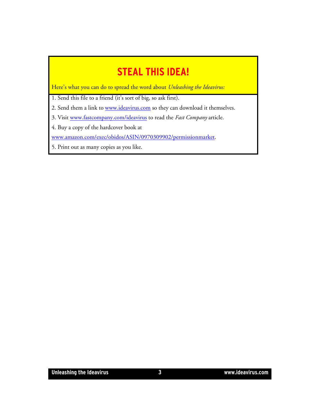# **STEAL THIS IDEA!**

Here's what you can do to spread the word about *Unleashing the Ideavirus:*

1. Send this file to a friend (it's sort of big, so ask first).

- 2. Send them a link t[o www.ideavirus.com s](http://www.ideavirus.com)o they can download it themselves.
- 3. Visi[t www.fastcompany.com/ideavirus to](http://www.fastcompany.com/ideavirus) read the *Fast Company* article.

4. Buy a copy of the hardcover book at

[www.amazon.com/exec/obidos/ASIN/0970309902/permissionmarket .](http://www.amazon.com/exec/obidos/ASIN/0970309902/permissionmarket)

5. Print out as many copies as you like.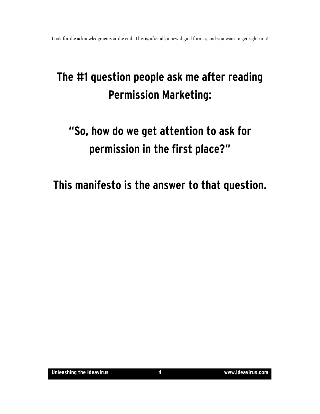Look for the acknowledgments at the end. This is, after all, a new digital format, and you want to get right to it!

# **The #1 question people ask me after reading Permission Marketing:**

# **"So, how do we get attention to ask for permission in the first place?"**

**This manifesto is the answer to that question.**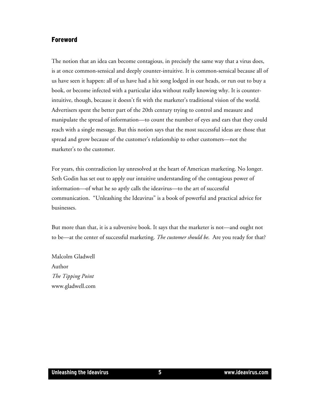#### Foreword

The notion that an idea can become contagious, in precisely the same way that a virus does, is at once common-sensical and deeply counter-intuitive. It is common-sensical because all of us have seen it happen: all of us have had a hit song lodged in our heads, or run out to buy a book, or become infected with a particular idea without really knowing why. It is counterintuitive, though, because it doesn't fit with the marketer's traditional vision of the world. Advertisers spent the better part of the 20th century trying to control and measure and manipulate the spread of information—to count the number of eyes and ears that they could reach with a single message. But this notion says that the most successful ideas are those that spread and grow because of the customer's relationship to other customers—not the marketer's to the customer.

For years, this contradiction lay unresolved at the heart of American marketing. No longer. Seth Godin has set out to apply our intuitive understanding of the contagious power of information—of what he so aptly calls the ideavirus—to the art of successful communication. "Unleashing the Ideavirus" is a book of powerful and practical advice for businesses.

But more than that, it is a subversive book. It says that the marketer is not—and ought not to be—at the center of successful marketing. *The customer should be*. Are you ready for that?

Malcolm Gladwell Author *The Tipping Point* www.gladwell.com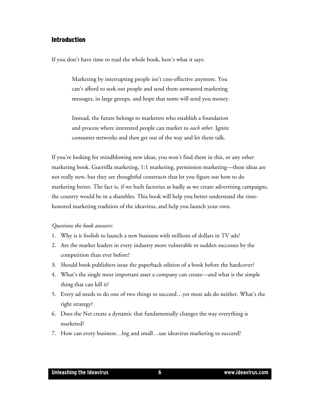#### Introduction

If you don't have time to read the whole book, here's what it says:

Marketing by interrupting people isn't cost-effective anymore. You can't afford to seek out people and send them unwanted marketing messages, in large groups, and hope that some will send you money.

Instead, the future belongs to marketers who establish a foundation and process where interested people can market to *each other*. Ignite consumer networks and then get out of the way and let them talk.

If you're looking for mindblowing new ideas, you won't find them in this, or any other marketing book. Guerrilla marketing, 1:1 marketing, permission marketing—these ideas are not really new, but they are thoughtful constructs that let you figure out how to do marketing better. The fact is, if we built factories as badly as we create advertising campaigns, the country would be in a shambles. This book will help you better understand the timehonored marketing tradition of the ideavirus, and help you launch your own.

#### *Questions the book answers:*

- 1. Why is it foolish to launch a new business with millions of dollars in TV ads?
- 2. Are the market leaders in every industry more vulnerable to sudden successes by the competition than ever before?
- 3. Should book publishers issue the paperback edition of a book before the hardcover?
- 4. What's the single most important asset a company can create—and what is the simple thing that can kill it?
- 5. Every ad needs to do one of two things to succeed…yet most ads do neither. What's the right strategy?
- 6. Does the Net create a dynamic that fundamentally changes the way everything is marketed?
- 7. How can every business…big and small…use ideavirus marketing to succeed?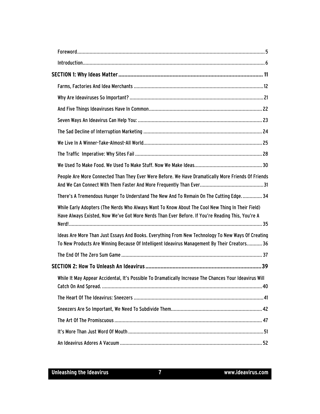|  | People Are More Connected Than They Ever Were Before. We Have Dramatically More Friends Of Friends                                                                                                   |  |  |
|--|------------------------------------------------------------------------------------------------------------------------------------------------------------------------------------------------------|--|--|
|  | There's A Tremendous Hunger To Understand The New And To Remain On The Cutting Edge 34                                                                                                               |  |  |
|  | While Early Adopters (The Nerds Who Always Want To Know About The Cool New Thing In Their Field)<br>Have Always Existed, Now We've Got More Nerds Than Ever Before. If You're Reading This, You're A |  |  |
|  | Ideas Are More Than Just Essays And Books. Everything From New Technology To New Ways Of Creating<br>To New Products Are Winning Because Of Intelligent Ideavirus Management By Their Creators 36    |  |  |
|  |                                                                                                                                                                                                      |  |  |
|  |                                                                                                                                                                                                      |  |  |
|  | While It May Appear Accidental, It's Possible To Dramatically Increase The Chances Your Ideavirus Will                                                                                               |  |  |
|  |                                                                                                                                                                                                      |  |  |
|  |                                                                                                                                                                                                      |  |  |
|  |                                                                                                                                                                                                      |  |  |
|  |                                                                                                                                                                                                      |  |  |
|  |                                                                                                                                                                                                      |  |  |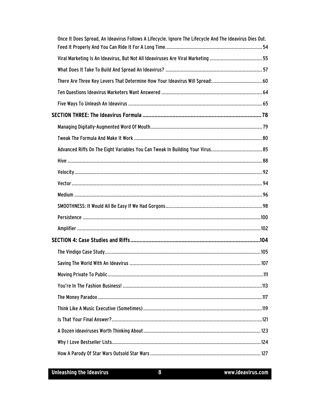| Once It Does Spread, An Ideavirus Follows A Lifecycle. Ignore The Lifecycle And The Ideavirus Dies Out. |  |
|---------------------------------------------------------------------------------------------------------|--|
|                                                                                                         |  |
| Viral Marketing Is An Ideavirus, But Not All Ideaviruses Are Viral Marketing 55                         |  |
|                                                                                                         |  |
| There Are Three Key Levers That Determine How Your Ideavirus Will Spread: 60                            |  |
|                                                                                                         |  |
|                                                                                                         |  |
|                                                                                                         |  |
|                                                                                                         |  |
|                                                                                                         |  |
| Advanced Riffs On The Eight Variables You Can Tweak In Building Your Virus 85                           |  |
|                                                                                                         |  |
|                                                                                                         |  |
|                                                                                                         |  |
|                                                                                                         |  |
|                                                                                                         |  |
|                                                                                                         |  |
|                                                                                                         |  |
|                                                                                                         |  |
|                                                                                                         |  |
|                                                                                                         |  |
|                                                                                                         |  |
|                                                                                                         |  |
|                                                                                                         |  |
|                                                                                                         |  |
|                                                                                                         |  |
|                                                                                                         |  |
|                                                                                                         |  |
|                                                                                                         |  |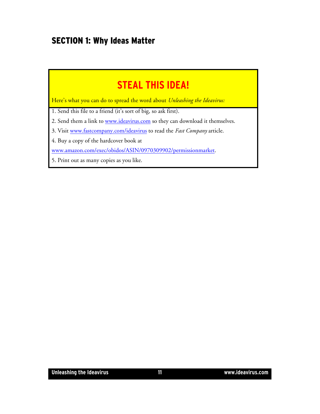## SECTION 1: Why Ideas Matter

# **STEAL THIS IDEA!**

Here's what you can do to spread the word about *Unleashing the Ideavirus:*

1. Send this file to a friend (it's sort of big, so ask first).

2. Send them a link t[o www.ideavirus.com so](http://www.ideavirus.com) they can download it themselves.

3. Visi[t www.fastcompany.com/ideavirus t](http://www.fastcompany.com/ideavirus)o read the *Fast Company* article.

4. Buy a copy of the hardcover book at

[www.amazon.com/exec/obidos/ASIN/0970309902/permissionmarket .](http://www.amazon.com/exec/obidos/ASIN/0970309902/permissionmarket)

5. Print out as many copies as you like.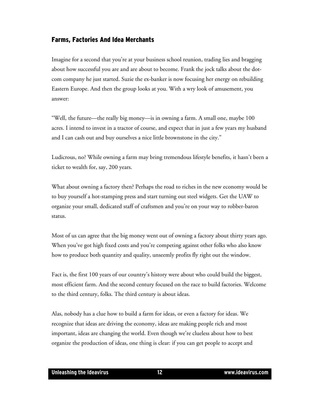#### Farms, Factories And Idea Merchants

Imagine for a second that you're at your business school reunion, trading lies and bragging about how successful you are and are about to become. Frank the jock talks about the dotcom company he just started. Suzie the ex-banker is now focusing her energy on rebuilding Eastern Europe. And then the group looks at you. With a wry look of amusement, you answer:

"Well, the future—the really big money—is in owning a farm. A small one, maybe 100 acres. I intend to invest in a tractor of course, and expect that in just a few years my husband and I can cash out and buy ourselves a nice little brownstone in the city."

Ludicrous, no? While owning a farm may bring tremendous lifestyle benefits, it hasn't been a ticket to wealth for, say, 200 years.

What about owning a factory then? Perhaps the road to riches in the new economy would be to buy yourself a hot-stamping press and start turning out steel widgets. Get the UAW to organize your small, dedicated staff of craftsmen and you're on your way to robber-baron status.

Most of us can agree that the big money went out of owning a factory about thirty years ago. When you've got high fixed costs and you're competing against other folks who also know how to produce both quantity and quality, unseemly profits fly right out the window.

Fact is, the first 100 years of our country's history were about who could build the biggest, most efficient farm. And the second century focused on the race to build factories. Welcome to the third century, folks. The third century is about ideas.

Alas, nobody has a clue how to build a farm for ideas, or even a factory for ideas. We recognize that ideas are driving the economy, ideas are making people rich and most important, ideas are changing the world. Even though we're clueless about how to best organize the production of ideas, one thing is clear: if you can get people to accept and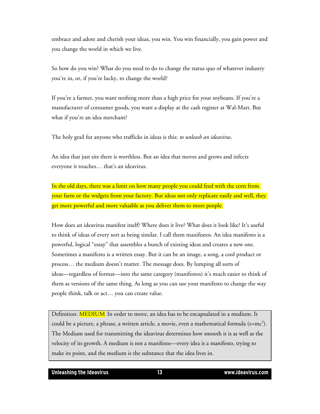embrace and adore and cherish your ideas, you win. You win financially, you gain power and you change the world in which we live.

So how do you win? What do you need to do to change the status quo of whatever industry you're in, or, if you're lucky, to change the world?

If you're a farmer, you want nothing more than a high price for your soybeans. If you're a manufacturer of consumer goods, you want a display at the cash register at Wal-Mart. But what if you're an idea merchant?

The holy grail for anyone who trafficks in ideas is this: *to unleash an ideavirus.*

An idea that just sits there is worthless. But an idea that moves and grows and infects everyone it touches… that's an ideavirus.

In the old days, there was a limit on how many people you could feed with the corn from your farm or the widgets from your factory. But ideas not only replicate easily and well, they get more powerful and more valuable as you deliver them to more people.

How does an ideavirus manifest itself? Where does it live? What does it look like? It's useful to think of ideas of every sort as being similar. I call them manifestos. An idea manifesto is a powerful, logical "essay" that assembles a bunch of existing ideas and creates a new one. Sometimes a manifesto is a written essay. But it can be an image, a song, a cool product or process… the medium doesn't matter. The message does. By lumping all sorts of ideas—regardless of format—into the same category (manifestos) it's much easier to think of them as versions of the same thing. As long as you can use your manifesto to change the way people think, talk or act… you can create value.

Definition: MEDIUM In order to move, an idea has to be encapsulated in a medium. It could be a picture, a phrase, a written article, a movie, even a mathematical formula (e=mc<sup>2</sup>). The Medium used for transmitting the ideavirus determines how smooth it is as well as the velocity of its growth. A medium is not a manifesto—every idea is a manifesto, trying to make its point, and the medium is the substance that the idea lives in.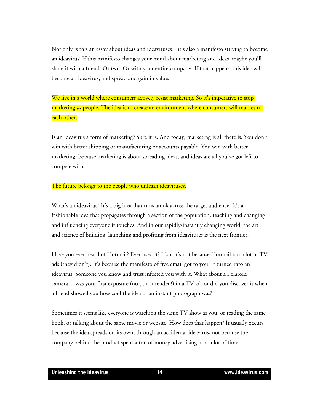Not only is this an essay about ideas and ideaviruses…it's also a manifesto striving to become an ideavirus! If this manifesto changes your mind about marketing and ideas, maybe you'll share it with a friend. Or two. Or with your entire company. If that happens, this idea will become an ideavirus, and spread and gain in value.

We live in a world where consumers actively resist marketing. So it's imperative to stop marketing *at* people. The idea is to create an environment where consumers will market to each other.

Is an ideavirus a form of marketing? Sure it is. And today, marketing is all there is. You don't win with better shipping or manufacturing or accounts payable. You win with better marketing, because marketing is about spreading ideas, and ideas are all you've got left to compete with.

#### The future belongs to the people who unleash ideaviruses.

What's an ideavirus? It's a big idea that runs amok across the target audience. It's a fashionable idea that propagates through a section of the population, teaching and changing and influencing everyone it touches. And in our rapidly/instantly changing world, the art and science of building, launching and profiting from ideaviruses is the next frontier.

Have you ever heard of Hotmail? Ever used it? If so, it's not because Hotmail ran a lot of TV ads (they didn't). It's because the manifesto of free email got to you. It turned into an ideavirus. Someone you know and trust infected you with it. What about a Polaroid camera… was your first exposure (no pun intended!) in a TV ad, or did you discover it when a friend showed you how cool the idea of an instant photograph was?

Sometimes it seems like everyone is watching the same TV show as you, or reading the same book, or talking about the same movie or website. How does that happen? It usually occurs because the idea spreads on its own, through an accidental ideavirus, not because the company behind the product spent a ton of money advertising it or a lot of time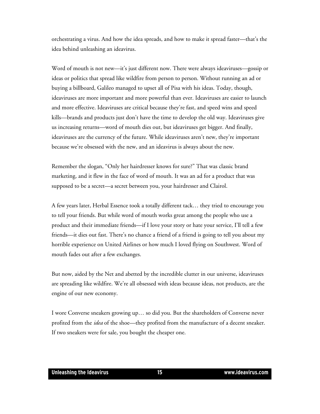orchestrating a virus. And how the idea spreads, and how to make it spread faster—that's the idea behind unleashing an ideavirus.

Word of mouth is not new—it's just different now. There were always ideaviruses—gossip or ideas or politics that spread like wildfire from person to person. Without running an ad or buying a billboard, Galileo managed to upset all of Pisa with his ideas. Today, though, ideaviruses are more important and more powerful than ever. Ideaviruses are easier to launch and more effective. Ideaviruses are critical because they're fast, and speed wins and speed kills—brands and products just don't have the time to develop the old way. Ideaviruses give us increasing returns—word of mouth dies out, but ideaviruses get bigger. And finally, ideaviruses are the currency of the future. While ideaviruses aren't new, they're important because we're obsessed with the new, and an ideavirus is always about the new.

Remember the slogan, "Only her hairdresser knows for sure?" That was classic brand marketing, and it flew in the face of word of mouth. It was an ad for a product that was supposed to be a secret—a secret between you, your hairdresser and Clairol.

A few years later, Herbal Essence took a totally different tack… they tried to encourage you to tell your friends. But while word of mouth works great among the people who use a product and their immediate friends—if I love your story or hate your service, I'll tell a few friends—it dies out fast. There's no chance a friend of a friend is going to tell you about my horrible experience on United Airlines or how much I loved flying on Southwest. Word of mouth fades out after a few exchanges.

But now, aided by the Net and abetted by the incredible clutter in our universe, ideaviruses are spreading like wildfire. We're all obsessed with ideas because ideas, not products, are the engine of our new economy.

I wore Converse sneakers growing up… so did you. But the shareholders of Converse never profited from the *idea* of the shoe—they profited from the manufacture of a decent sneaker. If two sneakers were for sale, you bought the cheaper one.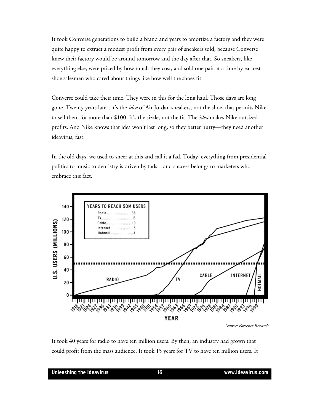It took Converse generations to build a brand and years to amortize a factory and they were quite happy to extract a modest profit from every pair of sneakers sold, because Converse knew their factory would be around tomorrow and the day after that. So sneakers, like everything else, were priced by how much they cost, and sold one pair at a time by earnest shoe salesmen who cared about things like how well the shoes fit.

Converse could take their time. They were in this for the long haul. Those days are long gone. Twenty years later, it's the *idea* of Air Jordan sneakers, not the shoe, that permits Nike to sell them for more than \$100. It's the sizzle, not the fit. The *idea* makes Nike outsized profits. And Nike knows that idea won't last long, so they better hurry—they need another ideavirus, fast.

In the old days, we used to sneer at this and call it a fad. Today, everything from presidential politics to music to dentistry is driven by fads—and success belongs to marketers who embrace this fact.



*Source: Forrester Research*

It took 40 years for radio to have ten million users. By then, an industry had grown that could profit from the mass audience. It took 15 years for TV to have ten million users. It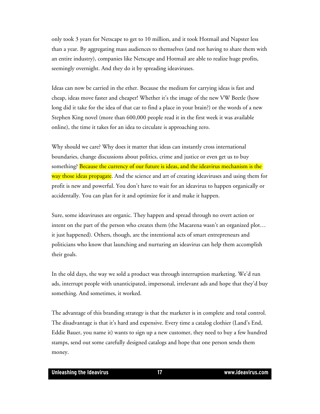only took 3 years for Netscape to get to 10 million, and it took Hotmail and Napster less than a year. By aggregating mass audiences to themselves (and not having to share them with an entire industry), companies like Netscape and Hotmail are able to realize huge profits, seemingly overnight. And they do it by spreading ideaviruses.

Ideas can now be carried in the ether. Because the medium for carrying ideas is fast and cheap, ideas move faster and cheaper! Whether it's the image of the new VW Beetle (how long did it take for the idea of that car to find a place in your brain?) or the words of a new Stephen King novel (more than 600,000 people read it in the first week it was available online), the time it takes for an idea to circulate is approaching zero.

Why should we care? Why does it matter that ideas can instantly cross international boundaries, change discussions about politics, crime and justice or even get us to buy something? Because the currency of our future is ideas, and the ideavirus mechanism is the way those ideas propagate. And the science and art of creating ideaviruses and using them for profit is new and powerful. You don't have to wait for an ideavirus to happen organically or accidentally. You can plan for it and optimize for it and make it happen.

Sure, some ideaviruses are organic. They happen and spread through no overt action or intent on the part of the person who creates them (the Macarena wasn't an organized plot… it just happened). Others, though, are the intentional acts of smart entrepreneurs and politicians who know that launching and nurturing an ideavirus can help them accomplish their goals.

In the old days, the way we sold a product was through interruption marketing. We'd run ads, interrupt people with unanticipated, impersonal, irrelevant ads and hope that they'd buy something. And sometimes, it worked.

The advantage of this branding strategy is that the marketer is in complete and total control. The disadvantage is that it's hard and expensive. Every time a catalog clothier (Land's End, Eddie Bauer, you name it) wants to sign up a new customer, they need to buy a few hundred stamps, send out some carefully designed catalogs and hope that one person sends them money.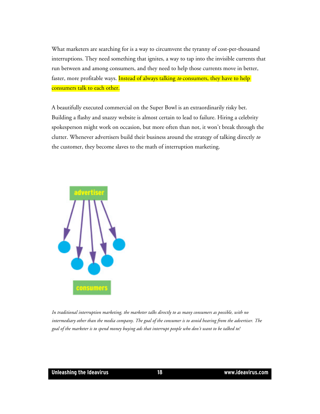What marketers are searching for is a way to circumvent the tyranny of cost-per-thousand interruptions. They need something that ignites, a way to tap into the invisible currents that run between and among consumers, and they need to help those currents move in better, faster, more profitable ways. Instead of always talking *to* consumers, they have to help consumers talk to each other.

A beautifully executed commercial on the Super Bowl is an extraordinarily risky bet. Building a flashy and snazzy website is almost certain to lead to failure. Hiring a celebrity spokesperson might work on occasion, but more often than not, it won't break through the clutter. Whenever advertisers build their business around the strategy of talking directly *to* the customer, they become slaves to the math of interruption marketing.



*In traditional interruption marketing, the marketer talks directly to as many consumers as possible, with no intermediary other than the media company. The goal of the consumer is to avoid hearing from the advertiser. The goal of the marketer is to spend money buying ads that interrupt people who don't want to be talked to!*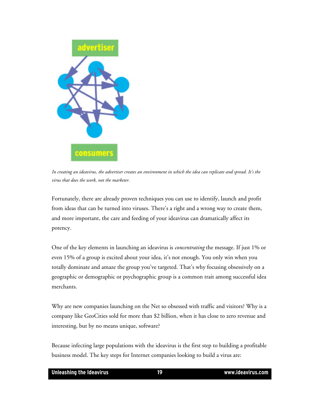

*In creating an ideavirus, the advertiser creates an environment in which the idea can replicate and spread. It's the virus that does the work, not the marketer.*

Fortunately, there are already proven techniques you can use to identify, launch and profit from ideas that can be turned into viruses. There's a right and a wrong way to create them, and more important, the care and feeding of your ideavirus can dramatically affect its potency.

One of the key elements in launching an ideavirus is *concentrating* the message. If just 1% or even 15% of a group is excited about your idea, it's not enough. You only win when you totally dominate and amaze the group you've targeted. That's why focusing obsessively on a geographic or demographic or psychographic group is a common trait among successful idea merchants.

Why are new companies launching on the Net so obsessed with traffic and visitors? Why is a company like GeoCities sold for more than \$2 billion, when it has close to zero revenue and interesting, but by no means unique, software?

Because infecting large populations with the ideavirus is the first step to building a profitable business model. The key steps for Internet companies looking to build a virus are: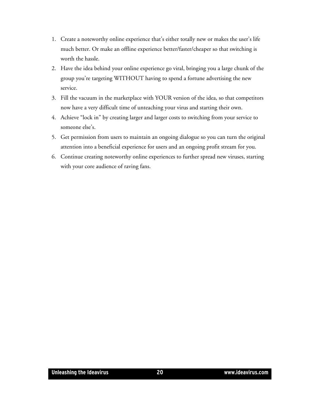- 1. Create a noteworthy online experience that's either totally new or makes the user's life much better. Or make an offline experience better/faster/cheaper so that switching is worth the hassle.
- 2. Have the idea behind your online experience go viral, bringing you a large chunk of the group you're targeting WITHOUT having to spend a fortune advertising the new service.
- 3. Fill the vacuum in the marketplace with YOUR version of the idea, so that competitors now have a very difficult time of unteaching your virus and starting their own.
- 4. Achieve "lock in" by creating larger and larger costs to switching from your service to someone else's.
- 5. Get permission from users to maintain an ongoing dialogue so you can turn the original attention into a beneficial experience for users and an ongoing profit stream for you.
- 6. Continue creating noteworthy online experiences to further spread new viruses, starting with your core audience of raving fans.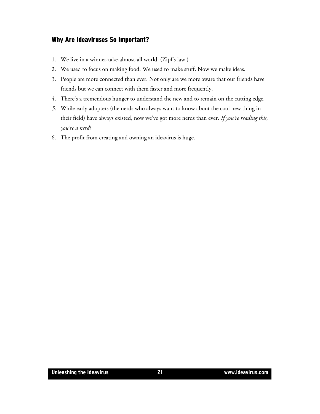#### Why Are Ideaviruses So Important?

- 1. We live in a winner-take-almost-all world. (Zipf's law.)
- 2. We used to focus on making food. We used to make stuff. Now we make ideas.
- 3. People are more connected than ever. Not only are we more aware that our friends have friends but we can connect with them faster and more frequently.
- 4. There's a tremendous hunger to understand the new and to remain on the cutting edge.
- *5.* While early adopters (the nerds who always want to know about the cool new thing in their field) have always existed, now we've got more nerds than ever. *If you're reading this, you're a nerd!*
- 6. The profit from creating and owning an ideavirus is huge.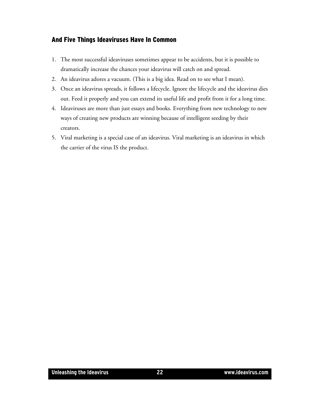#### And Five Things Ideaviruses Have In Common

- 1. The most successful ideaviruses sometimes appear to be accidents, but it is possible to dramatically increase the chances your ideavirus will catch on and spread.
- 2. An ideavirus adores a vacuum. (This is a big idea. Read on to see what I mean).
- 3. Once an ideavirus spreads, it follows a lifecycle. Ignore the lifecycle and the ideavirus dies out. Feed it properly and you can extend its useful life and profit from it for a long time.
- 4. Ideaviruses are more than just essays and books. Everything from new technology to new ways of creating new products are winning because of intelligent seeding by their creators.
- 5. Viral marketing is a special case of an ideavirus. Viral marketing is an ideavirus in which the carrier of the virus IS the product.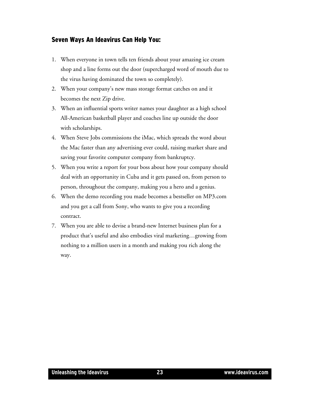#### Seven Ways An Ideavirus Can Help You:

- 1. When everyone in town tells ten friends about your amazing ice cream shop and a line forms out the door (supercharged word of mouth due to the virus having dominated the town so completely).
- 2. When your company's new mass storage format catches on and it becomes the next Zip drive.
- 3. When an influential sports writer names your daughter as a high school All-American basketball player and coaches line up outside the door with scholarships.
- 4. When Steve Jobs commissions the iMac, which spreads the word about the Mac faster than any advertising ever could, raising market share and saving your favorite computer company from bankruptcy.
- 5. When you write a report for your boss about how your company should deal with an opportunity in Cuba and it gets passed on, from person to person, throughout the company, making you a hero and a genius.
- 6. When the demo recording you made becomes a bestseller on MP3.com and you get a call from Sony, who wants to give you a recording contract.
- 7. When you are able to devise a brand-new Internet business plan for a product that's useful and also embodies viral marketing…growing from nothing to a million users in a month and making you rich along the way.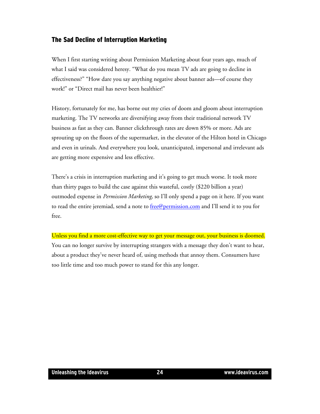#### The Sad Decline of Interruption Marketing

When I first starting writing about Permission Marketing about four years ago, much of what I said was considered heresy. "What do you mean TV ads are going to decline in effectiveness?" "How dare you say anything negative about banner ads—of course they work!" or "Direct mail has never been healthier!"

History, fortunately for me, has borne out my cries of doom and gloom about interruption marketing. The TV networks are diversifying away from their traditional network TV business as fast as they can. Banner clickthrough rates are down 85% or more. Ads are sprouting up on the floors of the supermarket, in the elevator of the Hilton hotel in Chicago and even in urinals. And everywhere you look, unanticipated, impersonal and irrelevant ads are getting more expensive and less effective.

There's a crisis in interruption marketing and it's going to get much worse. It took more than thirty pages to build the case against this wasteful, costly (\$220 billion a year) outmoded expense in *Permission Marketing*, so I'll only spend a page on it here. If you want to read the entire jeremiad, send a note to free@permission.com and I'll send it to you for free.

Unless you find a more cost-effective way to get your message out, your business is doomed. You can no longer survive by interrupting strangers with a message they don't want to hear, about a product they've never heard of, using methods that annoy them. Consumers have too little time and too much power to stand for this any longer.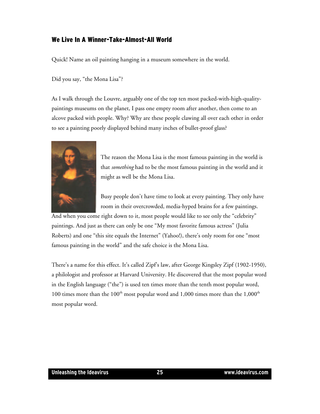#### We Live In A Winner-Take-Almost-All World

Quick! Name an oil painting hanging in a museum somewhere in the world.

Did you say, "the Mona Lisa"?

As I walk through the Louvre, arguably one of the top ten most packed-with-high-qualitypaintings museums on the planet, I pass one empty room after another, then come to an alcove packed with people. Why? Why are these people clawing all over each other in order to see a painting poorly displayed behind many inches of bullet-proof glass?



The reason the Mona Lisa is the most famous painting in the world is that *something* had to be the most famous painting in the world and it might as well be the Mona Lisa.

Busy people don't have time to look at every painting. They only have room in their overcrowded, media-hyped brains for a few paintings.

And when you come right down to it, most people would like to see only the "celebrity" paintings. And just as there can only be one "My most favorite famous actress" (Julia Roberts) and one "this site equals the Internet" (Yahoo!), there's only room for one "most famous painting in the world" and the safe choice is the Mona Lisa.

There's a name for this effect. It's called Zipf's law, after George Kingsley Zipf (1902-1950), a philologist and professor at Harvard University. He discovered that the most popular word in the English language ("the") is used ten times more than the tenth most popular word, 100 times more than the  $100<sup>th</sup>$  most popular word and 1,000 times more than the 1,000<sup>th</sup> most popular word.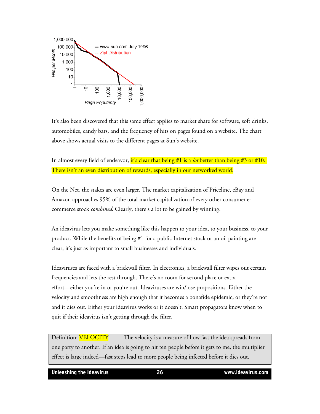

It's also been discovered that this same effect applies to market share for software, soft drinks, automobiles, candy bars, and the frequency of hits on pages found on a website. The chart above shows actual visits to the different pages at Sun's website.

In almost every field of endeavor, it's clear that being #1 is a *lot* better than being #3 or #10. There isn't an even distribution of rewards, especially in our networked world.

On the Net, the stakes are even larger. The market capitalization of Priceline, eBay and Amazon approaches 95% of the total market capitalization of every other consumer ecommerce stock *combined*. Clearly, there's a lot to be gained by winning.

An ideavirus lets you make something like this happen to your idea, to your business, to your product. While the benefits of being #1 for a public Internet stock or an oil painting are clear, it's just as important to small businesses and individuals.

Ideaviruses are faced with a brickwall filter. In electronics, a brickwall filter wipes out certain frequencies and lets the rest through. There's no room for second place or extra effort—either you're in or you're out. Ideaviruses are win/lose propositions. Either the velocity and smoothness are high enough that it becomes a bonafide epidemic, or they're not and it dies out. Either your ideavirus works or it doesn't. Smart propagators know when to quit if their ideavirus isn't getting through the filter.

Definition: **VELOCITY** The velocity is a measure of how fast the idea spreads from one party to another. If an idea is going to hit ten people before it gets to me, the multiplier effect is large indeed—fast steps lead to more people being infected before it dies out.

**Unleashing the Ideavirus 26 www.ideavirus.com**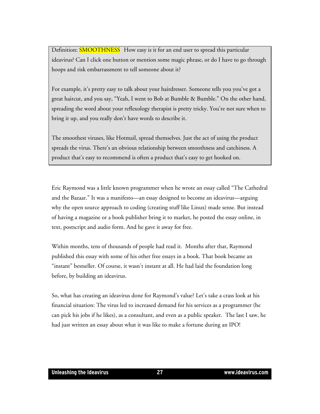Definition: **SMOOTHNESS** How easy is it for an end user to spread this particular ideavirus? Can I click one button or mention some magic phrase, or do I have to go through hoops and risk embarrassment to tell someone about it?

For example, it's pretty easy to talk about your hairdresser. Someone tells you you've got a great haircut, and you say, "Yeah, I went to Bob at Bumble & Bumble." On the other hand, spreading the word about your reflexology therapist is pretty tricky. You're not sure when to bring it up, and you really don't have words to describe it.

The smoothest viruses, like Hotmail, spread themselves. Just the act of using the product spreads the virus. There's an obvious relationship between smoothness and catchiness. A product that's easy to recommend is often a product that's easy to get hooked on.

Eric Raymond was a little known programmer when he wrote an essay called "The Cathedral and the Bazaar." It was a manifesto—an essay designed to become an ideavirus—arguing why the open source approach to coding (creating stuff like Linux) made sense. But instead of having a magazine or a book publisher bring it to market, he posted the essay online, in text, postscript and audio form. And he gave it away for free.

Within months, tens of thousands of people had read it. Months after that, Raymond published this essay with some of his other free essays in a book. That book became an "instant" bestseller. Of course, it wasn't instant at all. He had laid the foundation long before, by building an ideavirus.

So, what has creating an ideavirus done for Raymond's value? Let's take a crass look at his financial situation: The virus led to increased demand for his services as a programmer (he can pick his jobs if he likes), as a consultant, and even as a public speaker. The last I saw, he had just written an essay about what it was like to make a fortune during an IPO!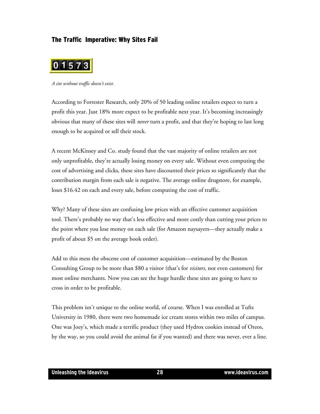#### The Traffic Imperative: Why Sites Fail



*A site without traffic doesn't exist.*

According to Forrester Research, only 20% of 50 leading online retailers expect to turn a profit this year. Just 18% more expect to be profitable next year. It's becoming increasingly obvious that many of these sites will *never* turn a profit, and that they're hoping to last long enough to be acquired or sell their stock.

A recent McKinsey and Co. study found that the vast majority of online retailers are not only unprofitable, they're actually losing money on every sale. Without even computing the cost of advertising and clicks, these sites have discounted their prices so significantly that the contribution margin from each sale is negative. The average online drugstore, for example, loses \$16.42 on each and every sale, before computing the cost of traffic.

Why? Many of these sites are confusing low prices with an effective customer acquisition tool. There's probably no way that's less effective and more costly than cutting your prices to the point where you lose money on each sale (for Amazon naysayers—they actually make a profit of about \$5 on the average book order).

Add to this mess the obscene cost of customer acquisition—estimated by the Boston Consulting Group to be more than \$80 a visitor (that's for *visitors,* not even customers) for most online merchants. Now you can see the huge hurdle these sites are going to have to cross in order to be profitable.

This problem isn't unique to the online world, of course. When I was enrolled at Tufts University in 1980, there were two homemade ice cream stores within two miles of campus. One was Joey's, which made a terrific product (they used Hydrox cookies instead of Oreos, by the way, so you could avoid the animal fat if you wanted) and there was never, ever a line.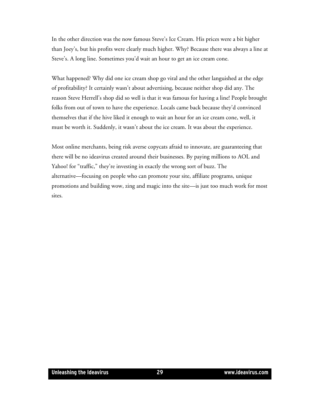In the other direction was the now famous Steve's Ice Cream. His prices were a bit higher than Joey's, but his profits were clearly much higher. Why? Because there was always a line at Steve's. A long line. Sometimes you'd wait an hour to get an ice cream cone.

What happened? Why did one ice cream shop go viral and the other languished at the edge of profitability? It certainly wasn't about advertising, because neither shop did any. The reason Steve Herrell's shop did so well is that it was famous for having a line! People brought folks from out of town to have the experience. Locals came back because they'd convinced themselves that if the hive liked it enough to wait an hour for an ice cream cone, well, it must be worth it. Suddenly, it wasn't about the ice cream. It was about the experience.

Most online merchants, being risk averse copycats afraid to innovate, are guaranteeing that there will be no ideavirus created around their businesses. By paying millions to AOL and Yahoo! for "traffic," they're investing in exactly the wrong sort of buzz. The alternative—focusing on people who can promote your site, affiliate programs, unique promotions and building wow, zing and magic into the site—is just too much work for most sites.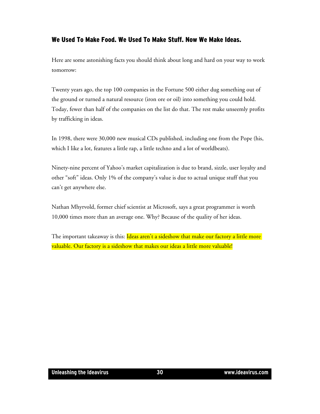#### We Used To Make Food. We Used To Make Stuff. Now We Make Ideas.

Here are some astonishing facts you should think about long and hard on your way to work tomorrow:

Twenty years ago, the top 100 companies in the Fortune 500 either dug something out of the ground or turned a natural resource (iron ore or oil) into something you could hold. Today, fewer than half of the companies on the list do that. The rest make unseemly profits by trafficking in ideas.

In 1998, there were 30,000 new musical CDs published, including one from the Pope (his, which I like a lot, features a little rap, a little techno and a lot of worldbeats).

Ninety-nine percent of Yahoo's market capitalization is due to brand, sizzle, user loyalty and other "soft" ideas. Only 1% of the company's value is due to actual unique stuff that you can't get anywhere else.

Nathan Mhyrvold, former chief scientist at Microsoft, says a great programmer is worth 10,000 times more than an average one. Why? Because of the quality of her ideas.

The important takeaway is this: Ideas aren't a sideshow that make our factory a little more valuable. Our factory is a sideshow that makes our ideas a little more valuable!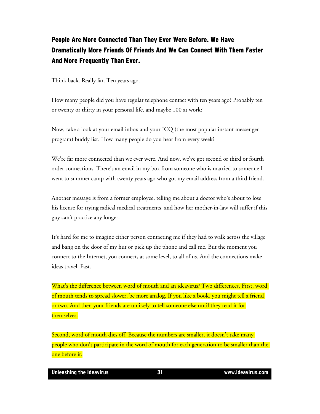### People Are More Connected Than They Ever Were Before. We Have Dramatically More Friends Of Friends And We Can Connect With Them Faster And More Frequently Than Ever.

Think back. Really far. Ten years ago.

How many people did you have regular telephone contact with ten years ago? Probably ten or twenty or thirty in your personal life, and maybe 100 at work?

Now, take a look at your email inbox and your ICQ (the most popular instant messenger program) buddy list. How many people do you hear from every week?

We're far more connected than we ever were. And now, we've got second or third or fourth order connections. There's an email in my box from someone who is married to someone I went to summer camp with twenty years ago who got my email address from a third friend.

Another message is from a former employee, telling me about a doctor who's about to lose his license for trying radical medical treatments, and how her mother-in-law will suffer if this guy can't practice any longer.

It's hard for me to imagine either person contacting me if they had to walk across the village and bang on the door of my hut or pick up the phone and call me. But the moment you connect to the Internet, you connect, at some level, to all of us. And the connections make ideas travel. Fast.

What's the difference between word of mouth and an ideavirus? Two differences. First, word of mouth tends to spread slower, be more analog. If you like a book, you might tell a friend or two. And then your friends are unlikely to tell someone else until they read it for themselves.

Second, word of mouth dies off. Because the numbers are smaller, it doesn't take many people who don't participate in the word of mouth for each generation to be smaller than the one before it.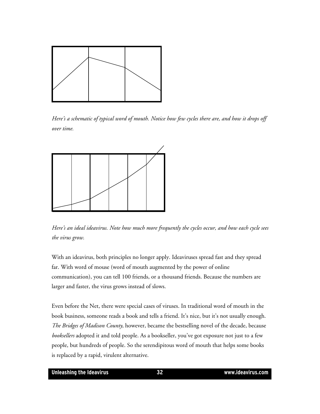

*Here's a schematic of typical word of mouth. Notice how few cycles there are, and how it drops off over time.*



*Here's an ideal ideavirus. Note how much more frequently the cycles occur, and how each cycle sees the virus grow.*

With an ideavirus, both principles no longer apply. Ideaviruses spread fast and they spread far. With word of mouse (word of mouth augmented by the power of online communication), you can tell 100 friends, or a thousand friends. Because the numbers are larger and faster, the virus grows instead of slows.

Even before the Net, there were special cases of viruses. In traditional word of mouth in the book business, someone reads a book and tells a friend. It's nice, but it's not usually enough. *The Bridges of Madison County*, however, became the bestselling novel of the decade, because *booksellers* adopted it and told people. As a bookseller, you've got exposure not just to a few people, but hundreds of people. So the serendipitous word of mouth that helps some books is replaced by a rapid, virulent alternative.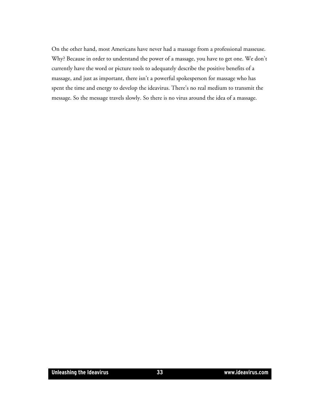On the other hand, most Americans have never had a massage from a professional masseuse. Why? Because in order to understand the power of a massage, you have to get one. We don't currently have the word or picture tools to adequately describe the positive benefits of a massage, and just as important, there isn't a powerful spokesperson for massage who has spent the time and energy to develop the ideavirus. There's no real medium to transmit the message. So the message travels slowly. So there is no virus around the idea of a massage.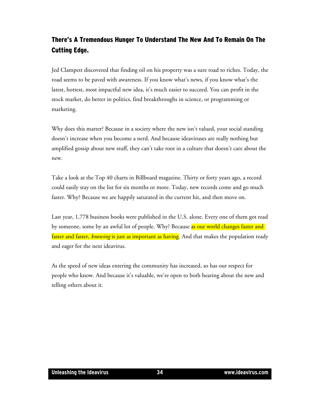### There's A Tremendous Hunger To Understand The New And To Remain On The Cutting Edge.

Jed Clampett discovered that finding oil on his property was a sure road to riches. Today, the road seems to be paved with awareness. If you know what's news, if you know what's the latest, hottest, most impactful new idea, it's much easier to succeed. You can profit in the stock market, do better in politics, find breakthroughs in science, or programming or marketing.

Why does this matter? Because in a society where the new isn't valued, your social standing doesn't increase when you become a nerd. And because ideaviruses are really nothing but amplified gossip about new stuff, they can't take root in a culture that doesn't care about the new.

Take a look at the Top 40 charts in Billboard magazine. Thirty or forty years ago, a record could easily stay on the list for six months or more. Today, new records come and go much faster. Why? Because we are happily saturated in the current hit, and then move on.

Last year, 1,778 business books were published in the U.S. alone. Every one of them got read by someone, some by an awful lot of people. Why? Because as our world changes faster and faster and faster, *knowing* is just as important as having. And that makes the population ready and eager for the next ideavirus.

As the speed of new ideas entering the community has increased, so has our respect for people who know. And because it's valuable, we're open to both hearing about the new and telling others about it.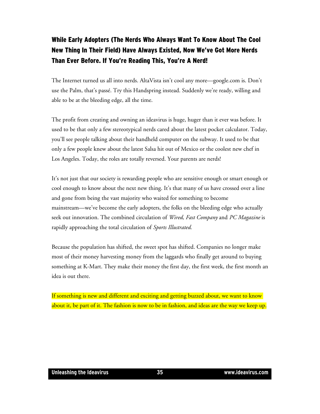### While Early Adopters (The Nerds Who Always Want To Know About The Cool New Thing In Their Field) Have Always Existed, Now We've Got More Nerds Than Ever Before. If You're Reading This, You're A Nerd!

The Internet turned us all into nerds. AltaVista isn't cool any more—google.com is. Don't use the Palm, that's passé. Try this Handspring instead. Suddenly we're ready, willing and able to be at the bleeding edge, all the time.

The profit from creating and owning an ideavirus is huge, huger than it ever was before. It used to be that only a few stereotypical nerds cared about the latest pocket calculator. Today, you'll see people talking about their handheld computer on the subway. It used to be that only a few people knew about the latest Salsa hit out of Mexico or the coolest new chef in Los Angeles. Today, the roles are totally reversed. Your parents are nerds!

It's not just that our society is rewarding people who are sensitive enough or smart enough or cool enough to know about the next new thing. It's that many of us have crossed over a line and gone from being the vast majority who waited for something to become mainstream—we've become the early adopters, the folks on the bleeding edge who actually seek out innovation. The combined circulation of *Wired*, *Fast Company* and *PC Magazine* is rapidly approaching the total circulation of *Sports Illustrated*.

Because the population has shifted, the sweet spot has shifted. Companies no longer make most of their money harvesting money from the laggards who finally get around to buying something at K-Mart. They make their money the first day, the first week, the first month an idea is out there.

If something is new and different and exciting and getting buzzed about, we want to know about it, be part of it. The fashion is now to be in fashion, and ideas are the way we keep up.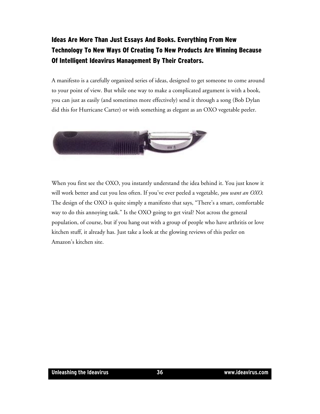## Ideas Are More Than Just Essays And Books. Everything From New Technology To New Ways Of Creating To New Products Are Winning Because Of Intelligent Ideavirus Management By Their Creators.

A manifesto is a carefully organized series of ideas, designed to get someone to come around to your point of view. But while one way to make a complicated argument is with a book, you can just as easily (and sometimes more effectively) send it through a song (Bob Dylan did this for Hurricane Carter) or with something as elegant as an OXO vegetable peeler.



When you first see the OXO, you instantly understand the idea behind it. You just know it will work better and cut you less often. If you've ever peeled a vegetable, *you want an OXO*. The design of the OXO is quite simply a manifesto that says, "There's a smart, comfortable way to do this annoying task." Is the OXO going to get viral? Not across the general population, of course, but if you hang out with a group of people who have arthritis or love kitchen stuff, it already has. Just take a look at the glowing reviews of this peeler on Amazon's kitchen site.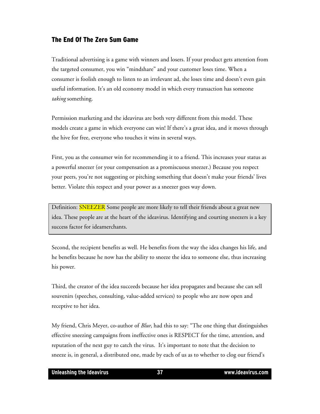## The End Of The Zero Sum Game

Traditional advertising is a game with winners and losers. If your product gets attention from the targeted consumer, you win "mindshare" and your customer loses time. When a consumer is foolish enough to listen to an irrelevant ad, she loses time and doesn't even gain useful information. It's an old economy model in which every transaction has someone *taking* something.

Permission marketing and the ideavirus are both very different from this model. These models create a game in which everyone can win! If there's a great idea, and it moves through the hive for free, everyone who touches it wins in several ways.

First, you as the consumer win for recommending it to a friend. This increases your status as a powerful sneezer (or your compensation as a promiscuous sneezer.) Because you respect your peers, you're not suggesting or pitching something that doesn't make your friends' lives better. Violate this respect and your power as a sneezer goes way down.

Definition: **SNEEZER** Some people are more likely to tell their friends about a great new idea. These people are at the heart of the ideavirus. Identifying and courting sneezers is a key success factor for ideamerchants.

Second, the recipient benefits as well. He benefits from the way the idea changes his life, and he benefits because he now has the ability to sneeze the idea to someone else, thus increasing his power.

Third, the creator of the idea succeeds because her idea propagates and because she can sell souvenirs (speeches, consulting, value-added services) to people who are now open and receptive to her idea.

My friend, Chris Meyer, co-author of *Blur*, had this to say: "The one thing that distinguishes effective sneezing campaigns from ineffective ones is RESPECT for the time, attention, and reputation of the next guy to catch the virus. It's important to note that the decision to sneeze is, in general, a distributed one, made by each of us as to whether to clog our friend's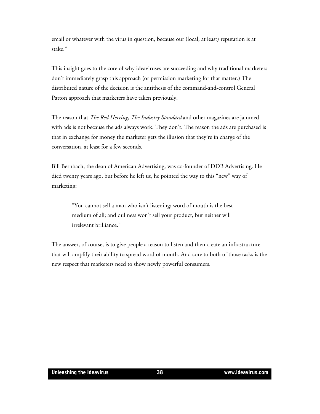email or whatever with the virus in question, because our (local, at least) reputation is at stake."

This insight goes to the core of why ideaviruses are succeeding and why traditional marketers don't immediately grasp this approach (or permission marketing for that matter.) The distributed nature of the decision is the antithesis of the command-and-control General Patton approach that marketers have taken previously.

The reason that *The Red Herring, The Industry Standard* and other magazines are jammed with ads is not because the ads always work. They don't. The reason the ads are purchased is that in exchange for money the marketer gets the illusion that they're in charge of the conversation, at least for a few seconds.

Bill Bernbach, the dean of American Advertising, was co-founder of DDB Advertising. He died twenty years ago, but before he left us, he pointed the way to this "new" way of marketing:

"You cannot sell a man who isn't listening; word of mouth is the best medium of all; and dullness won't sell your product, but neither will irrelevant brilliance."

The answer, of course, is to give people a reason to listen and then create an infrastructure that will amplify their ability to spread word of mouth. And core to both of those tasks is the new respect that marketers need to show newly powerful consumers.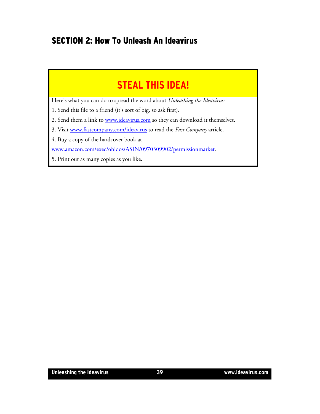# SECTION 2: How To Unleash An Ideavirus

# **STEAL THIS IDEA!**

Here's what you can do to spread the word about *Unleashing the Ideavirus:*

- 1. Send this file to a friend (it's sort of big, so ask first).
- 2. Send them a link t[o www.ideavirus.com so](http://www.ideavirus.com) they can download it themselves.
- 3. Visi[t www.fastcompany.com/ideavirus to](http://www.fastcompany.com/ideavirus) read the *Fast Company* article.
- 4. Buy a copy of the hardcover book at

[www.amazon.com/exec/obidos/ASIN/0970309902/permissionmarket .](http://www.amazon.com/exec/obidos/ASIN/0970309902/permissionmarket)

5. Print out as many copies as you like.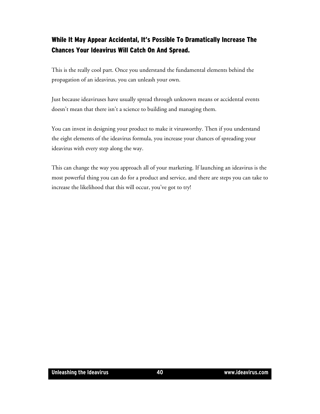# While It May Appear Accidental, It's Possible To Dramatically Increase The Chances Your Ideavirus Will Catch On And Spread.

This is the really cool part. Once you understand the fundamental elements behind the propagation of an ideavirus, you can unleash your own.

Just because ideaviruses have usually spread through unknown means or accidental events doesn't mean that there isn't a science to building and managing them.

You can invest in designing your product to make it virusworthy. Then if you understand the eight elements of the ideavirus formula, you increase your chances of spreading your ideavirus with every step along the way.

This can change the way you approach all of your marketing. If launching an ideavirus is the most powerful thing you can do for a product and service, and there are steps you can take to increase the likelihood that this will occur, you've got to try!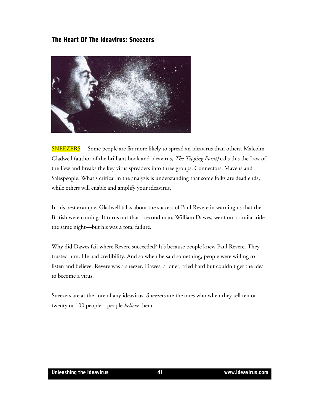# The Heart Of The Ideavirus: Sneezers



**SNEEZERS** Some people are far more likely to spread an ideavirus than others. Malcolm Gladwell (author of the brilliant book and ideavirus, *The Tipping Point)* calls this the Law of the Few and breaks the key virus spreaders into three groups: Connectors, Mavens and Salespeople. What's critical in the analysis is understanding that some folks are dead ends, while others will enable and amplify your ideavirus.

In his best example, Gladwell talks about the success of Paul Revere in warning us that the British were coming. It turns out that a second man, William Dawes, went on a similar ride the same night—but his was a total failure.

Why did Dawes fail where Revere succeeded? It's because people knew Paul Revere. They trusted him. He had credibility. And so when he said something, people were willing to listen and believe. Revere was a sneezer. Dawes, a loner, tried hard but couldn't get the idea to become a virus.

Sneezers are at the core of any ideavirus. Sneezers are the ones who when they tell ten or twenty or 100 people—people *believe* them.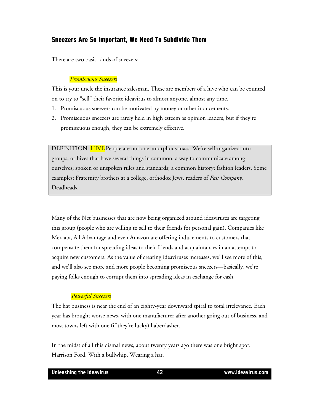# Sneezers Are So Important, We Need To Subdivide Them

There are two basic kinds of sneezers:

### *Promiscuous Sneezers*

This is your uncle the insurance salesman. These are members of a hive who can be counted on to try to "sell" their favorite ideavirus to almost anyone, almost any time.

- 1. Promiscuous sneezers can be motivated by money or other inducements.
- 2. Promiscuous sneezers are rarely held in high esteem as opinion leaders, but if they're promiscuous enough, they can be extremely effective.

DEFINITION: **HIVE** People are not one amorphous mass. We're self-organized into groups, or hives that have several things in common: a way to communicate among ourselves; spoken or unspoken rules and standards; a common history; fashion leaders. Some examples: Fraternity brothers at a college, orthodox Jews, readers of *Fast Company*, Deadheads.

Many of the Net businesses that are now being organized around ideaviruses are targeting this group (people who are willing to sell to their friends for personal gain). Companies like Mercata, All Advantage and even Amazon are offering inducements to customers that compensate them for spreading ideas to their friends and acquaintances in an attempt to acquire new customers. As the value of creating ideaviruses increases, we'll see more of this, and we'll also see more and more people becoming promiscous sneezers—basically, we're paying folks enough to corrupt them into spreading ideas in exchange for cash.

# *Powerful Sneezers*

The hat business is near the end of an eighty-year downward spiral to total irrelevance. Each year has brought worse news, with one manufacturer after another going out of business, and most towns left with one (if they're lucky) haberdasher.

In the midst of all this dismal news, about twenty years ago there was one bright spot. Harrison Ford. With a bullwhip. Wearing a hat.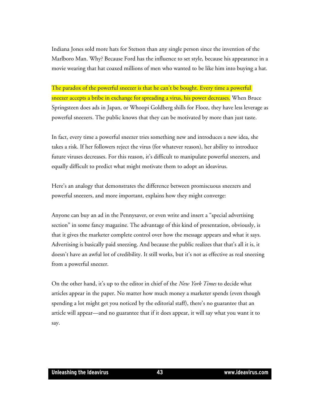Indiana Jones sold more hats for Stetson than any single person since the invention of the Marlboro Man. Why? Because Ford has the influence to set style, because his appearance in a movie wearing that hat coaxed millions of men who wanted to be like him into buying a hat.

The paradox of the powerful sneezer is that he can't be bought. Every time a powerful sneezer accepts a bribe in exchange for spreading a virus, his power decreases. When Bruce Springsteen does ads in Japan, or Whoopi Goldberg shills for Flooz, they have less leverage as powerful sneezers. The public knows that they can be motivated by more than just taste.

In fact, every time a powerful sneezer tries something new and introduces a new idea, she takes a risk. If her followers reject the virus (for whatever reason), her ability to introduce future viruses decreases. For this reason, it's difficult to manipulate powerful sneezers, and equally difficult to predict what might motivate them to adopt an ideavirus.

Here's an analogy that demonstrates the difference between promiscuous sneezers and powerful sneezers, and more important, explains how they might converge:

Anyone can buy an ad in the Pennysaver, or even write and insert a "special advertising section" in some fancy magazine. The advantage of this kind of presentation, obviously, is that it gives the marketer complete control over how the message appears and what it says. Advertising is basically paid sneezing. And because the public realizes that that's all it is, it doesn't have an awful lot of credibility. It still works, but it's not as effective as real sneezing from a powerful sneezer.

On the other hand, it's up to the editor in chief of the *New York Times* to decide what articles appear in the paper. No matter how much money a marketer spends (even though spending a lot might get you noticed by the editorial staff), there's no guarantee that an article will appear—and no guarantee that if it does appear, it will say what you want it to say.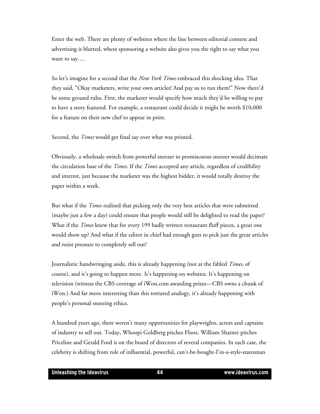Enter the web. There are plenty of websites where the line between editorial content and advertising is blurred, where sponsoring a website also gives you the right to say what you want to say.…

So let's imagine for a second that the *New York Times* embraced this shocking idea. That they said, "Okay marketers, write your own articles! And pay us to run them!" Now there'd be some ground rules. First, the marketer would specify how much they'd be willing to pay to have a story featured. For example, a restaurant could decide it might be worth \$10,000 for a feature on their new chef to appear in print.

Second, the *Times* would get final say over what was printed.

Obviously, a wholesale switch from powerful sneezer to promiscuous sneezer would decimate the circulation base of the *Times*. If the *Times* accepted any article, regardless of credibility and interest, just because the marketer was the highest bidder, it would totally destroy the paper within a week.

But what if the *Times* realized that picking only the very best articles that were submitted (maybe just a few a day) could ensure that people would still be delighted to read the paper? What if the *Times* knew that for every 199 badly written restaurant fluff pieces, a great one would show up? And what if the editor in chief had enough guts to pick just the great articles and resist pressure to completely sell out?

Journalistic handwringing aside, this is already happening (not at the fabled *Times*, of course), and it's going to happen more. It's happening on websites. It's happening on television (witness the CBS coverage of iWon.com awarding prizes—CBS owns a chunk of iWon.) And far more interesting than this tortured analogy, it's already happening with people's personal sneezing ethics.

A hundred years ago, there weren't many opportunities for playwrights, actors and captains of industry to sell out. Today, Whoopi Goldberg pitches Flooz, William Shatner pitches Priceline and Gerald Ford is on the board of directors of several companies. In each case, the celebrity is shifting from role of influential, powerful, can't-be-bought-I'm-a-style-statesman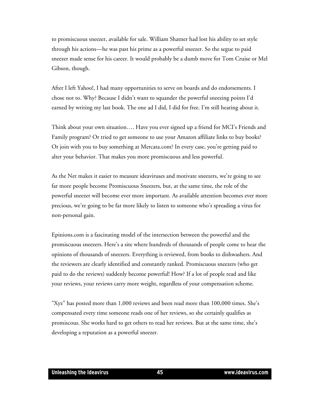to promiscuous sneezer, available for sale. William Shatner had lost his ability to set style through his actions—he was past his prime as a powerful sneezer. So the segue to paid sneezer made sense for his career. It would probably be a dumb move for Tom Cruise or Mel Gibson, though.

After I left Yahoo!, I had many opportunities to serve on boards and do endorsements. I chose not to. Why? Because I didn't want to squander the powerful sneezing points I'd earned by writing my last book. The one ad I did, I did for free. I'm still hearing about it.

Think about your own situation…. Have you ever signed up a friend for MCI's Friends and Family program? Or tried to get someone to use your Amazon affiliate links to buy books? Or join with you to buy something at Mercata.com? In every case, you're getting paid to alter your behavior. That makes you more promiscuous and less powerful.

As the Net makes it easier to measure ideaviruses and motivate sneezers, we're going to see far more people become Promiscuous Sneezers, but, at the same time, the role of the powerful sneezer will become ever more important. As available attention becomes ever more precious, we're going to be far more likely to listen to someone who's spreading a virus for non-personal gain.

Epinions.com is a fascinating model of the intersection between the powerful and the promiscuous sneezers. Here's a site where hundreds of thousands of people come to hear the opinions of thousands of sneezers. Everything is reviewed, from books to dishwashers. And the reviewers are clearly identified and constantly ranked. Promiscuous sneezers (who get paid to do the reviews) suddenly become powerful! How? If a lot of people read and like your reviews, your reviews carry more weight, regardless of your compensation scheme.

"Xyz" has posted more than 1,000 reviews and been read more than 100,000 times. She's compensated every time someone reads one of her reviews, so she certainly qualifies as promiscous. She works hard to get others to read her reviews. But at the same time, she's developing a reputation as a powerful sneezer.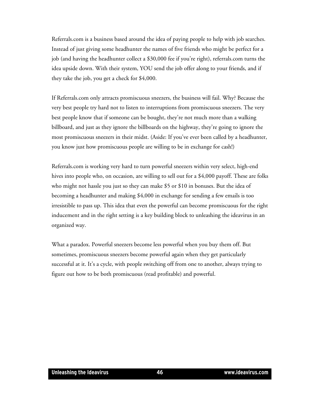Referrals.com is a business based around the idea of paying people to help with job searches. Instead of just giving some headhunter the names of five friends who might be perfect for a job (and having the headhunter collect a \$30,000 fee if you're right), referrals.com turns the idea upside down. With their system, YOU send the job offer along to your friends, and if they take the job, you get a check for \$4,000.

If Referrals.com only attracts promiscuous sneezers, the business will fail. Why? Because the very best people try hard not to listen to interruptions from promiscuous sneezers. The very best people know that if someone can be bought, they're not much more than a walking billboard, and just as they ignore the billboards on the highway, they're going to ignore the most promiscuous sneezers in their midst. (Aside: If you've ever been called by a headhunter, you know just how promiscuous people are willing to be in exchange for cash!)

Referrals.com is working very hard to turn powerful sneezers within very select, high-end hives into people who, on occasion, are willing to sell out for a \$4,000 payoff. These are folks who might not hassle you just so they can make \$5 or \$10 in bonuses. But the idea of becoming a headhunter and making \$4,000 in exchange for sending a few emails is too irresistible to pass up. This idea that even the powerful can become promiscuous for the right inducement and in the right setting is a key building block to unleashing the ideavirus in an organized way.

What a paradox. Powerful sneezers become less powerful when you buy them off. But sometimes, promiscuous sneezers become powerful again when they get particularly successful at it. It's a cycle, with people switching off from one to another, always trying to figure out how to be both promiscuous (read profitable) and powerful.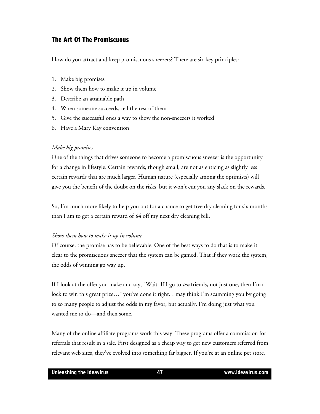# The Art Of The Promiscuous

How do you attract and keep promiscuous sneezers? There are six key principles:

- 1. Make big promises
- 2. Show them how to make it up in volume
- 3. Describe an attainable path
- 4. When someone succeeds, tell the rest of them
- 5. Give the successful ones a way to show the non-sneezers it worked
- 6. Have a Mary Kay convention

### *Make big promises*

One of the things that drives someone to become a promiscuous sneezer is the opportunity for a change in lifestyle. Certain rewards, though small, are not as enticing as slightly less certain rewards that are much larger. Human nature (especially among the optimists) will give you the benefit of the doubt on the risks, but it won't cut you any slack on the rewards.

So, I'm much more likely to help you out for a chance to get free dry cleaning for six months than I am to get a certain reward of \$4 off my next dry cleaning bill.

#### *Show them how to make it up in volume*

Of course, the promise has to be believable. One of the best ways to do that is to make it clear to the promiscuous sneezer that the system can be gamed. That if they work the system, the odds of winning go way up.

If I look at the offer you make and say, "Wait. If I go to *ten* friends, not just one, then I'm a lock to win this great prize…" you've done it right. I may think I'm scamming you by going to so many people to adjust the odds in my favor, but actually, I'm doing just what you wanted me to do—and then some.

Many of the online affiliate programs work this way. These programs offer a commission for referrals that result in a sale. First designed as a cheap way to get new customers referred from relevant web sites, they've evolved into something far bigger. If you're at an online pet store,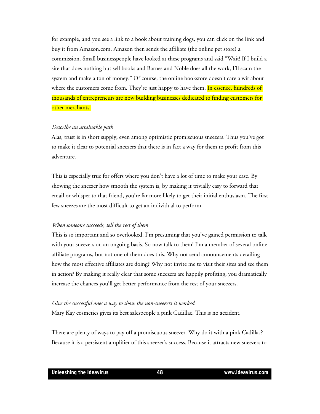for example, and you see a link to a book about training dogs, you can click on the link and buy it from Amazon.com. Amazon then sends the affiliate (the online pet store) a commission. Small businesspeople have looked at these programs and said "Wait! If I build a site that does nothing but sell books and Barnes and Noble does all the work, I'll scam the system and make a ton of money." Of course, the online bookstore doesn't care a wit about where the customers come from. They're just happy to have them. In essence, hundreds of thousands of entrepreneurs are now building businesses dedicated to finding customers for other merchants.

#### *Describe an attainable path*

Alas, trust is in short supply, even among optimistic promiscuous sneezers. Thus you've got to make it clear to potential sneezers that there is in fact a way for them to profit from this adventure.

This is especially true for offers where you don't have a lot of time to make your case. By showing the sneezer how smooth the system is, by making it trivially easy to forward that email or whisper to that friend, you're far more likely to get their initial enthusiasm. The first few sneezes are the most difficult to get an individual to perform.

#### *When someone succeeds, tell the rest of them*

This is so important and so overlooked. I'm presuming that you've gained permission to talk with your sneezers on an ongoing basis. So now talk to them! I'm a member of several online affiliate programs, but not one of them does this. Why not send announcements detailing how the most effective affiliates are doing? Why not invite me to visit their sites and see them in action? By making it really clear that some sneezers are happily profiting, you dramatically increase the chances you'll get better performance from the rest of your sneezers.

#### *Give the successful ones a way to show the non-sneezers it worked*

Mary Kay cosmetics gives its best salespeople a pink Cadillac. This is no accident.

There are plenty of ways to pay off a promiscuous sneezer. Why do it with a pink Cadillac? Because it is a persistent amplifier of this sneezer's success. Because it attracts new sneezers to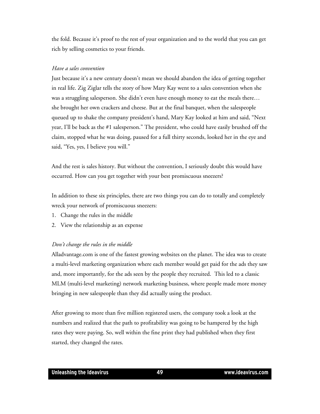the fold. Because it's proof to the rest of your organization and to the world that you can get rich by selling cosmetics to your friends.

#### *Have a sales convention*

Just because it's a new century doesn't mean we should abandon the idea of getting together in real life. Zig Ziglar tells the story of how Mary Kay went to a sales convention when she was a struggling salesperson. She didn't even have enough money to eat the meals there… she brought her own crackers and cheese. But at the final banquet, when the salespeople queued up to shake the company president's hand, Mary Kay looked at him and said, "Next year, I'll be back as the #1 salesperson." The president, who could have easily brushed off the claim, stopped what he was doing, paused for a full thirty seconds, looked her in the eye and said, "Yes, yes, I believe you will."

And the rest is sales history. But without the convention, I seriously doubt this would have occurred. How can you get together with your best promiscuous sneezers?

In addition to these six principles, there are two things you can do to totally and completely wreck your network of promiscuous sneezers:

- 1. Change the rules in the middle
- 2. View the relationship as an expense

#### *Don't change the rules in the middle*

Alladvantage.com is one of the fastest growing websites on the planet. The idea was to create a multi-level marketing organization where each member would get paid for the ads they saw and, more importantly, for the ads seen by the people they recruited. This led to a classic MLM (multi-level marketing) network marketing business, where people made more money bringing in new salespeople than they did actually using the product.

After growing to more than five million registered users, the company took a look at the numbers and realized that the path to profitability was going to be hampered by the high rates they were paying. So, well within the fine print they had published when they first started, they changed the rates.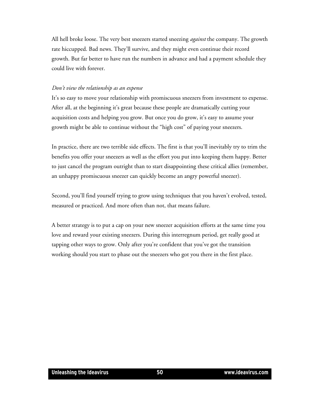All hell broke loose. The very best sneezers started sneezing *against* the company. The growth rate hiccupped. Bad news. They'll survive, and they might even continue their record growth. But far better to have run the numbers in advance and had a payment schedule they could live with forever.

#### *Don't view the relationship as an expense*

It's so easy to move your relationship with promiscuous sneezers from investment to expense. After all, at the beginning it's great because these people are dramatically cutting your acquisition costs and helping you grow. But once you do grow, it's easy to assume your growth might be able to continue without the "high cost" of paying your sneezers.

In practice, there are two terrible side effects. The first is that you'll inevitably try to trim the benefits you offer your sneezers as well as the effort you put into keeping them happy. Better to just cancel the program outright than to start disappointing these critical allies (remember, an unhappy promiscuous sneezer can quickly become an angry powerful sneezer).

Second, you'll find yourself trying to grow using techniques that you haven't evolved, tested, measured or practiced. And more often than not, that means failure.

A better strategy is to put a cap on your new sneezer acquisition efforts at the same time you love and reward your existing sneezers. During this interregnum period, get really good at tapping other ways to grow. Only after you're confident that you've got the transition working should you start to phase out the sneezers who got you there in the first place.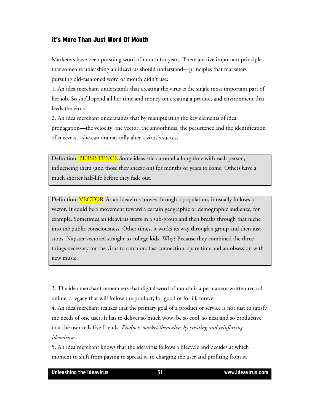# It's More Than Just Word Of Mouth

Marketers have been pursuing word of mouth for years. There are five important principles that someone unleashing an ideavirus should understand—principles that marketers pursuing old-fashioned word of mouth didn't use:

1. An idea merchant understands that creating the virus is the single most important part of her job. So she'll spend all her time and money on creating a product and environment that feeds the virus.

2. An idea merchant understands that by manipulating the key elements of idea propagation—the velocity, the vector, the smoothness, the persistence and the identification of sneezers—she can dramatically alter a virus's success.

Definition: PERSISTENCE Some ideas stick around a long time with each person, influencing them (and those they sneeze on) for months or years to come. Others have a much shorter half-life before they fade out.

Definition: VECTOR As an ideavirus moves through a population, it usually follows a vector. It could be a movement toward a certain geographic or demographic audience, for example. Sometimes an ideavirus starts in a sub-group and then breaks through that niche into the public consciousness. Other times, it works its way through a group and then just stops. Napster vectored straight to college kids. Why? Because they combined the three things necessary for the virus to catch on: fast connection, spare time and an obsession with new music.

3. The idea merchant remembers that digital word of mouth is a permanent written record online, a legacy that will follow the product, for good or for ill, forever.

4. An idea merchant realizes that the primary goal of a product or service is not just to satisfy the needs of one user. It has to deliver so much wow, be so cool, so neat and so productive that the user tells five friends. *Products market themselves by creating and reinforcing ideaviruses.*

5. An idea merchant knows that the ideavirus follows a lifecycle and decides at which moment to shift from paying to spread it, to charging the user and profiting from it.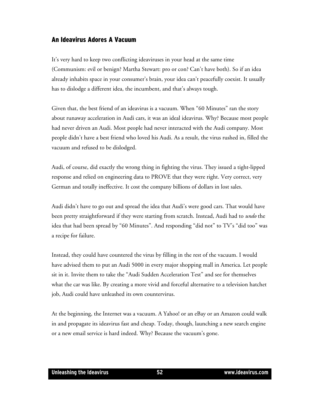# An Ideavirus Adores A Vacuum

It's very hard to keep two conflicting ideaviruses in your head at the same time (Communism: evil or benign? Martha Stewart: pro or con? Can't have both). So if an idea already inhabits space in your consumer's brain, your idea can't peacefully coexist. It usually has to dislodge a different idea, the incumbent, and that's always tough.

Given that, the best friend of an ideavirus is a vacuum. When "60 Minutes" ran the story about runaway acceleration in Audi cars, it was an ideal ideavirus. Why? Because most people had never driven an Audi. Most people had never interacted with the Audi company. Most people didn't have a best friend who loved his Audi. As a result, the virus rushed in, filled the vacuum and refused to be dislodged.

Audi, of course, did exactly the wrong thing in fighting the virus. They issued a tight-lipped response and relied on engineering data to PROVE that they were right. Very correct, very German and totally ineffective. It cost the company billions of dollars in lost sales.

Audi didn't have to go out and spread the idea that Audi's were good cars. That would have been pretty straightforward if they were starting from scratch. Instead, Audi had to *undo* the idea that had been spread by "60 Minutes". And responding "did not" to TV's "did too" was a recipe for failure.

Instead, they could have countered the virus by filling in the rest of the vacuum. I would have advised them to put an Audi 5000 in every major shopping mall in America. Let people sit in it. Invite them to take the "Audi Sudden Acceleration Test" and see for themselves what the car was like. By creating a more vivid and forceful alternative to a television hatchet job, Audi could have unleashed its own countervirus.

At the beginning, the Internet was a vacuum. A Yahoo! or an eBay or an Amazon could walk in and propagate its ideavirus fast and cheap. Today, though, launching a new search engine or a new email service is hard indeed. Why? Because the vacuum's gone.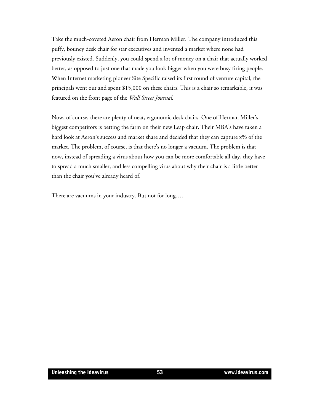Take the much-coveted Aeron chair from Herman Miller. The company introduced this puffy, bouncy desk chair for star executives and invented a market where none had previously existed. Suddenly, you could spend a lot of money on a chair that actually worked better, as opposed to just one that made you look bigger when you were busy firing people. When Internet marketing pioneer Site Specific raised its first round of venture capital, the principals went out and spent \$15,000 on these chairs! This is a chair so remarkable, it was featured on the front page of the *Wall Street Journal*.

Now, of course, there are plenty of neat, ergonomic desk chairs. One of Herman Miller's biggest competitors is betting the farm on their new Leap chair. Their MBA's have taken a hard look at Aeron's success and market share and decided that they can capture x% of the market. The problem, of course, is that there's no longer a vacuum. The problem is that now, instead of spreading a virus about how you can be more comfortable all day, they have to spread a much smaller, and less compelling virus about why their chair is a little better than the chair you've already heard of.

There are vacuums in your industry. But not for long….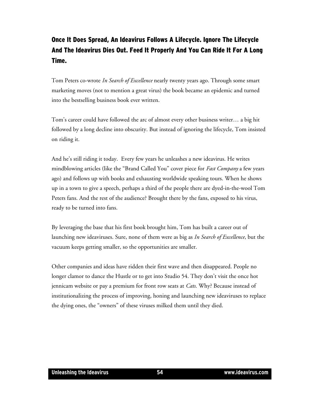# Once It Does Spread, An Ideavirus Follows A Lifecycle. Ignore The Lifecycle And The Ideavirus Dies Out. Feed It Properly And You Can Ride It For A Long Time.

Tom Peters co-wrote *In Search of Excellence* nearly twenty years ago. Through some smart marketing moves (not to mention a great virus) the book became an epidemic and turned into the bestselling business book ever written.

Tom's career could have followed the arc of almost every other business writer… a big hit followed by a long decline into obscurity. But instead of ignoring the lifecycle, Tom insisted on riding it.

And he's still riding it today. Every few years he unleashes a new ideavirus. He writes mindblowing articles (like the "Brand Called You" cover piece for *Fast Company* a few years ago) and follows up with books and exhausting worldwide speaking tours. When he shows up in a town to give a speech, perhaps a third of the people there are dyed-in-the-wool Tom Peters fans. And the rest of the audience? Brought there by the fans, exposed to his virus, ready to be turned into fans.

By leveraging the base that his first book brought him, Tom has built a career out of launching new ideaviruses. Sure, none of them were as big as *In Search of Excellence*, but the vacuum keeps getting smaller, so the opportunities are smaller.

Other companies and ideas have ridden their first wave and then disappeared. People no longer clamor to dance the Hustle or to get into Studio 54. They don't visit the once hot jennicam website or pay a premium for front row seats at *Cats*. Why? Because instead of institutionalizing the process of improving, honing and launching new ideaviruses to replace the dying ones, the "owners" of these viruses milked them until they died.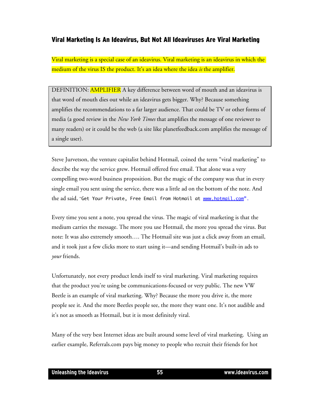# Viral Marketing Is An Ideavirus, But Not All Ideaviruses Are Viral Marketing

Viral marketing is a special case of an ideavirus. Viral marketing is an ideavirus in which the medium of the virus IS the product. It's an idea where the idea *is* the amplifier.

DEFINITION: AMPLIFIER A key difference between word of mouth and an ideavirus is that word of mouth dies out while an ideavirus gets bigger. Why? Because something amplifies the recommendations to a far larger audience. That could be TV or other forms of media (a good review in the *New York Times* that amplifies the message of one reviewer to many readers) or it could be the web (a site like planetfeedback.com amplifies the message of a single user).

Steve Jurvetson, the venture capitalist behind Hotmail, coined the term "viral marketing" to describe the way the service grew. Hotmail offered free email. That alone was a very compelling two-word business proposition. But the magic of the company was that in every single email you sent using the service, there was a little ad on the bottom of the note. And the ad said, "Get Your Private, Free Email from Hotmail at www.hotmail.com".

Every time you sent a note, you spread the virus. The magic of viral marketing is that the medium carries the message. The more you use Hotmail, the more you spread the virus. But note: It was also extremely smooth…. The Hotmail site was just a click away from an email, and it took just a few clicks more to start using it—and sending Hotmail's built-in ads to *your* friends.

Unfortunately, not every product lends itself to viral marketing. Viral marketing requires that the product you're using be communications-focused or very public. The new VW Beetle is an example of viral marketing. Why? Because the more you drive it, the more people see it. And the more Beetles people see, the more they want one. It's not audible and it's not as smooth as Hotmail, but it is most definitely viral.

Many of the very best Internet ideas are built around some level of viral marketing. Using an earlier example, Referrals.com pays big money to people who recruit their friends for hot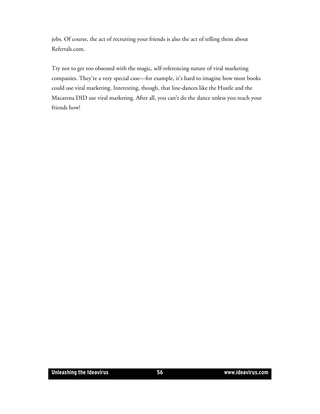jobs. Of course, the act of recruiting your friends is also the act of telling them about Referrals.com.

Try not to get too obsessed with the magic, self-referencing nature of viral marketing companies. They're a very special case—for example, it's hard to imagine how most books could use viral marketing. Interesting, though, that line-dances like the Hustle and the Macarena DID use viral marketing. After all, you can't do the dance unless you teach your friends how!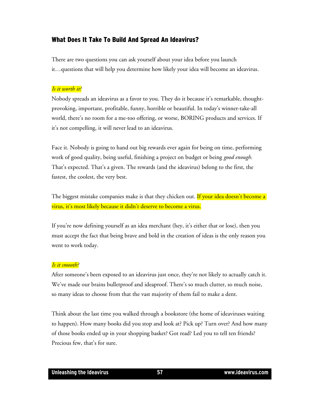# What Does It Take To Build And Spread An Ideavirus?

There are two questions you can ask yourself about your idea before you launch it…questions that will help you determine how likely your idea will become an ideavirus.

### *Is it worth it?*

Nobody spreads an ideavirus as a favor to you. They do it because it's remarkable, thoughtprovoking, important, profitable, funny, horrible or beautiful. In today's winner-take-all world, there's no room for a me-too offering, or worse, BORING products and services. If it's not compelling, it will never lead to an ideavirus.

Face it. Nobody is going to hand out big rewards ever again for being on time, performing work of good quality, being useful, finishing a project on budget or being *good enough*. That's expected. That's a given. The rewards (and the ideavirus) belong to the first, the fastest, the coolest, the very best.

The biggest mistake companies make is that they chicken out. If your idea doesn't become a virus, it's most likely because it didn't deserve to become a virus.

If you're now defining yourself as an idea merchant (hey, it's either that or lose), then you must accept the fact that being brave and bold in the creation of ideas is the only reason you went to work today.

#### *Is it smooth?*

After someone's been exposed to an ideavirus just once, they're not likely to actually catch it. We've made our brains bulletproof and ideaproof. There's so much clutter, so much noise, so many ideas to choose from that the vast majority of them fail to make a dent.

Think about the last time you walked through a bookstore (the home of ideaviruses waiting to happen). How many books did you stop and look at? Pick up? Turn over? And how many of those books ended up in your shopping basket? Got read? Led you to tell ten friends? Precious few, that's for sure.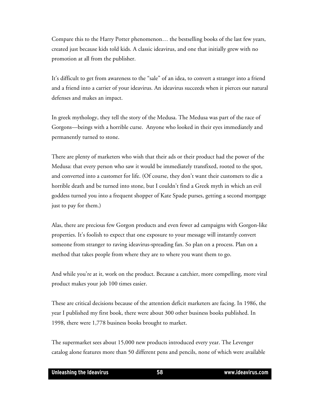Compare this to the Harry Potter phenomenon… the bestselling books of the last few years, created just because kids told kids. A classic ideavirus, and one that initially grew with no promotion at all from the publisher.

It's difficult to get from awareness to the "sale" of an idea, to convert a stranger into a friend and a friend into a carrier of your ideavirus. An ideavirus succeeds when it pierces our natural defenses and makes an impact.

In greek mythology, they tell the story of the Medusa. The Medusa was part of the race of Gorgons—beings with a horrible curse. Anyone who looked in their eyes immediately and permanently turned to stone.

There are plenty of marketers who wish that their ads or their product had the power of the Medusa: that every person who saw it would be immediately transfixed, rooted to the spot, and converted into a customer for life. (Of course, they don't want their customers to die a horrible death and be turned into stone, but I couldn't find a Greek myth in which an evil goddess turned you into a frequent shopper of Kate Spade purses, getting a second mortgage just to pay for them.)

Alas, there are precious few Gorgon products and even fewer ad campaigns with Gorgon-like properties. It's foolish to expect that one exposure to your message will instantly convert someone from stranger to raving ideavirus-spreading fan. So plan on a process. Plan on a method that takes people from where they are to where you want them to go.

And while you're at it, work on the product. Because a catchier, more compelling, more viral product makes your job 100 times easier.

These are critical decisions because of the attention deficit marketers are facing. In 1986, the year I published my first book, there were about 300 other business books published. In 1998, there were 1,778 business books brought to market.

The supermarket sees about 15,000 new products introduced every year. The Levenger catalog alone features more than 50 different pens and pencils, none of which were available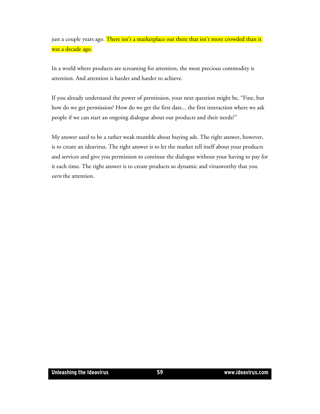just a couple years ago. There isn't a marketplace out there that isn't more crowded than it was a decade ago.

In a world where products are screaming for attention, the most precious commodity is attention. And attention is harder and harder to achieve.

If you already understand the power of permission, your next question might be, "Fine, but how do we get permission? How do we get the first date... the first interaction where we ask people if we can start an ongoing dialogue about our products and their needs?"

My answer used to be a rather weak mumble about buying ads. The right answer, however, is to create an ideavirus. The right answer is to let the market tell itself about your products and services and give you permission to continue the dialogue without your having to pay for it each time. The right answer is to create products so dynamic and virusworthy that you *earn* the attention.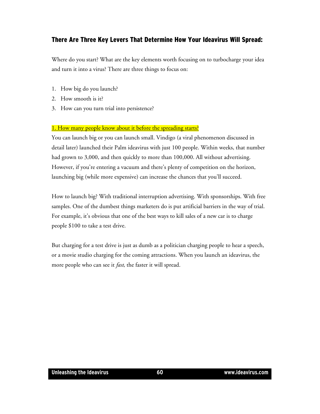# There Are Three Key Levers That Determine How Your Ideavirus Will Spread:

Where do you start? What are the key elements worth focusing on to turbocharge your idea and turn it into a virus? There are three things to focus on:

- 1. How big do you launch?
- 2. How smooth is it?
- 3. How can you turn trial into persistence?

## 1. How many people know about it before the spreading starts?

You can launch big or you can launch small. Vindigo (a viral phenomenon discussed in detail later) launched their Palm ideavirus with just 100 people. Within weeks, that number had grown to 3,000, and then quickly to more than 100,000. All without advertising. However, if you're entering a vacuum and there's plenty of competition on the horizon, launching big (while more expensive) can increase the chances that you'll succeed.

How to launch big? With traditional interruption advertising. With sponsorships. With free samples. One of the dumbest things marketers do is put artificial barriers in the way of trial. For example, it's obvious that one of the best ways to kill sales of a new car is to charge people \$100 to take a test drive.

But charging for a test drive is just as dumb as a politician charging people to hear a speech, or a movie studio charging for the coming attractions. When you launch an ideavirus, the more people who can see it *fast*, the faster it will spread.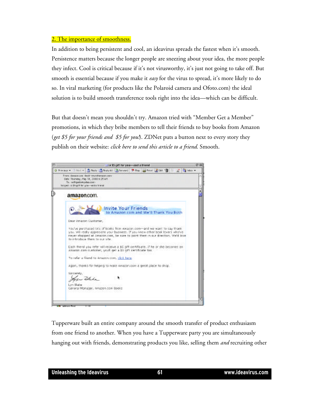#### 2. The importance of smoothness.

In addition to being persistent and cool, an ideavirus spreads the fastest when it's smooth. Persistence matters because the longer people are sneezing about your idea, the more people they infect. Cool is critical because if it's not virusworthy, it's just not going to take off. But smooth is essential because if you make it *easy* for the virus to spread, it's more likely to do so. In viral marketing (for products like the Polaroid camera and Ofoto.com) the ideal solution is to build smooth transference tools right into the idea—which can be difficult.

But that doesn't mean you shouldn't try. Amazon tried with "Member Get a Member" promotions, in which they bribe members to tell their friends to buy books from Amazon (*get \$5 for your friends and \$5 for you!*). ZDNet puts a button next to every story they publish on their website: *click here to send this article to a friend*. Smooth.



Tupperware built an entire company around the smooth transfer of product enthusiasm from one friend to another. When you have a Tupperware party you are simultaneously hanging out with friends, demonstrating products you like, selling them *and* recruiting other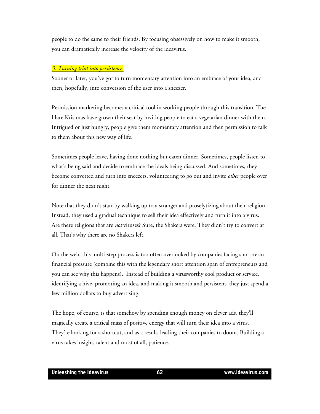people to do the same to their friends. By focusing obsessively on how to make it smooth, you can dramatically increase the velocity of the ideavirus.

#### *3. Turning trial into persistence.*

Sooner or later, you've got to turn momentary attention into an embrace of your idea, and then, hopefully, into conversion of the user into a sneezer.

Permission marketing becomes a critical tool in working people through this transition. The Hare Krishnas have grown their sect by inviting people to eat a vegetarian dinner with them. Intrigued or just hungry, people give them momentary attention and then permission to talk to them about this new way of life.

Sometimes people leave, having done nothing but eaten dinner. Sometimes, people listen to what's being said and decide to embrace the ideals being discussed. And sometimes, they become converted and turn into sneezers, volunteering to go out and invite *other* people over for dinner the next night.

Note that they didn't start by walking up to a stranger and proselytizing about their religion. Instead, they used a gradual technique to sell their idea effectively and turn it into a virus. Are there religions that are *not* viruses? Sure, the Shakers were. They didn't try to convert at all. That's why there are no Shakers left.

On the web, this multi-step process is too often overlooked by companies facing short-term financial pressure (combine this with the legendary short attention span of entrepreneurs and you can see why this happens). Instead of building a virusworthy cool product or service, identifying a hive, promoting an idea, and making it smooth and persistent, they just spend a few million dollars to buy advertising.

The hope, of course, is that somehow by spending enough money on clever ads, they'll magically create a critical mass of positive energy that will turn their idea into a virus. They're looking for a shortcut, and as a result, leading their companies to doom. Building a virus takes insight, talent and most of all, patience.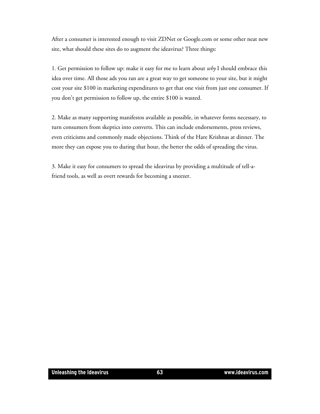After a consumer is interested enough to visit ZDNet or Google.com or some other neat new site, what should these sites do to augment the ideavirus? Three things:

1. Get permission to follow up: make it easy for me to learn about *why* I should embrace this idea over time. All those ads you ran are a great way to get someone to your site, but it might cost your site \$100 in marketing expenditures to get that one visit from just one consumer. If you don't get permission to follow up, the entire \$100 is wasted.

2. Make as many supporting manifestos available as possible, in whatever forms necessary, to turn consumers from skeptics into converts. This can include endorsements, press reviews, even criticisms and commonly made objections. Think of the Hare Krishnas at dinner. The more they can expose you to during that hour, the better the odds of spreading the virus.

3. Make it easy for consumers to spread the ideavirus by providing a multitude of tell-afriend tools, as well as overt rewards for becoming a sneezer.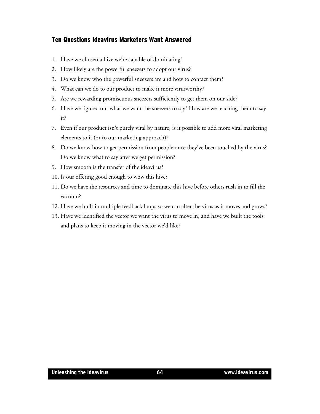# Ten Questions Ideavirus Marketers Want Answered

- 1. Have we chosen a hive we're capable of dominating?
- 2. How likely are the powerful sneezers to adopt our virus?
- 3. Do we know who the powerful sneezers are and how to contact them?
- 4. What can we do to our product to make it more virusworthy?
- 5. Are we rewarding promiscuous sneezers sufficiently to get them on our side?
- 6. Have we figured out what we want the sneezers to say? How are we teaching them to say it?
- 7. Even if our product isn't purely viral by nature, is it possible to add more viral marketing elements to it (or to our marketing approach)?
- 8. Do we know how to get permission from people once they've been touched by the virus? Do we know what to say after we get permission?
- 9. How smooth is the transfer of the ideavirus?
- 10. Is our offering good enough to wow this hive?
- 11. Do we have the resources and time to dominate this hive before others rush in to fill the vacuum?
- 12. Have we built in multiple feedback loops so we can alter the virus as it moves and grows?
- 13. Have we identified the vector we want the virus to move in, and have we built the tools and plans to keep it moving in the vector we'd like?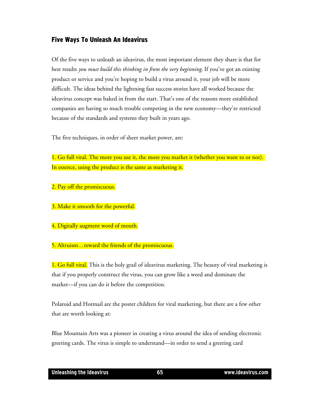# Five Ways To Unleash An Ideavirus

Of the five ways to unleash an ideavirus, the most important element they share is that for best results *you must build this thinking in from the very beginning*. If you've got an existing product or service and you're hoping to build a virus around it, your job will be more difficult. The ideas behind the lightning fast success stories have all worked because the ideavirus concept was baked in from the start. That's one of the reasons more established companies are having so much trouble competing in the new economy—they're restricted because of the standards and systems they built in years ago.

The five techniques, in order of sheer market power, are:

1. Go full viral. The more you use it, the more you market it (whether you want to or not). In essence, using the product is the same as marketing it.

- 2. Pay off the promiscuous.
- 3. Make it smooth for the powerful.
- 4. Digitally augment word of mouth.
- 5. Altruism…reward the friends of the promiscuous.

1. Go full viral. This is the holy grail of ideavirus marketing. The beauty of viral marketing is that if you properly construct the virus, you can grow like a weed and dominate the market—if you can do it before the competition.

Polaroid and Hotmail are the poster children for viral marketing, but there are a few other that are worth looking at:

Blue Mountain Arts was a pioneer in creating a virus around the idea of sending electronic greeting cards. The virus is simple to understand—in order to send a greeting card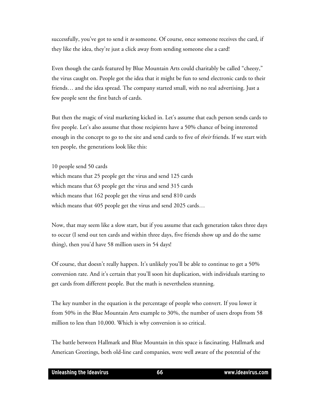successfully, you've got to send it *to* someone. Of course, once someone receives the card, if they like the idea, they're just a click away from sending someone else a card!

Even though the cards featured by Blue Mountain Arts could charitably be called "cheesy," the virus caught on. People got the idea that it might be fun to send electronic cards to their friends… and the idea spread. The company started small, with no real advertising. Just a few people sent the first batch of cards.

But then the magic of viral marketing kicked in. Let's assume that each person sends cards to five people. Let's also assume that those recipients have a 50% chance of being interested enough in the concept to go to the site and send cards to five of *their* friends. If we start with ten people, the generations look like this:

10 people send 50 cards which means that 25 people get the virus and send 125 cards which means that 63 people get the virus and send 315 cards which means that 162 people get the virus and send 810 cards which means that 405 people get the virus and send 2025 cards…

Now, that may seem like a slow start, but if you assume that each generation takes three days to occur (I send out ten cards and within three days, five friends show up and do the same thing), then you'd have 58 million users in 54 days!

Of course, that doesn't really happen. It's unlikely you'll be able to continue to get a 50% conversion rate. And it's certain that you'll soon hit duplication, with individuals starting to get cards from different people. But the math is nevertheless stunning.

The key number in the equation is the percentage of people who convert. If you lower it from 50% in the Blue Mountain Arts example to 30%, the number of users drops from 58 million to less than 10,000. Which is why conversion is so critical.

The battle between Hallmark and Blue Mountain in this space is fascinating. Hallmark and American Greetings, both old-line card companies, were well aware of the potential of the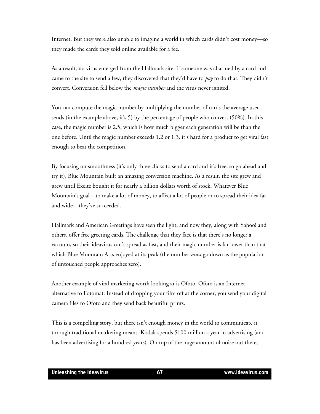Internet. But they were also unable to imagine a world in which cards didn't cost money—so they made the cards they sold online available for a fee.

As a result, no virus emerged from the Hallmark site. If someone was charmed by a card and came to the site to send a few, they discovered that they'd have to *pay* to do that. They didn't convert. Conversion fell below the *magic number* and the virus never ignited.

You can compute the magic number by multiplying the number of cards the average user sends (in the example above, it's 5) by the percentage of people who convert (50%). In this case, the magic number is 2.5, which is how much bigger each generation will be than the one before. Until the magic number exceeds 1.2 or 1.3, it's hard for a product to get viral fast enough to beat the competition.

By focusing on smoothness (it's only three clicks to send a card and it's free, so go ahead and try it), Blue Mountain built an amazing conversion machine. As a result, the site grew and grew until Excite bought it for nearly a billion dollars worth of stock. Whatever Blue Mountain's goal—to make a lot of money, to affect a lot of people or to spread their idea far and wide—they've succeeded.

Hallmark and American Greetings have seen the light, and now they, along with Yahoo! and others, offer free greeting cards. The challenge that they face is that there's no longer a vacuum, so their ideavirus can't spread as fast, and their magic number is far lower than that which Blue Mountain Arts enjoyed at its peak (the number *must* go down as the population of untouched people approaches zero).

Another example of viral marketing worth looking at is Ofoto. Ofoto is an Internet alternative to Fotomat. Instead of dropping your film off at the corner, you send your digital camera files to Ofoto and they send back beautiful prints.

This is a compelling story, but there isn't enough money in the world to communicate it through traditional marketing means. Kodak spends \$100 million a year in advertising (and has been advertising for a hundred years). On top of the huge amount of noise out there,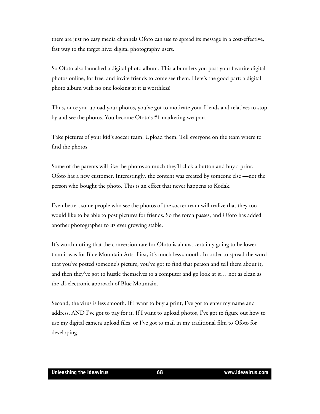there are just no easy media channels Ofoto can use to spread its message in a cost-effective, fast way to the target hive: digital photography users.

So Ofoto also launched a digital photo album. This album lets you post your favorite digital photos online, for free, and invite friends to come see them. Here's the good part: a digital photo album with no one looking at it is worthless!

Thus, once you upload your photos, you've got to motivate your friends and relatives to stop by and see the photos. You become Ofoto's #1 marketing weapon.

Take pictures of your kid's soccer team. Upload them. Tell everyone on the team where to find the photos.

Some of the parents will like the photos so much they'll click a button and buy a print. Ofoto has a new customer. Interestingly, the content was created by someone else —not the person who bought the photo. This is an effect that never happens to Kodak.

Even better, some people who see the photos of the soccer team will realize that they too would like to be able to post pictures for friends. So the torch passes, and Ofoto has added another photographer to its ever growing stable.

It's worth noting that the conversion rate for Ofoto is almost certainly going to be lower than it was for Blue Mountain Arts. First, it's much less smooth. In order to spread the word that you've posted someone's picture, you've got to find that person and tell them about it, and then they've got to hustle themselves to a computer and go look at it… not as clean as the all-electronic approach of Blue Mountain.

Second, the virus is less smooth. If I want to buy a print, I've got to enter my name and address, AND I've got to pay for it. If I want to upload photos, I've got to figure out how to use my digital camera upload files, or I've got to mail in my traditional film to Ofoto for developing.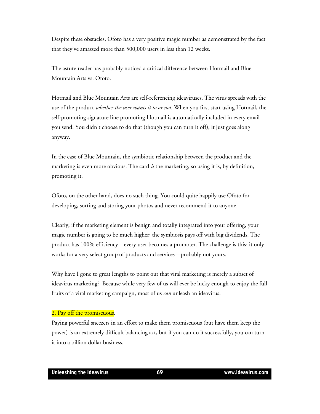Despite these obstacles, Ofoto has a very positive magic number as demonstrated by the fact that they've amassed more than 500,000 users in less than 12 weeks.

The astute reader has probably noticed a critical difference between Hotmail and Blue Mountain Arts vs. Ofoto.

Hotmail and Blue Mountain Arts are self-referencing ideaviruses. The virus spreads with the use of the product *whether the user wants it to or not*. When you first start using Hotmail, the self-promoting signature line promoting Hotmail is automatically included in every email you send. You didn't choose to do that (though you can turn it off), it just goes along anyway.

In the case of Blue Mountain, the symbiotic relationship between the product and the marketing is even more obvious. The card *is* the marketing, so using it is, by definition, promoting it.

Ofoto, on the other hand, does no such thing. You could quite happily use Ofoto for developing, sorting and storing your photos and never recommend it to anyone.

Clearly, if the marketing element is benign and totally integrated into your offering, your magic number is going to be much higher; the symbiosis pays off with big dividends. The product has 100% efficiency…every user becomes a promoter. The challenge is this: it only works for a very select group of products and services—probably not yours.

Why have I gone to great lengths to point out that viral marketing is merely a subset of ideavirus marketing? Because while very few of us will ever be lucky enough to enjoy the full fruits of a viral marketing campaign, most of us *can* unleash an ideavirus.

#### 2. Pay off the promiscuous.

Paying powerful sneezers in an effort to make them promiscuous (but have them keep the power) is an extremely difficult balancing act, but if you can do it successfully, you can turn it into a billion dollar business.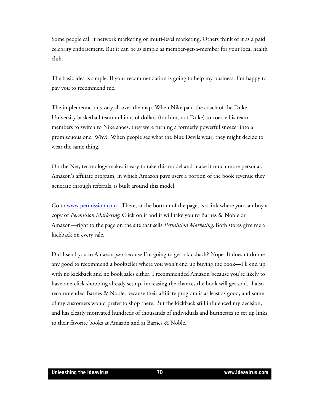Some people call it network marketing or multi-level marketing. Others think of it as a paid celebrity endorsement. But it can be as simple as member-get-a-member for your local health club.

The basic idea is simple: If your recommendation is going to help my business, I'm happy to pay you to recommend me.

The implementations vary all over the map. When Nike paid the coach of the Duke University basketball team millions of dollars (for him, not Duke) to coerce his team members to switch to Nike shoes, they were turning a formerly powerful sneezer into a promiscuous one. Why? When people see what the Blue Devils wear, they might decide to wear the same thing.

On the Net, technology makes it easy to take this model and make it much more personal. Amazon's affiliate program, in which Amazon pays users a portion of the book revenue they generate through referrals, is built around this model.

Go to www.permission.com. There, at the bottom of the page, is a link where you can buy a copy of *Permission Marketing*. Click on it and it will take you to Barnes & Noble or Amazon—right to the page on the site that sells *Permission Marketing.* Both stores give me a kickback on every sale.

Did I send you to Amazon *just* because I'm going to get a kickback? Nope. It doesn't do me any good to recommend a bookseller where you won't end up buying the book—I'll end up with no kickback and no book sales either. I recommended Amazon because you're likely to have one-click shopping already set up, increasing the chances the book will get sold. I also recommended Barnes & Noble, because their affiliate program is at least as good, and some of my customers would prefer to shop there. But the kickback still influenced my decision, and has clearly motivated hundreds of thousands of individuals and businesses to set up links to their favorite books at Amazon and at Barnes & Noble.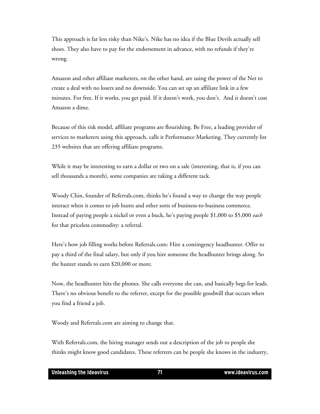This approach is far less risky than Nike's. Nike has no idea if the Blue Devils actually sell shoes. They also have to pay for the endorsement in advance, with no refunds if they're wrong.

Amazon and other affiliate marketers, on the other hand, are using the power of the Net to create a deal with no losers and no downside. You can set up an affiliate link in a few minutes. For free. If it works, you get paid. If it doesn't work, you don't. And it doesn't cost Amazon a dime.

Because of this risk model, affiliate programs are flourishing. Be Free, a leading provider of services to marketers using this approach, calls it Performance Marketing. They currently list 235 websites that are offering affiliate programs.

While it may be interesting to earn a dollar or two on a sale (interesting, that is, if you can sell thousands a month), some companies are taking a different tack.

Woody Chin, founder of Referrals.com, thinks he's found a way to change the way people interact when it comes to job hunts and other sorts of business-to-business commerce. Instead of paying people a nickel or even a buck, he's paying people \$1,000 to \$5,000 *each* for that priceless commodity: a referral.

Here's how job filling works before Referrals.com: Hire a contingency headhunter. Offer to pay a third of the final salary, but only if you hire someone the headhunter brings along. So the hunter stands to earn \$20,000 or more.

Now, the headhunter hits the phones. She calls everyone she can, and basically begs for leads. There's no obvious benefit to the referrer, except for the possible goodwill that occurs when you find a friend a job.

Woody and Referrals.com are aiming to change that.

With Referrals.com, the hiring manager sends out a description of the job to people she thinks might know good candidates. These referrers can be people she knows in the industry,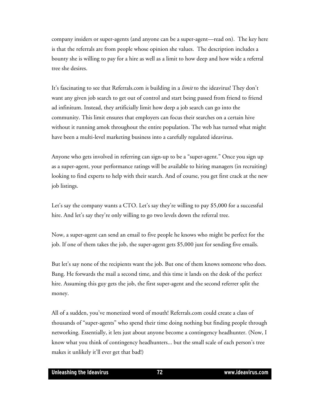company insiders or super-agents (and anyone can be a super-agent—read on). The key here is that the referrals are from people whose opinion she values. The description includes a bounty she is willing to pay for a hire as well as a limit to how deep and how wide a referral tree she desires.

It's fascinating to see that Referrals.com is building in a *limit* to the ideavirus! They don't want any given job search to get out of control and start being passed from friend to friend ad infinitum. Instead, they artificially limit how deep a job search can go into the community. This limit ensures that employers can focus their searches on a certain hive without it running amok throughout the entire population. The web has turned what might have been a multi-level marketing business into a carefully regulated ideavirus.

Anyone who gets involved in referring can sign-up to be a "super-agent." Once you sign up as a super-agent, your performance ratings will be available to hiring managers (in recruiting) looking to find experts to help with their search. And of course, you get first crack at the new job listings.

Let's say the company wants a CTO. Let's say they're willing to pay \$5,000 for a successful hire. And let's say they're only willing to go two levels down the referral tree.

Now, a super-agent can send an email to five people he knows who might be perfect for the job. If one of them takes the job, the super-agent gets \$5,000 just for sending five emails.

But let's say none of the recipients want the job. But one of them knows someone who does. Bang. He forwards the mail a second time, and this time it lands on the desk of the perfect hire. Assuming this guy gets the job, the first super-agent and the second referrer split the money.

All of a sudden, you've monetized word of mouth! Referrals.com could create a class of thousands of "super-agents" who spend their time doing nothing but finding people through networking. Essentially, it lets just about anyone become a contingency headhunter. (Now, I know what you think of contingency headhunters... but the small scale of each person's tree makes it unlikely it'll ever get that bad!)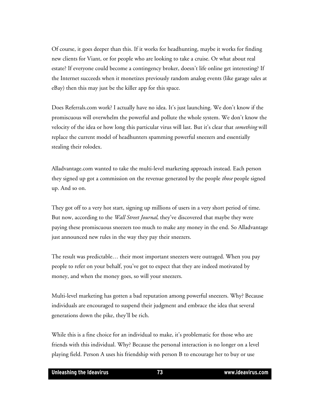Of course, it goes deeper than this. If it works for headhunting, maybe it works for finding new clients for Viant, or for people who are looking to take a cruise. Or what about real estate? If everyone could become a contingency broker, doesn't life online get interesting? If the Internet succeeds when it monetizes previously random analog events (like garage sales at eBay) then this may just be the killer app for this space.

Does Referrals.com work? I actually have no idea. It's just launching. We don't know if the promiscuous will overwhelm the powerful and pollute the whole system. We don't know the velocity of the idea or how long this particular virus will last. But it's clear that *something* will replace the current model of headhunters spamming powerful sneezers and essentially stealing their rolodex.

Alladvantage.com wanted to take the multi-level marketing approach instead. Each person they signed up got a commission on the revenue generated by the people *those* people signed up. And so on.

They got off to a very hot start, signing up millions of users in a very short period of time. But now, according to the *Wall Street Journal*, they've discovered that maybe they were paying these promiscuous sneezers too much to make any money in the end. So Alladvantage just announced new rules in the way they pay their sneezers.

The result was predictable… their most important sneezers were outraged. When you pay people to refer on your behalf, you've got to expect that they are indeed motivated by money, and when the money goes, so will your sneezers.

Multi-level marketing has gotten a bad reputation among powerful sneezers. Why? Because individuals are encouraged to suspend their judgment and embrace the idea that several generations down the pike, they'll be rich.

While this is a fine choice for an individual to make, it's problematic for those who are friends with this individual. Why? Because the personal interaction is no longer on a level playing field. Person A uses his friendship with person B to encourage her to buy or use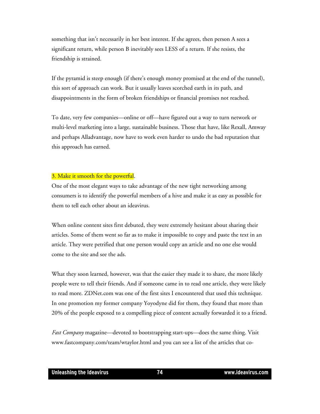something that isn't necessarily in her best interest. If she agrees, then person A sees a significant return, while person B inevitably sees LESS of a return. If she resists, the friendship is strained.

If the pyramid is steep enough (if there's enough money promised at the end of the tunnel), this sort of approach can work. But it usually leaves scorched earth in its path, and disappointments in the form of broken friendships or financial promises not reached.

To date, very few companies—online or off—have figured out a way to turn network or multi-level marketing into a large, sustainable business. Those that have, like Rexall, Amway and perhaps Alladvantage, now have to work even harder to undo the bad reputation that this approach has earned.

#### 3. Make it smooth for the powerful.

One of the most elegant ways to take advantage of the new tight networking among consumers is to identify the powerful members of a hive and make it as easy as possible for them to tell each other about an ideavirus.

When online content sites first debuted, they were extremely hesitant about sharing their articles. Some of them went so far as to make it impossible to copy and paste the text in an article. They were petrified that one person would copy an article and no one else would come to the site and see the ads.

What they soon learned, however, was that the easier they made it to share, the more likely people were to tell their friends. And if someone came in to read one article, they were likely to read more. ZDNet.com was one of the first sites I encountered that used this technique. In one promotion my former company Yoyodyne did for them, they found that more than 20% of the people exposed to a compelling piece of content actually forwarded it to a friend.

*Fast Company* magazine—devoted to bootstrapping start-ups—does the same thing. Visit www.fastcompany.com/team/wtaylor.html and you can see a list of the articles that co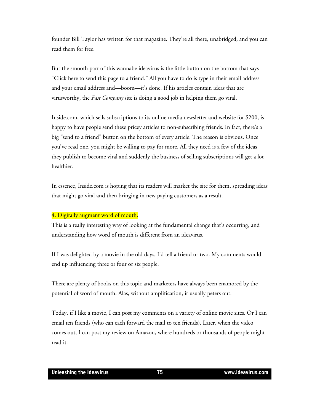founder Bill Taylor has written for that magazine. They're all there, unabridged, and you can read them for free.

But the smooth part of this wannabe ideavirus is the little button on the bottom that says "Click here to send this page to a friend." All you have to do is type in their email address and your email address and—boom—it's done. If his articles contain ideas that are virusworthy, the *Fast Company* site is doing a good job in helping them go viral.

Inside.com, which sells subscriptions to its online media newsletter and website for \$200, is happy to have people send these pricey articles to non-subscribing friends. In fact, there's a big "send to a friend" button on the bottom of every article. The reason is obvious. Once you've read one, you might be willing to pay for more. All they need is a few of the ideas they publish to become viral and suddenly the business of selling subscriptions will get a lot healthier.

In essence, Inside.com is hoping that its readers will market the site for them, spreading ideas that might go viral and then bringing in new paying customers as a result.

#### 4. Digitally augment word of mouth.

This is a really interesting way of looking at the fundamental change that's occurring, and understanding how word of mouth is different from an ideavirus.

If I was delighted by a movie in the old days, I'd tell a friend or two. My comments would end up influencing three or four or six people.

There are plenty of books on this topic and marketers have always been enamored by the potential of word of mouth. Alas, without amplification, it usually peters out.

Today, if I like a movie, I can post my comments on a variety of online movie sites. Or I can email ten friends (who can each forward the mail to ten friends). Later, when the video comes out, I can post my review on Amazon, where hundreds or thousands of people might read it.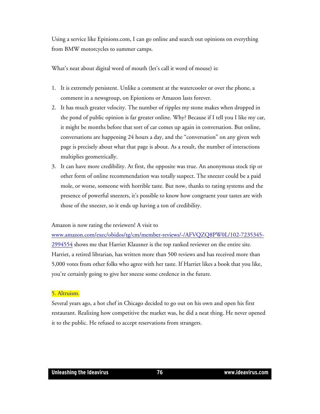Using a service like Epinions.com, I can go online and search out opinions on everything from BMW motorcycles to summer camps.

What's neat about digital word of mouth (let's call it word of mouse) is:

- 1. It is extremely persistent. Unlike a comment at the watercooler or over the phone, a comment in a newsgroup, on Epionions or Amazon lasts forever.
- 2. It has much greater velocity. The number of ripples my stone makes when dropped in the pond of public opinion is far greater online. Why? Because if I tell you I like my car, it might be months before that sort of car comes up again in conversation. But online, conversations are happening 24 hours a day, and the "conversation" on any given web page is precisely about what that page is about. As a result, the number of interactions multiplies geometrically.
- 3. It can have more credibility. At first, the opposite was true. An anonymous stock tip or other form of online recommendation was totally suspect. The sneezer could be a paid mole, or worse, someone with horrible taste. But now, thanks to rating systems and the presence of powerful sneezers, it's possible to know how congruent your tastes are with those of the sneezer, so it ends up having a ton of credibility.

#### Amazon is now rating the reviewers! A visit to

www.amazon.com/exec/obidos/tg/cm/member-reviews/-/AFVQZQ8PW0L/102-7235345- 2994554 shows me that Harriet Klausner is the top ranked reviewer on the entire site. Harriet, a retired librarian, has written more than 500 reviews and has received more than 5,000 votes from other folks who agree with her taste. If Harriet likes a book that you like, you're certainly going to give her sneeze some credence in the future.

#### 5. Altruism.

Several years ago, a hot chef in Chicago decided to go out on his own and open his first restaurant. Realizing how competitive the market was, he did a neat thing. He never opened it to the public. He refused to accept reservations from strangers.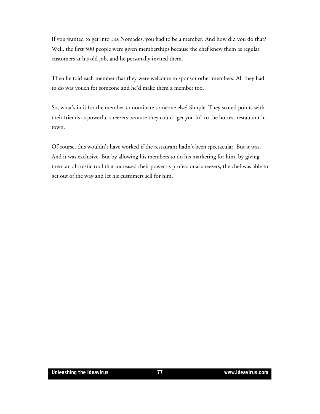If you wanted to get into Les Nomades, you had to be a member. And how did you do that? Well, the first 500 people were given memberships because the chef knew them as regular customers at his old job, and he personally invited them.

Then he told each member that they were welcome to sponsor other members. All they had to do was vouch for someone and he'd make them a member too.

So, what's in it for the member to nominate someone else? Simple. They scored points with their friends as powerful sneezers because they could "get you in" to the hottest restaurant in town.

Of course, this wouldn't have worked if the restaurant hadn't been spectacular. But it was. And it was exclusive. But by allowing his members to do his marketing for him, by giving them an altruistic tool that increased their power as professional sneezers, the chef was able to get out of the way and let his customers sell for him.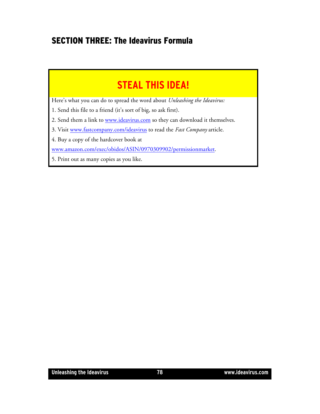## SECTION THREE: The Ideavirus Formula

# **STEAL THIS IDEA!**

Here's what you can do to spread the word about *Unleashing the Ideavirus:*

- 1. Send this file to a friend (it's sort of big, so ask first).
- 2. Send them a link t[o www.ideavirus.com s](http://www.ideavirus.com)o they can download it themselves.
- 3. Vis[it www.fastcompany.com/ideavirus to](http://www.fastcompany.com/ideavirus) read the *Fast Company* article.
- 4. Buy a copy of the hardcover book at

[www.amazon.com/exec/obidos/ASIN/0970309902/permissionmarket .](http://www.amazon.com/exec/obidos/ASIN/0970309902/permissionmarket)

5. Print out as many copies as you like.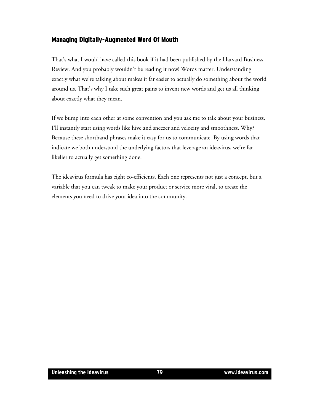## Managing Digitally-Augmented Word Of Mouth

That's what I would have called this book if it had been published by the Harvard Business Review. And you probably wouldn't be reading it now! Words matter. Understanding exactly what we're talking about makes it far easier to actually do something about the world around us. That's why I take such great pains to invent new words and get us all thinking about exactly what they mean.

If we bump into each other at some convention and you ask me to talk about your business, I'll instantly start using words like hive and sneezer and velocity and smoothness. Why? Because these shorthand phrases make it easy for us to communicate. By using words that indicate we both understand the underlying factors that leverage an ideavirus, we're far likelier to actually get something done.

The ideavirus formula has eight co-efficients. Each one represents not just a concept, but a variable that you can tweak to make your product or service more viral, to create the elements you need to drive your idea into the community.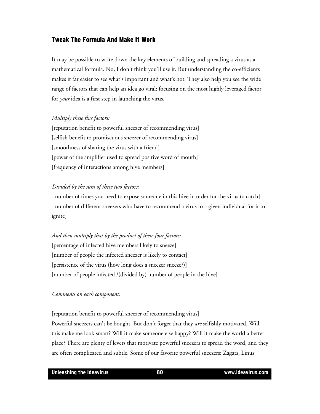#### Tweak The Formula And Make It Work

It may be possible to write down the key elements of building and spreading a virus as a mathematical formula. No, I don't think you'll use it. But understanding the co-efficients makes it far easier to see what's important and what's not. They also help you see the wide range of factors that can help an idea go viral; focusing on the most highly leveraged factor for *your* idea is a first step in launching the virus.

#### *Multiply these five factors:*

[reputation benefit to powerful sneezer of recommending virus] [selfish benefit to promiscuous sneezer of recommending virus] [smoothness of sharing the virus with a friend] [power of the amplifier used to spread positive word of mouth] [frequency of interactions among hive members]

#### *Divided by the sum of these two factors:*

 [number of times you need to expose someone in this hive in order for the virus to catch] [number of different sneezers who have to recommend a virus to a given individual for it to ignite]

*And then multiply that by the product of these four factors:* [percentage of infected hive members likely to sneeze] [number of people the infected sneezer is likely to contact] [persistence of the virus (how long does a sneezer sneeze?)] [number of people infected /(divided by) number of people in the hive]

#### *Comments on each component:*

[reputation benefit to powerful sneezer of recommending virus] Powerful sneezers can't be bought. But don't forget that they *are* selfishly motivated. Will this make me look smart? Will it make someone else happy? Will it make the world a better place? There are plenty of levers that motivate powerful sneezers to spread the word, and they are often complicated and subtle. Some of our favorite powerful sneezers: Zagats, Linus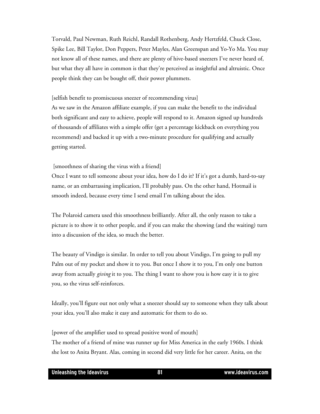Torvald, Paul Newman, Ruth Reichl, Randall Rothenberg, Andy Hertzfeld, Chuck Close, Spike Lee, Bill Taylor, Don Peppers, Peter Mayles, Alan Greenspan and Yo-Yo Ma. You may not know all of these names, and there are plenty of hive-based sneezers I've never heard of, but what they all have in common is that they're perceived as insightful and altruistic. Once people think they can be bought off, their power plummets.

[selfish benefit to promiscuous sneezer of recommending virus]

As we saw in the Amazon affiliate example, if you can make the benefit to the individual both significant and easy to achieve, people will respond to it. Amazon signed up hundreds of thousands of affiliates with a simple offer (get a percentage kickback on everything you recommend) and backed it up with a two-minute procedure for qualifying and actually getting started.

[smoothness of sharing the virus with a friend]

Once I want to tell someone about your idea, how do I do it? If it's got a dumb, hard-to-say name, or an embarrassing implication, I'll probably pass. On the other hand, Hotmail is smooth indeed, because every time I send email I'm talking about the idea.

The Polaroid camera used this smoothness brilliantly. After all, the only reason to take a picture is to show it to other people, and if you can make the showing (and the waiting) turn into a discussion of the idea, so much the better.

The beauty of Vindigo is similar. In order to tell you about Vindigo, I'm going to pull my Palm out of my pocket and show it to you. But once I show it to you, I'm only one button away from actually *giving* it to you. The thing I want to show you is how easy it is to give you, so the virus self-reinforces.

Ideally, you'll figure out not only what a sneezer should say to someone when they talk about your idea, you'll also make it easy and automatic for them to do so.

[power of the amplifier used to spread positive word of mouth] The mother of a friend of mine was runner up for Miss America in the early 1960s. I think she lost to Anita Bryant. Alas, coming in second did very little for her career. Anita, on the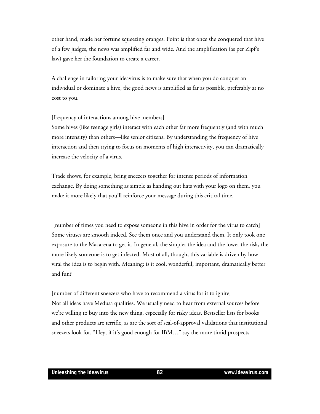other hand, made her fortune squeezing oranges. Point is that once she conquered that hive of a few judges, the news was amplified far and wide. And the amplification (as per Zipf's law) gave her the foundation to create a career.

A challenge in tailoring your ideavirus is to make sure that when you do conquer an individual or dominate a hive, the good news is amplified as far as possible, preferably at no cost to you.

#### [frequency of interactions among hive members]

Some hives (like teenage girls) interact with each other far more frequently (and with much more intensity) than others—like senior citizens. By understanding the frequency of hive interaction and then trying to focus on moments of high interactivity, you can dramatically increase the velocity of a virus.

Trade shows, for example, bring sneezers together for intense periods of information exchange. By doing something as simple as handing out hats with your logo on them, you make it more likely that you'll reinforce your message during this critical time.

 [number of times you need to expose someone in this hive in order for the virus to catch] Some viruses are smooth indeed. See them once and you understand them. It only took one exposure to the Macarena to get it. In general, the simpler the idea and the lower the risk, the more likely someone is to get infected. Most of all, though, this variable is driven by how viral the idea is to begin with. Meaning: is it cool, wonderful, important, dramatically better and fun?

[number of different sneezers who have to recommend a virus for it to ignite] Not all ideas have Medusa qualities. We usually need to hear from external sources before we're willing to buy into the new thing, especially for risky ideas. Bestseller lists for books and other products are terrific, as are the sort of seal-of-approval validations that institutional sneezers look for. "Hey, if it's good enough for IBM…" say the more timid prospects.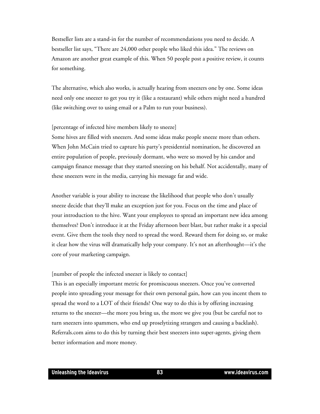Bestseller lists are a stand-in for the number of recommendations you need to decide. A bestseller list says, "There are 24,000 other people who liked this idea." The reviews on Amazon are another great example of this. When 50 people post a positive review, it counts for something.

The alternative, which also works, is actually hearing from sneezers one by one. Some ideas need only one sneezer to get you try it (like a restaurant) while others might need a hundred (like switching over to using email or a Palm to run your business).

#### [percentage of infected hive members likely to sneeze]

Some hives are filled with sneezers. And some ideas make people sneeze more than others. When John McCain tried to capture his party's presidential nomination, he discovered an entire population of people, previously dormant, who were so moved by his candor and campaign finance message that they started sneezing on his behalf. Not accidentally, many of these sneezers were in the media, carrying his message far and wide.

Another variable is your ability to increase the likelihood that people who don't usually sneeze decide that they'll make an exception just for you. Focus on the time and place of your introduction to the hive. Want your employees to spread an important new idea among themselves? Don't introduce it at the Friday afternoon beer blast, but rather make it a special event. Give them the tools they need to spread the word. Reward them for doing so, or make it clear how the virus will dramatically help your company. It's not an afterthought—it's the core of your marketing campaign.

#### [number of people the infected sneezer is likely to contact]

This is an especially important metric for promiscuous sneezers. Once you've converted people into spreading your message for their own personal gain, how can you incent them to spread the word to a LOT of their friends? One way to do this is by offering increasing returns to the sneezer—the more you bring us, the more we give you (but be careful not to turn sneezers into spammers, who end up proselytizing strangers and causing a backlash). Referrals.com aims to do this by turning their best sneezers into super-agents, giving them better information and more money.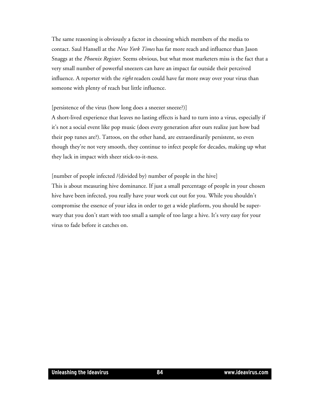The same reasoning is obviously a factor in choosing which members of the media to contact. Saul Hansell at the *New York Times* has far more reach and influence than Jason Snaggs at the *Phoenix Register*. Seems obvious, but what most marketers miss is the fact that a very small number of powerful sneezers can have an impact far outside their perceived influence. A reporter with the *right* readers could have far more sway over your virus than someone with plenty of reach but little influence.

#### [persistence of the virus (how long does a sneezer sneeze?)]

A short-lived experience that leaves no lasting effects is hard to turn into a virus, especially if it's not a social event like pop music (does every generation after ours realize just how bad their pop tunes are?). Tattoos, on the other hand, are extraordinarily persistent, so even though they're not very smooth, they continue to infect people for decades, making up what they lack in impact with sheer stick-to-it-ness.

[number of people infected /(divided by) number of people in the hive] This is about measuring hive dominance. If just a small percentage of people in your chosen hive have been infected, you really have your work cut out for you. While you shouldn't compromise the essence of your idea in order to get a wide platform, you should be superwary that you don't start with too small a sample of too large a hive. It's very easy for your virus to fade before it catches on.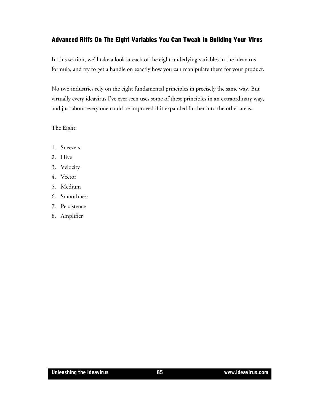## Advanced Riffs On The Eight Variables You Can Tweak In Building Your Virus

In this section, we'll take a look at each of the eight underlying variables in the ideavirus formula, and try to get a handle on exactly how you can manipulate them for your product.

No two industries rely on the eight fundamental principles in precisely the same way. But virtually every ideavirus I've ever seen uses some of these principles in an extraordinary way, and just about every one could be improved if it expanded further into the other areas.

The Eight:

- 1. Sneezers
- 2. Hive
- 3. Velocity
- 4. Vector
- 5. Medium
- 6. Smoothness
- 7. Persistence
- 8. Amplifier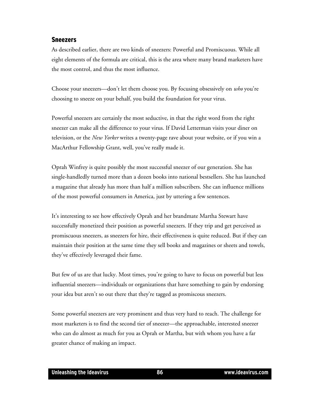#### Sneezers

As described earlier, there are two kinds of sneezers: Powerful and Promiscuous. While all eight elements of the formula are critical, this is the area where many brand marketers have the most control, and thus the most influence.

Choose your sneezers—don't let them choose you. By focusing obsessively on *who* you're choosing to sneeze on your behalf, you build the foundation for your virus.

Powerful sneezers are certainly the most seductive, in that the right word from the right sneezer can make all the difference to your virus. If David Letterman visits your diner on television, or the *New Yorker* writes a twenty-page rave about your website, or if you win a MacArthur Fellowship Grant, well, you've really made it.

Oprah Winfrey is quite possibly the most successful sneezer of our generation. She has single-handledly turned more than a dozen books into national bestsellers. She has launched a magazine that already has more than half a million subscribers. She can influence millions of the most powerful consumers in America, just by uttering a few sentences.

It's interesting to see how effectively Oprah and her brandmate Martha Stewart have successfully monetized their position as powerful sneezers. If they trip and get perceived as promiscuous sneezers, as sneezers for hire, their effectiveness is quite reduced. But if they can maintain their position at the same time they sell books and magazines or sheets and towels, they've effectively leveraged their fame.

But few of us are that lucky. Most times, you're going to have to focus on powerful but less influential sneezers—individuals or organizations that have something to gain by endorsing your idea but aren't so out there that they're tagged as promiscous sneezers.

Some powerful sneezers are very prominent and thus very hard to reach. The challenge for most marketers is to find the second tier of sneezer—the approachable, interested sneezer who can do almost as much for you as Oprah or Martha, but with whom you have a far greater chance of making an impact.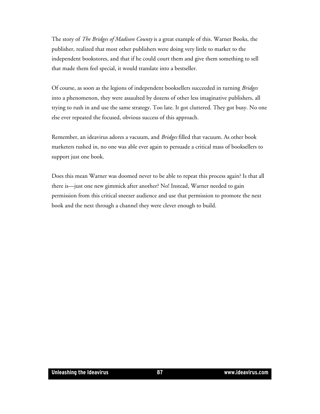The story of *The Bridges of Madison County* is a great example of this. Warner Books, the publisher, realized that most other publishers were doing very little to market to the independent bookstores, and that if he could court them and give them something to sell that made them feel special, it would translate into a bestseller.

Of course, as soon as the legions of independent booksellers succeeded in turning *Bridges* into a phenomenon, they were assaulted by dozens of other less imaginative publishers, all trying to rush in and use the same strategy. Too late. It got cluttered. They got busy. No one else ever repeated the focused, obvious success of this approach.

Remember, an ideavirus adores a vacuum, and *Bridges* filled that vacuum. As other book marketers rushed in, no one was able ever again to persuade a critical mass of booksellers to support just one book.

Does this mean Warner was doomed never to be able to repeat this process again? Is that all there is—just one new gimmick after another? No! Instead, Warner needed to gain permission from this critical sneezer audience and use that permission to promote the next book and the next through a channel they were clever enough to build.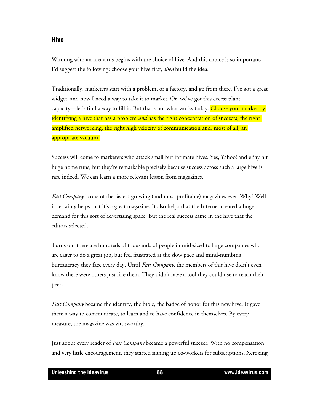#### Hive

Winning with an ideavirus begins with the choice of hive. And this choice is so important, I'd suggest the following: choose your hive first, *then* build the idea.

Traditionally, marketers start with a problem, or a factory, and go from there. I've got a great widget, and now I need a way to take it to market. Or, we've got this excess plant capacity—let's find a way to fill it. But that's not what works today. Choose your market by identifying a hive that has a problem *and* has the right concentration of sneezers, the right amplified networking, the right high velocity of communication and, most of all, an appropriate vacuum.

Success will come to marketers who attack small but intimate hives. Yes, Yahoo! and eBay hit huge home runs, but they're remarkable precisely because success across such a large hive is rare indeed. We can learn a more relevant lesson from magazines.

*Fast Company* is one of the fastest-growing (and most profitable) magazines ever. Why? Well it certainly helps that it's a great magazine. It also helps that the Internet created a huge demand for this sort of advertising space. But the real success came in the hive that the editors selected.

Turns out there are hundreds of thousands of people in mid-sized to large companies who are eager to do a great job, but feel frustrated at the slow pace and mind-numbing bureaucracy they face every day. Until *Fast Company,* the members of this hive didn't even know there were others just like them. They didn't have a tool they could use to reach their peers.

*Fast Company* became the identity, the bible, the badge of honor for this new hive. It gave them a way to communicate, to learn and to have confidence in themselves. By every measure, the magazine was virusworthy.

Just about every reader of *Fast Company* became a powerful sneezer. With no compensation and very little encouragement, they started signing up co-workers for subscriptions, Xeroxing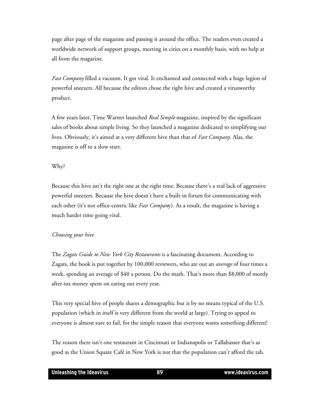page after page of the magazine and passing it around the office. The readers even created a worldwide network of support groups, meeting in cities on a monthly basis, with no help at all from the magazine.

*Fast Company* filled a vacuum. It got viral. It enchanted and connected with a huge legion of powerful sneezers. All because the editors chose the right hive and created a virusworthy product.

A few years later, Time Warner launched *Real Simple* magazine, inspired by the significant sales of books about simple living. So they launched a magazine dedicated to simplifying our lives. Obviously, it's aimed at a very different hive than that of *Fast Company*. Alas, the magazine is off to a slow start.

#### Why?

Because this hive isn't the right one at the right time. Because there's a real lack of aggressive powerful sneezers. Because the hive doesn't have a built-in forum for communicating with each other (it's not office-centric like *Fast Compan*y). As a result, the magazine is having a much harder time going viral.

#### *Choosing your hive*

The *Zagats Guide to New York City Restaurants* is a fascinating document. According to Zagats, the book is put together by 100,000 reviewers, who ate out an *average* of four times a week, spending an average of \$40 a person. Do the math. That's more than \$8,000 of mostly after-tax money spent on eating out every year.

This very special hive of people shares a demographic but is by no means typical of the U.S. population (which in itself is very different from the world at large). Trying to appeal to everyone is almost sure to fail, for the simple reason that everyone wants something different!

The reason there isn't one restaurant in Cincinnati or Indianapolis or Tallahassee that's as good as the Union Square Café in New York is not that the population can't afford the tab.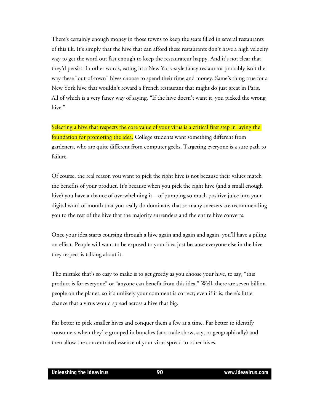There's certainly enough money in those towns to keep the seats filled in several restaurants of this ilk. It's simply that the hive that can afford these restaurants don't have a high velocity way to get the word out fast enough to keep the restaurateur happy. And it's not clear that they'd persist. In other words, eating in a New York-style fancy restaurant probably isn't the way these "out-of-town" hives choose to spend their time and money. Same's thing true for a New York hive that wouldn't reward a French restaurant that might do just great in Paris. All of which is a very fancy way of saying, "If the hive doesn't want it, you picked the wrong hive."

Selecting a hive that respects the core value of your virus is a critical first step in laying the foundation for promoting the idea. College students want something different from gardeners, who are quite different from computer geeks. Targeting everyone is a sure path to failure.

Of course, the real reason you want to pick the right hive is not because their values match the benefits of your product. It's because when you pick the right hive (and a small enough hive) you have a chance of overwhelming it—of pumping so much positive juice into your digital word of mouth that you really do dominate, that so many sneezers are recommending you to the rest of the hive that the majority surrenders and the entire hive converts.

Once your idea starts coursing through a hive again and again and again, you'll have a piling on effect. People will want to be exposed to your idea just because everyone else in the hive they respect is talking about it.

The mistake that's so easy to make is to get greedy as you choose your hive, to say, "this product is for everyone" or "anyone can benefit from this idea." Well, there are seven billion people on the planet, so it's unlikely your comment is correct; even if it is, there's little chance that a virus would spread across a hive that big.

Far better to pick smaller hives and conquer them a few at a time. Far better to identify consumers when they're grouped in bunches (at a trade show, say, or geographically) and then allow the concentrated essence of your virus spread to other hives.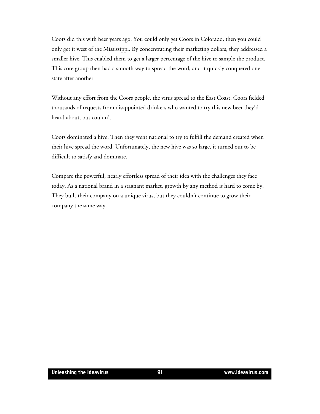Coors did this with beer years ago. You could only get Coors in Colorado, then you could only get it west of the Mississippi. By concentrating their marketing dollars, they addressed a smaller hive. This enabled them to get a larger percentage of the hive to sample the product. This core group then had a smooth way to spread the word, and it quickly conquered one state after another.

Without any effort from the Coors people, the virus spread to the East Coast. Coors fielded thousands of requests from disappointed drinkers who wanted to try this new beer they'd heard about, but couldn't.

Coors dominated a hive. Then they went national to try to fulfill the demand created when their hive spread the word. Unfortunately, the new hive was so large, it turned out to be difficult to satisfy and dominate.

Compare the powerful, nearly effortless spread of their idea with the challenges they face today. As a national brand in a stagnant market, growth by any method is hard to come by. They built their company on a unique virus, but they couldn't continue to grow their company the same way.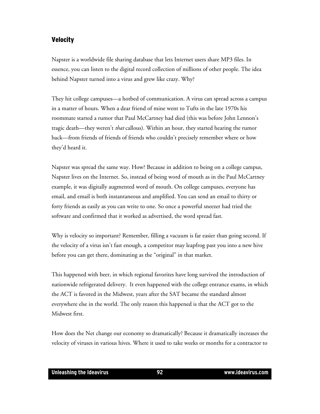## Velocity

Napster is a worldwide file sharing database that lets Internet users share MP3 files. In essence, you can listen to the digital record collection of millions of other people. The idea behind Napster turned into a virus and grew like crazy. Why?

They hit college campuses—a hotbed of communication. A virus can spread across a campus in a matter of hours. When a dear friend of mine went to Tufts in the late 1970s his roommate started a rumor that Paul McCartney had died (this was before John Lennon's tragic death—they weren't *that* callous). Within an hour, they started hearing the rumor back—from friends of friends of friends who couldn't precisely remember where or how they'd heard it.

Napster was spread the same way. How? Because in addition to being on a college campus, Napster lives on the Internet. So, instead of being word of mouth as in the Paul McCartney example, it was digitally augmented word of mouth. On college campuses, everyone has email, and email is both instantaneous and amplified. You can send an email to thirty or forty friends as easily as you can write to one. So once a powerful sneezer had tried the software and confirmed that it worked as advertised, the word spread fast.

Why is velocity so important? Remember, filling a vacuum is far easier than going second. If the velocity of a virus isn't fast enough, a competitor may leapfrog past you into a new hive before you can get there, dominating as the "original" in that market.

This happened with beer, in which regional favorites have long survived the introduction of nationwide refrigerated delivery. It even happened with the college entrance exams, in which the ACT is favored in the Midwest, years after the SAT became the standard almost everywhere else in the world. The only reason this happened is that the ACT got to the Midwest first.

How does the Net change our economy so dramatically? Because it dramatically increases the velocity of viruses in various hives. Where it used to take weeks or months for a contractor to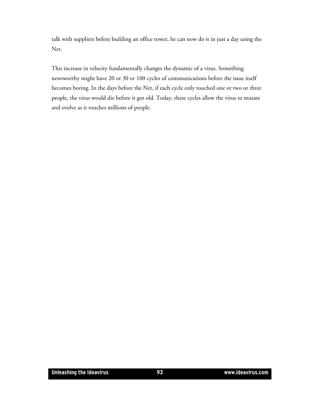talk with suppliers before building an office tower, he can now do it in just a day using the Net.

This increase in velocity fundamentally changes the dynamic of a virus. Something newsworthy might have 20 or 30 or 100 cycles of communications before the issue itself becomes boring. In the days before the Net, if each cycle only touched one or two or three people, the virus would die before it got old. Today, these cycles allow the virus to mutate and evolve as it touches millions of people.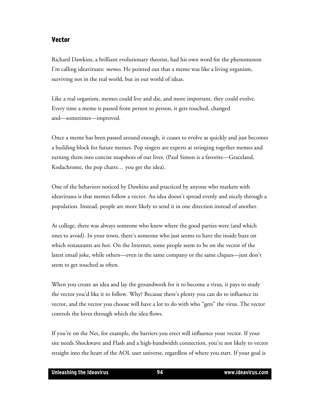### Vector

Richard Dawkins, a brilliant evolutionary theorist, had his own word for the phenomenon I'm calling ideaviruses: *memes*. He pointed out that a meme was like a living organism, surviving not in the real world, but in our world of ideas.

Like a real organism, memes could live and die, and more important, they could evolve. Every time a meme is passed from person to person, it gets touched, changed and—sometimes—improved.

Once a meme has been passed around enough, it ceases to evolve as quickly and just becomes a building block for future memes. Pop singers are experts at stringing together memes and turning them into concise snapshots of our lives. (Paul Simon is a favorite—Graceland, Kodachrome, the pop charts… you get the idea).

One of the behaviors noticed by Dawkins and practiced by anyone who markets with ideaviruses is that memes follow a vector. An idea doesn't spread evenly and nicely through a population. Instead, people are more likely to send it in one direction instead of another.

At college, there was always someone who knew where the good parties were (and which ones to avoid). In your town, there's someone who just seems to have the inside buzz on which restaurants are hot. On the Internet, some people seem to be on the vector of the latest email joke, while others—even in the same company or the same cliques—just don't seem to get touched as often.

When you create an idea and lay the groundwork for it to become a virus, it pays to study the vector you'd like it to follow. Why? Because there's plenty you can do to influence its vector, and the vector you choose will have a lot to do with who "gets" the virus. The vector controls the hives through which the idea flows.

If you're on the Net, for example, the barriers you erect will influence your vector. If your site needs Shockwave and Flash and a high-bandwidth connection, you're not likely to vector straight into the heart of the AOL user universe, regardless of where you start. If your goal is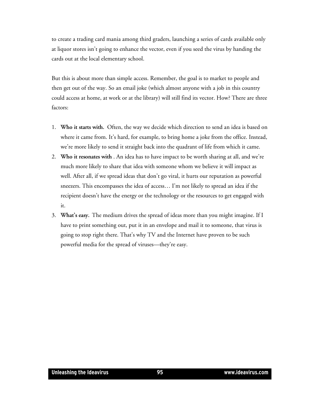to create a trading card mania among third graders, launching a series of cards available only at liquor stores isn't going to enhance the vector, even if you seed the virus by handing the cards out at the local elementary school.

But this is about more than simple access. Remember, the goal is to market to people and then get out of the way. So an email joke (which almost anyone with a job in this country could access at home, at work or at the library) will still find its vector. How? There are three factors:

- 1. **Who it starts with.** Often, the way we decide which direction to send an idea is based on where it came from. It's hard, for example, to bring home a joke from the office. Instead, we're more likely to send it straight back into the quadrant of life from which it came.
- 2. **Who it resonates with** . An idea has to have impact to be worth sharing at all, and we're much more likely to share that idea with someone whom we believe it will impact as well. After all, if we spread ideas that don't go viral, it hurts our reputation as powerful sneezers. This encompasses the idea of access… I'm not likely to spread an idea if the recipient doesn't have the energy or the technology or the resources to get engaged with it.
- 3. **What's easy.** The medium drives the spread of ideas more than you might imagine. If I have to print something out, put it in an envelope and mail it to someone, that virus is going to stop right there. That's why TV and the Internet have proven to be such powerful media for the spread of viruses—they're easy.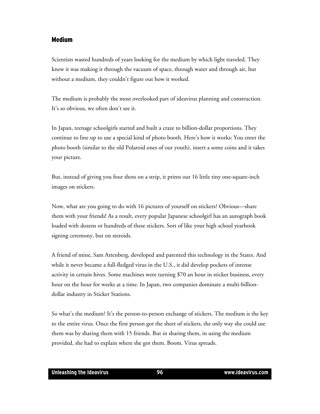#### Medium

Scientists wasted hundreds of years looking for the medium by which light traveled. They knew it was making it through the vacuum of space, through water and through air, but without a medium, they couldn't figure out how it worked.

The medium is probably the most overlooked part of ideavirus planning and construction. It's so obvious, we often don't see it.

In Japan, teenage schoolgirls started and built a craze to billion-dollar proportions. They continue to line up to use a special kind of photo booth. Here's how it works: You enter the photo booth (similar to the old Polaroid ones of our youth), insert a some coins and it takes your picture.

But, instead of giving you four shots on a strip, it prints out 16 little tiny one-square-inch images on stickers.

Now, what are you going to do with 16 pictures of yourself on stickers? Obvious—share them with your friends! As a result, every popular Japanese schoolgirl has an autograph book loaded with dozens or hundreds of these stickers. Sort of like your high school yearbook signing ceremony, but on steroids.

A friend of mine, Sam Attenberg, developed and patented this technology in the States. And while it never became a full-fledged virus in the U.S., it did develop pockets of intense activity in certain hives. Some machines were turning \$70 an hour in sticker business, every hour on the hour for weeks at a time. In Japan, two companies dominate a multi-billiondollar industry in Sticker Stations.

So what's the medium? It's the person-to-person exchange of stickers. The medium is the key to the entire virus. Once the first person got the sheet of stickers, the only way she could use them was by sharing them with 15 friends. But in sharing them, in using the medium provided, she had to explain where she got them. Boom. Virus spreads.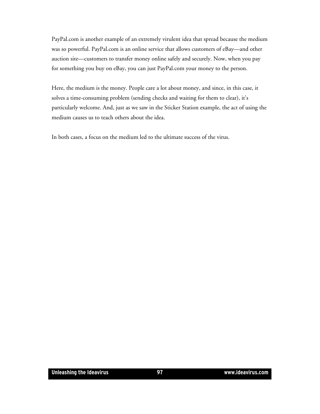PayPal.com is another example of an extremely virulent idea that spread because the medium was so powerful. PayPal.com is an online service that allows customers of eBay—and other auction site—customers to transfer money online safely and securely. Now, when you pay for something you buy on eBay, you can just PayPal.com your money to the person.

Here, the medium is the money. People care a lot about money, and since, in this case, it solves a time-consuming problem (sending checks and waiting for them to clear), it's particularly welcome. And, just as we saw in the Sticker Station example, the act of using the medium causes us to teach others about the idea.

In both cases, a focus on the medium led to the ultimate success of the virus.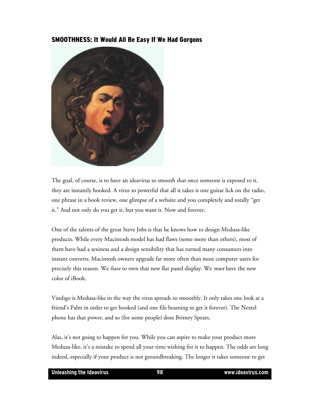## SMOOTHNESS: It Would All Be Easy If We Had Gorgons



The goal, of course, is to have an ideavirus so smooth that once someone is exposed to it, they are instantly hooked. A virus so powerful that all it takes is one guitar lick on the radio, one phrase in a book review, one glimpse of a website and you completely and totally "get it." And not only do you get it, but you want it. Now and forever.

One of the talents of the great Steve Jobs is that he knows how to design Medusa-like products. While every Macintosh model has had flaws (some more than others), most of them have had a sexiness and a design sensibility that has turned many consumers into instant converts. Macintosh owners upgrade far more often than most computer users for precisely this reason. We *have* to own that new flat panel display. We *must* have the new color of iBook.

Vindigo is Medusa-like in the way the virus spreads so smoothly. It only takes one look at a friend's Palm in order to get hooked (and one file beaming to get it forever). The Nextel phone has that power, and so (for some people) does Britney Spears.

Alas, it's not going to happen for you. While you can aspire to make your product more Medusa-like, it's a mistake to spend all your time wishing for it to happen. The odds are long indeed, especially if your product is not groundbreaking. The longer it takes someone to get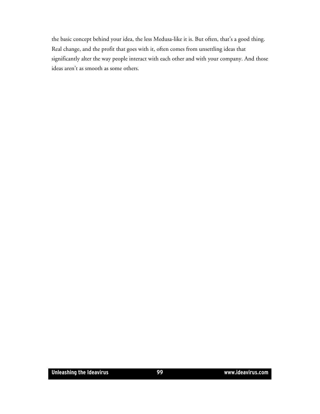the basic concept behind your idea, the less Medusa-like it is. But often, that's a good thing. Real change, and the profit that goes with it, often comes from unsettling ideas that significantly alter the way people interact with each other and with your company. And those ideas aren't as smooth as some others.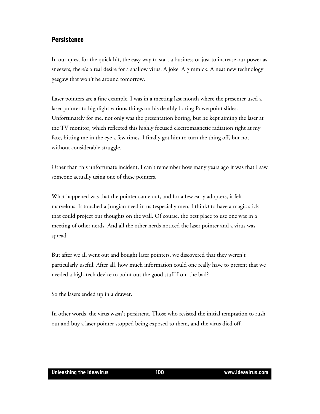## Persistence

In our quest for the quick hit, the easy way to start a business or just to increase our power as sneezers, there's a real desire for a shallow virus. A joke. A gimmick. A neat new technology geegaw that won't be around tomorrow.

Laser pointers are a fine example. I was in a meeting last month where the presenter used a laser pointer to highlight various things on his deathly boring Powerpoint slides. Unfortunately for me, not only was the presentation boring, but he kept aiming the laser at the TV monitor, which reflected this highly focused electromagnetic radiation right at my face, hitting me in the eye a few times. I finally got him to turn the thing off, but not without considerable struggle.

Other than this unfortunate incident, I can't remember how many years ago it was that I saw someone actually using one of these pointers.

What happened was that the pointer came out, and for a few early adopters, it felt marvelous. It touched a Jungian need in us (especially men, I think) to have a magic stick that could project our thoughts on the wall. Of course, the best place to use one was in a meeting of other nerds. And all the other nerds noticed the laser pointer and a virus was spread.

But after we all went out and bought laser pointers, we discovered that they weren't particularly useful. After all, how much information could one really have to present that we needed a high-tech device to point out the good stuff from the bad?

So the lasers ended up in a drawer.

In other words, the virus wasn't persistent. Those who resisted the initial temptation to rush out and buy a laser pointer stopped being exposed to them, and the virus died off.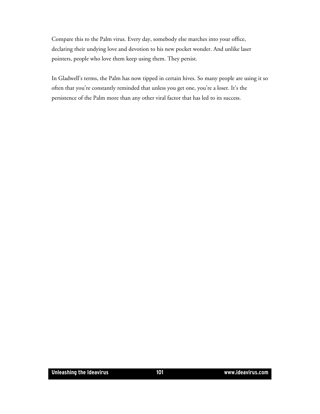Compare this to the Palm virus. Every day, somebody else marches into your office, declaring their undying love and devotion to his new pocket wonder. And unlike laser pointers, people who love them keep using them. They persist.

In Gladwell's terms, the Palm has now tipped in certain hives. So many people are using it so often that you're constantly reminded that unless you get one, you're a loser. It's the persistence of the Palm more than any other viral factor that has led to its success.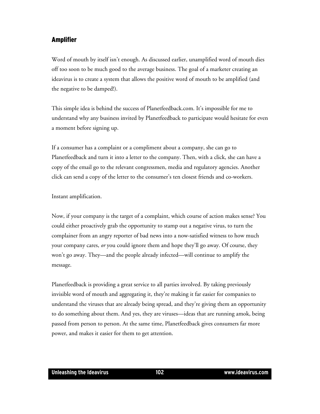## Amplifier

Word of mouth by itself isn't enough. As discussed earlier, unamplified word of mouth dies off too soon to be much good to the average business. The goal of a marketer creating an ideavirus is to create a system that allows the positive word of mouth to be amplified (and the negative to be damped!).

This simple idea is behind the success of Planetfeedback.com. It's impossible for me to understand why any business invited by Planetfeedback to participate would hesitate for even a moment before signing up.

If a consumer has a complaint or a compliment about a company, she can go to Planetfeedback and turn it into a letter to the company. Then, with a click, she can have a copy of the email go to the relevant congressmen, media and regulatory agencies. Another click can send a copy of the letter to the consumer's ten closest friends and co-workers.

Instant amplification.

Now, if your company is the target of a complaint, which course of action makes sense? You could either proactively grab the opportunity to stamp out a negative virus, to turn the complainer from an angry reporter of bad news into a now-satisfied witness to how much your company cares, *or* you could ignore them and hope they'll go away. Of course, they won't go away. They—and the people already infected—will continue to amplify the message.

Planetfeedback is providing a great service to all parties involved. By taking previously invisible word of mouth and aggregating it, they're making it far easier for companies to understand the viruses that are already being spread, and they're giving them an opportunity to do something about them. And yes, they are viruses—ideas that are running amok, being passed from person to person. At the same time, Planetfeedback gives consumers far more power, and makes it easier for them to get attention.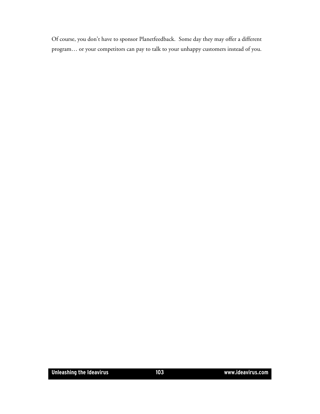Of course, you don't have to sponsor Planetfeedback. Some day they may offer a different program… or your competitors can pay to talk to your unhappy customers instead of you.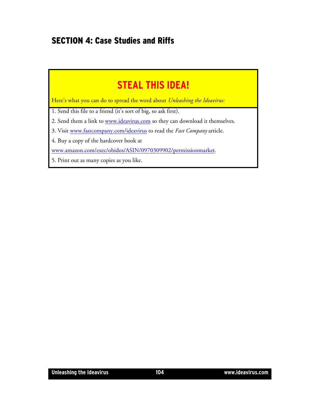## SECTION 4: Case Studies and Riffs

# **STEAL THIS IDEA!**

Here's what you can do to spread the word about *Unleashing the Ideavirus:*

1. Send this file to a friend (it's sort of big, so ask first).

[2. Send them a link to www.ideavirus.com so they can download it themselves.](http://www.amazon.com/exec/obidos/ASIN/0970309902/permissionmarket)

3. Visit www.fastcompany.com/ideavirus to read the *Fast Company* article.

4. Buy a copy of the hardcover book at

www.amazon.com/exec/obidos/ASIN/0970309902/permissionmarket .

5. Print out as many copies as you like.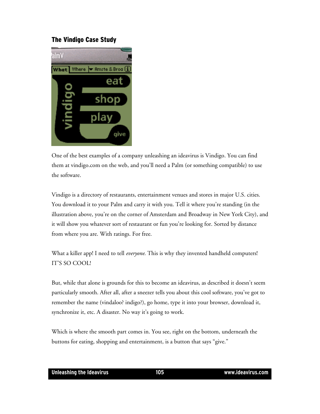## The Vindigo Case Study



One of the best examples of a company unleashing an ideavirus is Vindigo. You can find them at vindigo.com on the web, and you'll need a Palm (or something compatible) to use the software.

Vindigo is a directory of restaurants, entertainment venues and stores in major U.S. cities. You download it to your Palm and carry it with you. Tell it where you're standing (in the illustration above, you're on the corner of Amsterdam and Broadway in New York City), and it will show you whatever sort of restaurant or fun you're looking for. Sorted by distance from where you are. With ratings. For free.

What a killer app! I need to tell *everyone*. This is why they invented handheld computers! IT'S SO COOL!

But, while that alone is grounds for this to become an ideavirus, as described it doesn't seem particularly smooth. After all, after a sneezer tells you about this cool software, you've got to remember the name (vindaloo? indigo?), go home, type it into your browser, download it, synchronize it, etc. A disaster. No way it's going to work.

Which is where the smooth part comes in. You see, right on the bottom, underneath the buttons for eating, shopping and entertainment, is a button that says "give."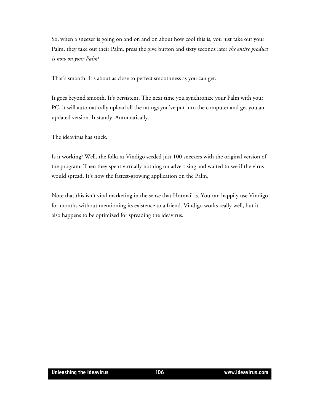So, when a sneezer is going on and on and on about how cool this is, you just take out your Palm, they take out their Palm, press the give button and sixty seconds later *the entire product is now on your Palm!*

That's smooth. It's about as close to perfect smoothness as you can get.

It goes beyond smooth. It's persistent. The next time you synchronize your Palm with your PC, it will automatically upload all the ratings you've put into the computer and get you an updated version. Instantly. Automatically.

The ideavirus has stuck.

Is it working? Well, the folks at Vindigo seeded just 100 sneezers with the original version of the program. Then they spent virtually nothing on advertising and waited to see if the virus would spread. It's now the fastest-growing application on the Palm.

Note that this isn't viral marketing in the sense that Hotmail is. You can happily use Vindigo for months without mentioning its existence to a friend. Vindigo works really well, but it also happens to be optimized for spreading the ideavirus.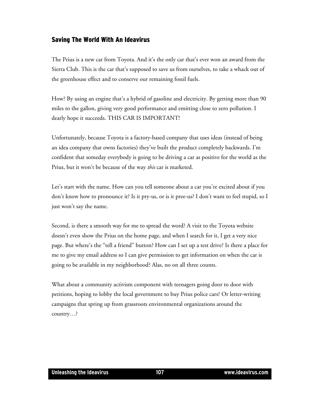## Saving The World With An Ideavirus

The Prius is a new car from Toyota. And it's the only car that's ever won an award from the Sierra Club. This is the car that's supposed to save us from ourselves, to take a whack out of the greenhouse effect and to conserve our remaining fossil fuels.

How? By using an engine that's a hybrid of gasoline and electricity. By getting more than 90 miles to the gallon, giving very good performance and emitting close to zero pollution. I dearly hope it succeeds. THIS CAR IS IMPORTANT!

Unfortunately, because Toyota is a factory-based company that uses ideas (instead of being an idea company that owns factories) they've built the product completely backwards. I'm confident that someday everybody is going to be driving a car as positive for the world as the Prius, but it won't be because of the way *this* car is marketed.

Let's start with the name. How can you tell someone about a car you're excited about if you don't know how to pronounce it? Is it pry-us, or is it pree-us? I don't want to feel stupid, so I just won't say the name.

Second, is there a smooth way for me to spread the word? A visit to the Toyota website doesn't even show the Prius on the home page, and when I search for it, I get a very nice page. But where's the "tell a friend" button? How can I set up a test drive? Is there a place for me to give my email address so I can give permission to get information on when the car is going to be available in my neighborhood? Alas, no on all three counts.

What about a community activism component with teenagers going door to door with petitions, hoping to lobby the local government to buy Prius police cars? Or letter-writing campaigns that spring up from grassroots environmental organizations around the country…?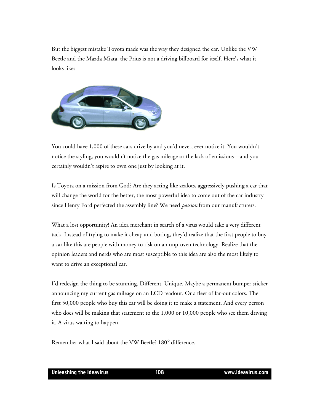But the biggest mistake Toyota made was the way they designed the car. Unlike the VW Beetle and the Mazda Miata, the Prius is not a driving billboard for itself. Here's what it looks like:



You could have 1,000 of these cars drive by and you'd never, ever notice it. You wouldn't notice the styling, you wouldn't notice the gas mileage or the lack of emissions—and you certainly wouldn't aspire to own one just by looking at it.

Is Toyota on a mission from God? Are they acting like zealots, aggressively pushing a car that will change the world for the better, the most powerful idea to come out of the car industry since Henry Ford perfected the assembly line? We need *passion* from our manufacturers.

What a lost opportunity! An idea merchant in search of a virus would take a very different tack. Instead of trying to make it cheap and boring, they'd realize that the first people to buy a car like this are people with money to risk on an unproven technology. Realize that the opinion leaders and nerds who are most susceptible to this idea are also the most likely to want to drive an exceptional car.

I'd redesign the thing to be stunning. Different. Unique. Maybe a permanent bumper sticker announcing my current gas mileage on an LCD readout. Or a fleet of far-out colors. The first 50,000 people who buy this car will be doing it to make a statement. And every person who does will be making that statement to the 1,000 or 10,000 people who see them driving it. A virus waiting to happen.

Remember what I said about the VW Beetle? 180° difference.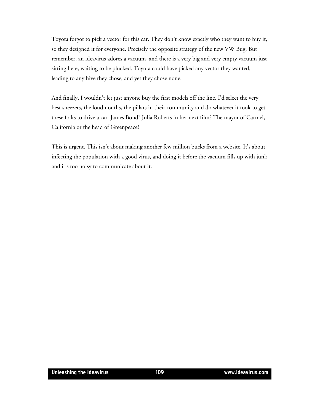Toyota forgot to pick a vector for this car. They don't know exactly who they want to buy it, so they designed it for everyone. Precisely the opposite strategy of the new VW Bug. But remember, an ideavirus adores a vacuum, and there is a very big and very empty vacuum just sitting here, waiting to be plucked. Toyota could have picked any vector they wanted, leading to any hive they chose, and yet they chose none.

And finally, I wouldn't let just anyone buy the first models off the line. I'd select the very best sneezers, the loudmouths, the pillars in their community and do whatever it took to get these folks to drive a car. James Bond? Julia Roberts in her next film? The mayor of Carmel, California or the head of Greenpeace?

This is urgent. This isn't about making another few million bucks from a website. It's about infecting the population with a good virus, and doing it before the vacuum fills up with junk and it's too noisy to communicate about it.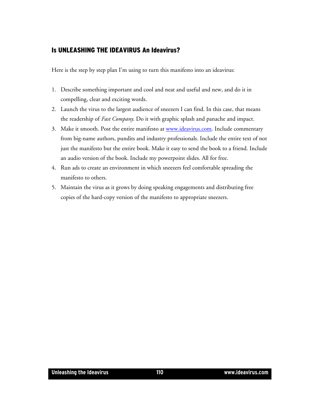# Is UNLEASHING THE IDEAVIRUS An Ideavirus?

Here is the step by step plan I'm using to turn this manifesto into an ideavirus:

- 1. Describe something important and cool and neat and useful and new, and do it in compelling, clear and exciting words.
- 2. Launch the virus to the largest audience of sneezers I can find. In this case, that means the readership of *Fast Company*. Do it with graphic splash and panache and impact.
- 3. Make it smooth. Post the entire manifesto at www.ideavirus.com. Include commentary from big-name authors, pundits and industry professionals. Include the entire text of not just the manifesto but the entire book. Make it easy to send the book to a friend. Include an audio version of the book. Include my powerpoint slides. All for free.
- 4. Run ads to create an environment in which sneezers feel comfortable spreading the manifesto to others.
- 5. Maintain the virus as it grows by doing speaking engagements and distributing free copies of the hard-copy version of the manifesto to appropriate sneezers.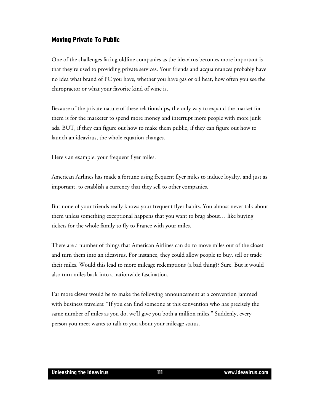### Moving Private To Public

One of the challenges facing oldline companies as the ideavirus becomes more important is that they're used to providing private services. Your friends and acquaintances probably have no idea what brand of PC you have, whether you have gas or oil heat, how often you see the chiropractor or what your favorite kind of wine is.

Because of the private nature of these relationships, the only way to expand the market for them is for the marketer to spend more money and interrupt more people with more junk ads. BUT, if they can figure out how to make them public, if they can figure out how to launch an ideavirus, the whole equation changes.

Here's an example: your frequent flyer miles.

American Airlines has made a fortune using frequent flyer miles to induce loyalty, and just as important, to establish a currency that they sell to other companies.

But none of your friends really knows your frequent flyer habits. You almost never talk about them unless something exceptional happens that you want to brag about… like buying tickets for the whole family to fly to France with your miles.

There are a number of things that American Airlines can do to move miles out of the closet and turn them into an ideavirus. For instance, they could allow people to buy, sell or trade their miles. Would this lead to more mileage redemptions (a bad thing)? Sure. But it would also turn miles back into a nationwide fascination.

Far more clever would be to make the following announcement at a convention jammed with business travelers: "If you can find someone at this convention who has precisely the same number of miles as you do, we'll give you both a million miles." Suddenly, every person you meet wants to talk to you about your mileage status.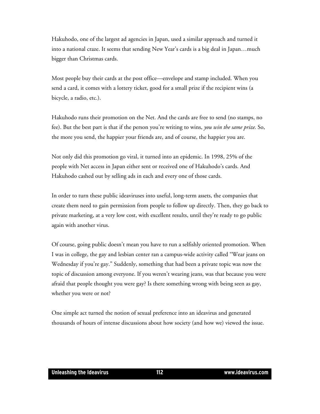Hakuhodo, one of the largest ad agencies in Japan, used a similar approach and turned it into a national craze. It seems that sending New Year's cards is a big deal in Japan…much bigger than Christmas cards.

Most people buy their cards at the post office—envelope and stamp included. When you send a card, it comes with a lottery ticket, good for a small prize if the recipient wins (a bicycle, a radio, etc.).

Hakuhodo runs their promotion on the Net. And the cards are free to send (no stamps, no fee). But the best part is that if the person you're writing to wins, *you win the same prize*. So, the more you send, the happier your friends are, and of course, the happier you are.

Not only did this promotion go viral, it turned into an epidemic. In 1998, 25% of the people with Net access in Japan either sent or received one of Hakuhodo's cards. And Hakuhodo cashed out by selling ads in each and every one of those cards.

In order to turn these public ideaviruses into useful, long-term assets, the companies that create them need to gain permission from people to follow up directly. Then, they go back to private marketing, at a very low cost, with excellent results, until they're ready to go public again with another virus.

Of course, going public doesn't mean you have to run a selfishly oriented promotion. When I was in college, the gay and lesbian center ran a campus-wide activity called "Wear jeans on Wednesday if you're gay." Suddenly, something that had been a private topic was now the topic of discussion among everyone. If you weren't wearing jeans, was that because you were afraid that people thought you were gay? Is there something wrong with being seen as gay, whether you were or not?

One simple act turned the notion of sexual preference into an ideavirus and generated thousands of hours of intense discussions about how society (and how we) viewed the issue.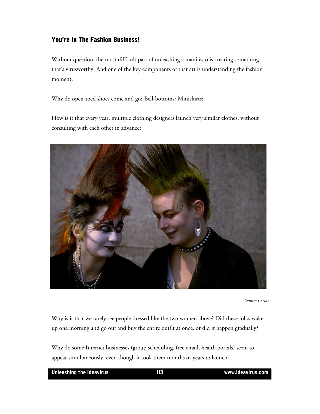### You're In The Fashion Business!

Without question, the most difficult part of unleashing a manifesto is creating something that's virusworthy. And one of the key components of that art is understanding the fashion moment.

Why do open-toed shoes come and go? Bell-bottoms? Miniskirts?

How is it that every year, multiple clothing designers launch very similar clothes, without consulting with each other in advance?



*Source: Corbis*

Why is it that we rarely see people dressed like the two women above? Did these folks wake up one morning and go out and buy the entire outfit at once, or did it happen gradually?

Why do some Internet businesses (group scheduling, free email, health portals) seem to appear simultaneously, even though it took them months or years to launch?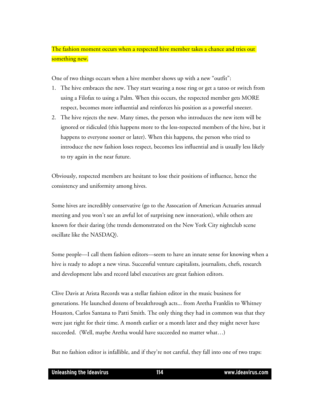The fashion moment occurs when a respected hive member takes a chance and tries out something new.

One of two things occurs when a hive member shows up with a new "outfit":

- 1. The hive embraces the new. They start wearing a nose ring or get a tatoo or switch from using a Filofax to using a Palm. When this occurs, the respected member gets MORE respect, becomes more influential and reinforces his position as a powerful sneezer.
- 2. The hive rejects the new. Many times, the person who introduces the new item will be ignored or ridiculed (this happens more to the less-respected members of the hive, but it happens to everyone sooner or later). When this happens, the person who tried to introduce the new fashion loses respect, becomes less influential and is usually less likely to try again in the near future.

Obviously, respected members are hesitant to lose their positions of influence, hence the consistency and uniformity among hives.

Some hives are incredibly conservative (go to the Assocation of American Actuaries annual meeting and you won't see an awful lot of surprising new innovation), while others are known for their daring (the trends demonstrated on the New York City nightclub scene oscillate like the NASDAQ).

Some people—I call them fashion editors—seem to have an innate sense for knowing when a hive is ready to adopt a new virus. Successful venture capitalists, journalists, chefs, research and development labs and record label executives are great fashion editors.

Clive Davis at Arista Records was a stellar fashion editor in the music business for generations. He launched dozens of breakthrough acts... from Aretha Franklin to Whitney Houston, Carlos Santana to Patti Smith. The only thing they had in common was that they were just right for their time. A month earlier or a month later and they might never have succeeded. (Well, maybe Aretha would have succeeded no matter what…)

But no fashion editor is infallible, and if they're not careful, they fall into one of two traps: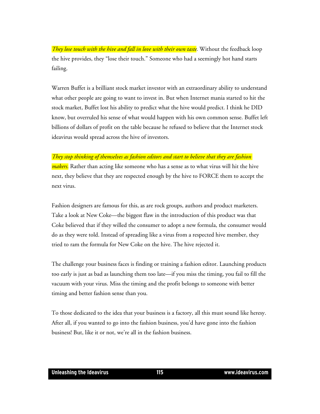*They lose touch with the hive and fall in love with their own taste.* Without the feedback loop the hive provides, they "lose their touch." Someone who had a seemingly hot hand starts failing.

Warren Buffet is a brilliant stock market investor with an extraordinary ability to understand what other people are going to want to invest in. But when Internet mania started to hit the stock market, Buffet lost his ability to predict what the hive would predict. I think he DID know, but overruled his sense of what would happen with his own common sense. Buffet left billions of dollars of profit on the table because he refused to believe that the Internet stock ideavirus would spread across the hive of investors.

#### *They stop thinking of themselves as fashion editors and start to believe that they are fashion*

*makers.* Rather than acting like someone who has a sense as to what virus will hit the hive next, they believe that they are respected enough by the hive to FORCE them to accept the next virus.

Fashion designers are famous for this, as are rock groups, authors and product marketers. Take a look at New Coke—the biggest flaw in the introduction of this product was that Coke believed that if they willed the consumer to adopt a new formula, the consumer would do as they were told. Instead of spreading like a virus from a respected hive member, they tried to ram the formula for New Coke on the hive. The hive rejected it.

The challenge your business faces is finding or training a fashion editor. Launching products too early is just as bad as launching them too late—if you miss the timing, you fail to fill the vacuum with your virus. Miss the timing and the profit belongs to someone with better timing and better fashion sense than you.

To those dedicated to the idea that your business is a factory, all this must sound like heresy. After all, if you wanted to go into the fashion business, you'd have gone into the fashion business! But, like it or not, we're all in the fashion business.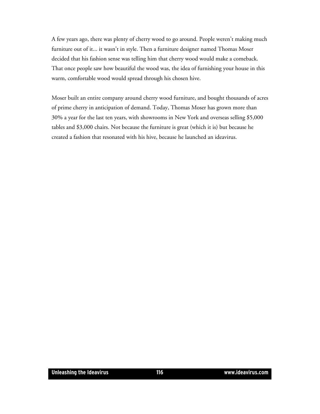A few years ago, there was plenty of cherry wood to go around. People weren't making much furniture out of it... it wasn't in style. Then a furniture designer named Thomas Moser decided that his fashion sense was telling him that cherry wood would make a comeback. That once people saw how beautiful the wood was, the idea of furnishing your house in this warm, comfortable wood would spread through his chosen hive.

Moser built an entire company around cherry wood furniture, and bought thousands of acres of prime cherry in anticipation of demand. Today, Thomas Moser has grown more than 30% a year for the last ten years, with showrooms in New York and overseas selling \$5,000 tables and \$3,000 chairs. Not because the furniture is great (which it is) but because he created a fashion that resonated with his hive, because he launched an ideavirus.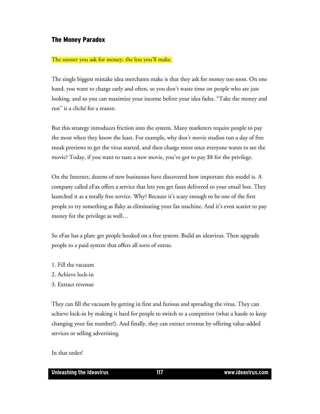### The Money Paradox

#### The sooner you ask for money, the less you'll make.

The single biggest mistake idea merchants make is that they ask for money too soon. On one hand, you want to charge early and often, so you don't waste time on people who are just looking, and so you can maximize your income before your idea fades. "Take the money and run" is a cliché for a reason.

But this strategy introduces friction into the system. Many marketers require people to pay the most when they know the least. For example, why don't movie studios run a day of free sneak previews to get the virus started, and then charge more once everyone wants to see the movie? Today, if you want to taste a new movie, you've got to pay \$8 for the privilege.

On the Internet, dozens of new businesses have discovered how important this model is. A company called eFax offers a service that lets you get faxes delivered to your email box. They launched it as a totally free service. Why? Because it's scary enough to be one of the first people to try something as flaky as eliminating your fax machine. And it's even scarier to pay money for the privilege as well…

So eFax has a plan: get people hooked on a free system. Build an ideavirus. Then upgrade people to a paid system that offers all sorts of extras.

- 1. Fill the vacuum
- 2. Achieve lock-in
- 3. Extract revenue

They can fill the vacuum by getting in first and furious and spreading the virus. They can achieve lock-in by making it hard for people to switch to a competitor (what a hassle to keep changing your fax number!). And finally, they can extract revenue by offering value-added services or selling advertising.

In that order!

**Unleashing the Ideavirus 117 www.ideavirus.com**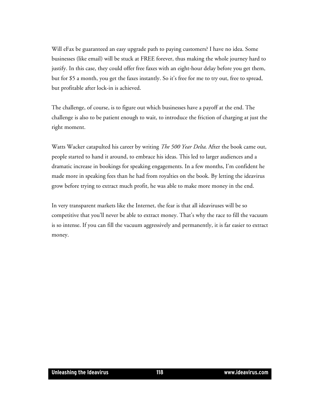Will eFax be guaranteed an easy upgrade path to paying customers? I have no idea. Some businesses (like email) will be stuck at FREE forever, thus making the whole journey hard to justify. In this case, they could offer free faxes with an eight-hour delay before you get them, but for \$5 a month, you get the faxes instantly. So it's free for me to try out, free to spread, but profitable after lock-in is achieved.

The challenge, of course, is to figure out which businesses have a payoff at the end. The challenge is also to be patient enough to wait, to introduce the friction of charging at just the right moment.

Watts Wacker catapulted his career by writing *The 500 Year Delta*. After the book came out, people started to hand it around, to embrace his ideas. This led to larger audiences and a dramatic increase in bookings for speaking engagements. In a few months, I'm confident he made more in speaking fees than he had from royalties on the book. By letting the ideavirus grow before trying to extract much profit, he was able to make more money in the end.

In very transparent markets like the Internet, the fear is that all ideaviruses will be so competitive that you'll never be able to extract money. That's why the race to fill the vacuum is so intense. If you can fill the vacuum aggressively and permanently, it is far easier to extract money.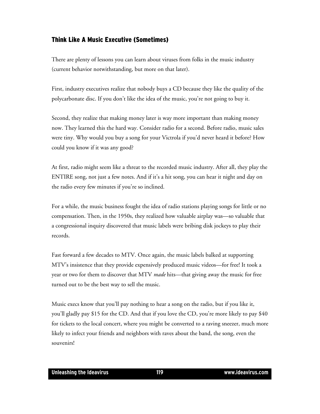### Think Like A Music Executive (Sometimes)

There are plenty of lessons you can learn about viruses from folks in the music industry (current behavior notwithstanding, but more on that later).

First, industry executives realize that nobody buys a CD because they like the quality of the polycarbonate disc. If you don't like the idea of the music, you're not going to buy it.

Second, they realize that making money later is way more important than making money now. They learned this the hard way. Consider radio for a second. Before radio, music sales were tiny. Why would you buy a song for your Victrola if you'd never heard it before? How could you know if it was any good?

At first, radio might seem like a threat to the recorded music industry. After all, they play the ENTIRE song, not just a few notes. And if it's a hit song, you can hear it night and day on the radio every few minutes if you're so inclined.

For a while, the music business fought the idea of radio stations playing songs for little or no compensation. Then, in the 1950s, they realized how valuable airplay was—so valuable that a congressional inquiry discovered that music labels were bribing disk jockeys to play their records.

Fast forward a few decades to MTV. Once again, the music labels balked at supporting MTV's insistence that they provide expensively produced music videos—for free! It took a year or two for them to discover that MTV *made* hits—that giving away the music for free turned out to be the best way to sell the music.

Music execs know that you'll pay nothing to hear a song on the radio, but if you like it, you'll gladly pay \$15 for the CD. And that if you love the CD, you're more likely to pay \$40 for tickets to the local concert, where you might be converted to a raving sneezer, much more likely to infect your friends and neighbors with raves about the band, the song, even the souvenirs!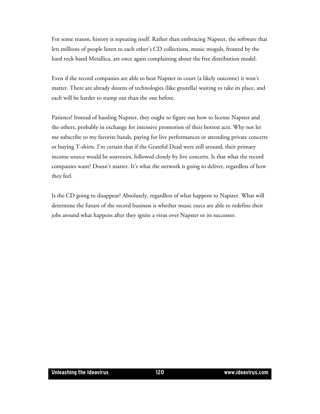For some reason, history is repeating itself. Rather than embracing Napster, the software that lets millions of people listen to each other's CD collections, music moguls, fronted by the hard rock band Metallica, are once again complaining about the free distribution model.

Even if the record companies are able to beat Napster in court (a likely outcome) it won't matter. There are already dozens of technologies (like gnutella) waiting to take its place, and each will be harder to stamp out than the one before.

Patience! Instead of hassling Napster, they ought to figure out how to license Napster and the others, probably in exchange for intensive promotion of their hottest acts. Why not let me subscribe to my favorite bands, paying for live performances or attending private concerts or buying T-shirts. I'm certain that if the Grateful Dead were still around, their primary income source would be souvenirs, followed closely by live concerts. Is that what the record companies want? Doesn't matter. It's what the network is going to deliver, regardless of how they feel.

Is the CD going to disappear? Absolutely, regardless of what happens to Napster. What will determine the future of the record business is whether music execs are able to redefine their jobs around what happens after they ignite a virus over Napster or its successor.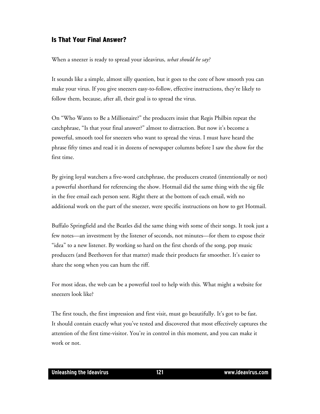### Is That Your Final Answer?

When a sneezer is ready to spread your ideavirus, *what should he say?*

It sounds like a simple, almost silly question, but it goes to the core of how smooth you can make your virus. If you give sneezers easy-to-follow, effective instructions, they're likely to follow them, because, after all, their goal is to spread the virus.

On "Who Wants to Be a Millionaire?" the producers insist that Regis Philbin repeat the catchphrase, "Is that your final answer?" almost to distraction. But now it's become a powerful, smooth tool for sneezers who want to spread the virus. I must have heard the phrase fifty times and read it in dozens of newspaper columns before I saw the show for the first time.

By giving loyal watchers a five-word catchphrase, the producers created (intentionally or not) a powerful shorthand for referencing the show. Hotmail did the same thing with the sig file in the free email each person sent. Right there at the bottom of each email, with no additional work on the part of the sneezer, were specific instructions on how to get Hotmail.

Buffalo Springfield and the Beatles did the same thing with some of their songs. It took just a few notes—an investment by the listener of seconds, not minutes—for them to expose their "idea" to a new listener. By working so hard on the first chords of the song, pop music producers (and Beethoven for that matter) made their products far smoother. It's easier to share the song when you can hum the riff.

For most ideas, the web can be a powerful tool to help with this. What might a website for sneezers look like?

The first touch, the first impression and first visit, must go beautifully. It's got to be fast. It should contain exactly what you've tested and discovered that most effectively captures the attention of the first time-visitor. You're in control in this moment, and you can make it work or not.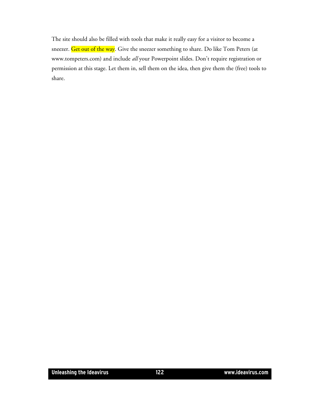The site should also be filled with tools that make it really easy for a visitor to become a sneezer. Get out of the way. Give the sneezer something to share. Do like Tom Peters (at www.tompeters.com) and include *all* your Powerpoint slides. Don't require registration or permission at this stage. Let them in, sell them on the idea, then give them the (free) tools to share.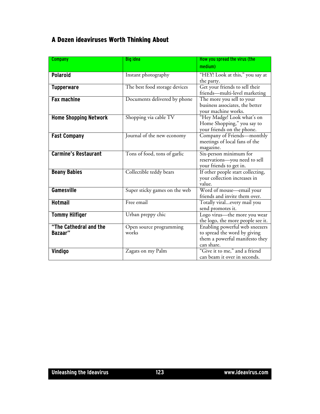# A Dozen ideaviruses Worth Thinking About

| <b>Company</b>               | <b>Big idea</b>               | How you spread the virus (the                            |
|------------------------------|-------------------------------|----------------------------------------------------------|
|                              |                               | medium)                                                  |
| <b>Polaroid</b>              | Instant photography           | "HEY! Look at this," you say at                          |
|                              |                               | the party.                                               |
| <b>Tupperware</b>            | The best food storage devices | Get your friends to sell their                           |
|                              |                               | friends-multi-level marketing                            |
| <b>Fax machine</b>           | Documents delivered by phone  | The more you sell to your                                |
|                              |                               | business associates, the better                          |
|                              |                               | your machine works.                                      |
| <b>Home Shopping Network</b> | Shopping via cable TV         | "Hey Madge! Look what's on                               |
|                              |                               | Home Shopping," you say to<br>your friends on the phone. |
| <b>Fast Company</b>          | Journal of the new economy    | Company of Friends-monthly                               |
|                              |                               | meetings of local fans of the                            |
|                              |                               | magazine.                                                |
| <b>Carmine's Restaurant</b>  | Tons of food, tons of garlic  | Six-person minimum for                                   |
|                              |                               | reservations-you need to sell                            |
|                              |                               | your friends to get in.                                  |
| <b>Beany Babies</b>          | Collectible teddy bears       | If other people start collecting,                        |
|                              |                               | your collection increases in                             |
|                              |                               | value.                                                   |
| <b>Gamesville</b>            | Super sticky games on the web | Word of mouse-email your                                 |
|                              |                               | friends and invite them over.                            |
| <b>Hotmail</b>               | Free email                    | Totally viralevery mail you                              |
|                              |                               | send promotes it.                                        |
| <b>Tommy Hilfiger</b>        | Urban preppy chic             | Logo virus-the more you wear                             |
|                              |                               | the logo, the more people see it.                        |
| "The Cathedral and the       | Open source programming       | Enabling powerful web sneezers                           |
| <b>Bazaar"</b>               | works                         | to spread the word by giving                             |
|                              |                               | them a powerful manifesto they                           |
|                              |                               | can share.                                               |
| Vindigo                      | Zagats on my Palm             | "Give it to me," and a friend                            |
|                              |                               | can beam it over in seconds.                             |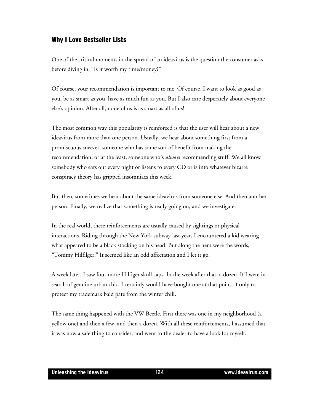### Why I Love Bestseller Lists

One of the critical moments in the spread of an ideavirus is the question the consumer asks before diving in: "Is it worth my time/money?"

Of course, your recommendation is important to me. Of course, I want to look as good as you, be as smart as you, have as much fun as you. But I also care desperately about everyone else's opinion. After all, none of us is as smart as all of us!

The most common way this popularity is reinforced is that the user will hear about a new ideavirus from more than one person. Usually, we hear about something first from a promiscuous sneezer, someone who has some sort of benefit from making the recommendation, or at the least, someone who's *always* recommending stuff. We all know somebody who eats out every night or listens to every CD or is into whatever bizarre conspiracy theory has gripped insomniacs this week.

But then, sometimes we hear about the same ideavirus from someone else. And then another person. Finally, we realize that something is really going on, and we investigate.

In the real world, these reinforcements are usually caused by sightings or physical interactions. Riding through the New York subway last year, I encountered a kid wearing what appeared to be a black stocking on his head. But along the hem were the words, "Tommy Hilfilger." It seemed like an odd affectation and I let it go.

A week later, I saw four more Hilfiger skull caps. In the week after that, a dozen. If I were in search of genuine urban chic, I certainly would have bought one at that point, if only to protect my trademark bald pate from the winter chill.

The same thing happened with the VW Beetle. First there was one in my neighborhood (a yellow one) and then a few, and then a dozen. With all these reinforcements, I assumed that it was now a safe thing to consider, and went to the dealer to have a look for myself.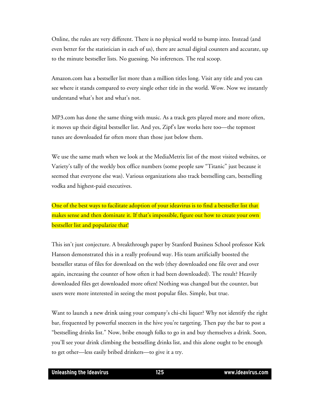Online, the rules are very different. There is no physical world to bump into. Instead (and even better for the statistician in each of us), there are actual digital counters and accurate, up to the minute bestseller lists. No guessing. No inferences. The real scoop.

Amazon.com has a bestseller list more than a million titles long. Visit any title and you can see where it stands compared to every single other title in the world. Wow. Now we instantly understand what's hot and what's not.

MP3.com has done the same thing with music. As a track gets played more and more often, it moves up their digital bestseller list. And yes, Zipf's law works here too—the topmost tunes are downloaded far often more than those just below them.

We use the same math when we look at the MediaMetrix list of the most visited websites, or Variety's tally of the weekly box office numbers (some people saw "Titanic" just because it seemed that everyone else was). Various organizations also track bestselling cars, bestselling vodka and highest-paid executives.

One of the best ways to facilitate adoption of your ideavirus is to find a bestseller list that makes sense and then dominate it. If that's impossible, figure out how to create your own bestseller list and popularize that!

This isn't just conjecture. A breakthrough paper by Stanford Business School professor Kirk Hanson demonstrated this in a really profound way. His team artificially boosted the bestseller status of files for download on the web (they downloaded one file over and over again, increasing the counter of how often it had been downloaded). The result? Heavily downloaded files get downloaded more often! Nothing was changed but the counter, but users were more interested in seeing the most popular files. Simple, but true.

Want to launch a new drink using your company's chi-chi liquer? Why not identify the right bar, frequented by powerful sneezers in the hive you're targeting. Then pay the bar to post a "bestselling drinks list." Now, bribe enough folks to go in and buy themselves a drink. Soon, you'll see your drink climbing the bestselling drinks list, and this alone ought to be enough to get other—less easily bribed drinkers—to give it a try.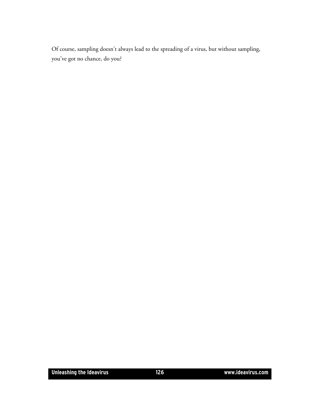Of course, sampling doesn't always lead to the spreading of a virus, but without sampling, you've got no chance, do you?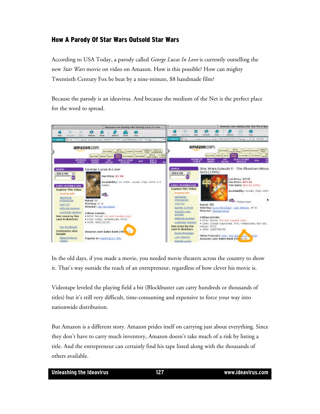# How A Parody Of Star Wars Outsold Star Wars

According to USA Today, a parody called *George Lucas In Love* is currently outselling the new *Star Wars* movie on video on Amazon. How is this possible? How can mighty Twentieth Century Fox be beat by a nine-minute, \$8 handmade film?

Because the parody is an ideavirus. And because the medium of the Net is the perfect place for the word to spread.



In the old days, if you made a movie, you needed movie theaters across the country to show it. That's way outside the reach of an entrepreneur, regardless of how clever his movie is.

Videotape leveled the playing field a bit (Blockbuster can carry hundreds or thousands of titles) but it's still very difficult, time-consuming and expensive to force your way into nationwide distribution.

But Amazon is a different story. Amazon prides itself on carrying just about everything. Since they don't have to carry much inventory, Amazon doesn't take much of a risk by listing a title. And the entrepreneur can certainly find his tape listed along with the thousands of others available.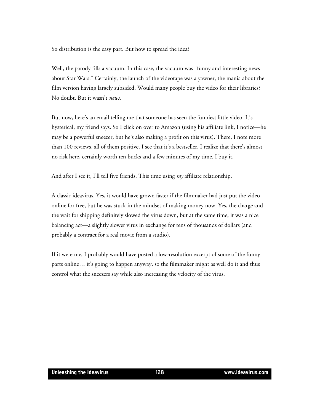So distribution is the easy part. But how to spread the idea?

Well, the parody fills a vacuum. In this case, the vacuum was "funny and interesting news about Star Wars." Certainly, the launch of the videotape was a yawner, the mania about the film version having largely subsided. Would many people buy the video for their libraries? No doubt. But it wasn't *news*.

But now, here's an email telling me that someone has seen the funniest little video. It's hysterical, my friend says. So I click on over to Amazon (using his affiliate link, I notice—he may be a powerful sneezer, but he's also making a profit on this virus). There, I note more than 100 reviews, all of them positive. I see that it's a bestseller. I realize that there's almost no risk here, certainly worth ten bucks and a few minutes of my time. I buy it.

And after I see it, I'll tell five friends. This time using *my* affiliate relationship.

A classic ideavirus. Yes, it would have grown faster if the filmmaker had just put the video online for free, but he was stuck in the mindset of making money now. Yes, the charge and the wait for shipping definitely slowed the virus down, but at the same time, it was a nice balancing act—a slightly slower virus in exchange for tens of thousands of dollars (and probably a contract for a real movie from a studio).

If it were me, I probably would have posted a low-resolution excerpt of some of the funny parts online… it's going to happen anyway, so the filmmaker might as well do it and thus control what the sneezers say while also increasing the velocity of the virus.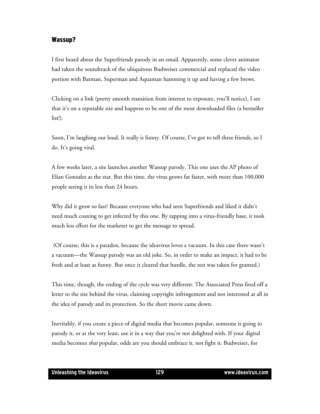### Wassup?

I first heard about the Superfriends parody in an email. Apparently, some clever animator had taken the soundtrack of the ubiquitous Budweiser commercial and replaced the video portion with Batman, Superman and Aquaman hamming it up and having a few brews.

Clicking on a link (pretty smooth transition from interest to exposure, you'll notice), I see that it's on a reputable site and happens to be one of the most downloaded files (a bestseller list!).

Soon, I'm laughing out loud. It really is funny. Of course, I've got to tell three friends, so I do. It's going viral.

A few weeks later, a site launches another Wassup parody. This one uses the AP photo of Elian Gonzales as the star. But this time, the virus grows far faster, with more than 100,000 people seeing it in less than 24 hours.

Why did it grow so fast? Because everyone who had seen Superfriends and liked it didn't need much coaxing to get infected by this one. By tapping into a virus-friendly base, it took much less effort for the marketer to get the message to spread.

 (Of course, this is a paradox, because the ideavirus loves a vacuum. In this case there wasn't a vacuum—the Wassup parody was an old joke. So, in order to make an impact, it had to be fresh and at least as funny. But once it cleared that hurdle, the rest was taken for granted.)

This time, though, the ending of the cycle was very different. The Associated Press fired off a letter to the site behind the virus, claiming copyright infringement and not interested at all in the idea of parody and its protection. So the short movie came down.

Inevitably, if you create a piece of digital media that becomes popular, someone is going to parody it, or at the very least, use it in a way that you're not delighted with. If your digital media becomes *that* popular, odds are you should embrace it, not fight it. Budweiser, for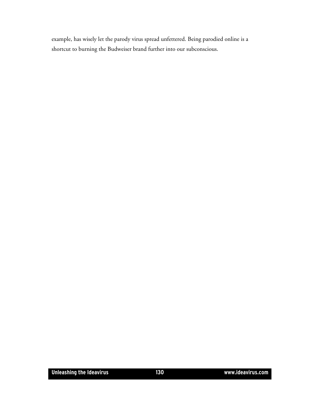example, has wisely let the parody virus spread unfettered. Being parodied online is a shortcut to burning the Budweiser brand further into our subconscious.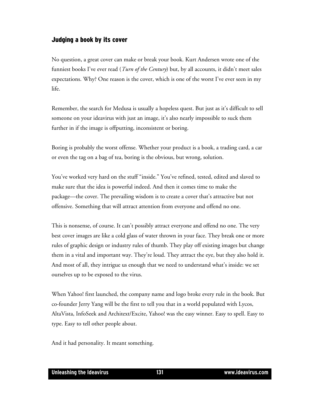### Judging a book by its cover

No question, a great cover can make or break your book. Kurt Andersen wrote one of the funniest books I've ever read (*Turn of the Century*) but, by all accounts, it didn't meet sales expectations. Why? One reason is the cover, which is one of the worst I've ever seen in my life.

Remember, the search for Medusa is usually a hopeless quest. But just as it's difficult to sell someone on your ideavirus with just an image, it's also nearly impossible to suck them further in if the image is offputting, inconsistent or boring.

Boring is probably the worst offense. Whether your product is a book, a trading card, a car or even the tag on a bag of tea, boring is the obvious, but wrong, solution.

You've worked very hard on the stuff "inside." You've refined, tested, edited and slaved to make sure that the idea is powerful indeed. And then it comes time to make the package—the cover. The prevailing wisdom is to create a cover that's attractive but not offensive. Something that will attract attention from everyone and offend no one.

This is nonsense, of course. It can't possibly attract everyone and offend no one. The very best cover images are like a cold glass of water thrown in your face. They break one or more rules of graphic design or industry rules of thumb. They play off existing images but change them in a vital and important way. They're loud. They attract the eye, but they also hold it. And most of all, they intrigue us enough that we need to understand what's inside: we set ourselves up to be exposed to the virus.

When Yahoo! first launched, the company name and logo broke every rule in the book. But co-founder Jerry Yang will be the first to tell you that in a world populated with Lycos, AltaVista, InfoSeek and Architext/Excite, Yahoo! was the easy winner. Easy to spell. Easy to type. Easy to tell other people about.

And it had personality. It meant something.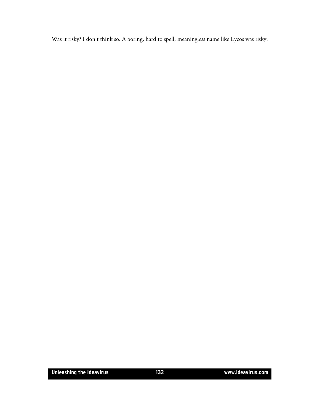Was it risky? I don't think so. A boring, hard to spell, meaningless name like Lycos was risky.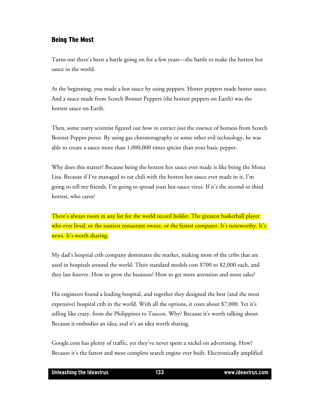### Being The Most

Turns out there's been a battle going on for a few years—the battle to make the hottest hot sauce in the world.

At the beginning, you made a hot sauce by using peppers. Hotter peppers made hotter sauce. And a sauce made from Scotch Bonnet Peppers (the hottest peppers on Earth) was the hottest sauce on Earth.

Then, some nutty scientist figured out how to extract just the essence of hotness from Scotch Bonnet Pepper puree. By using gas chromotagraphy or some other evil technology, he was able to create a sauce more than 1,000,000 times spicier than your basic pepper.

Why does this matter? Because being the hottest hot sauce ever made is like being the Mona Lisa. Because if I've managed to eat chili with the hottest hot sauce ever made in it, I'm going to tell my friends. I'm going to spread your hot-sauce virus. If it's the second or third hottest, who cares?

There's always room in any list for the world record holder. The greatest basketball player who ever lived, or the nastiest restaurant owner, or the fastest computer. It's noteworthy. It's news. It's worth sharing.

My dad's hospital crib company dominates the market, making most of the cribs that are used in hospitals around the world. Their standard models cost \$700 to \$2,000 each, and they last forever. How to grow the business? How to get more attention and more sales?

His engineers found a leading hospital, and together they designed the best (and the most expensive) hospital crib in the world. With all the options, it costs about \$7,000. Yet it's selling like crazy, from the Philippines to Tuscon. Why? Because it's worth talking about. Because it embodies an idea, and it's an idea worth sharing.

Google.com has plenty of traffic, yet they've never spent a nickel on advertising. How? Because it's the fastest and most complete search engine ever built. Electronically amplified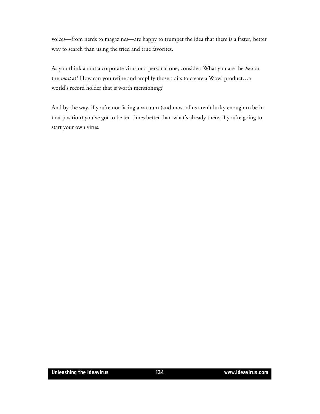voices—from nerds to magazines—are happy to trumpet the idea that there is a faster, better way to search than using the tried and true favorites.

As you think about a corporate virus or a personal one, consider: What you are the *best* or the *most* at? How can you refine and amplify those traits to create a Wow! product…a world's record holder that is worth mentioning?

And by the way, if you're not facing a vacuum (and most of us aren't lucky enough to be in that position) you've got to be ten times better than what's already there, if you're going to start your own virus.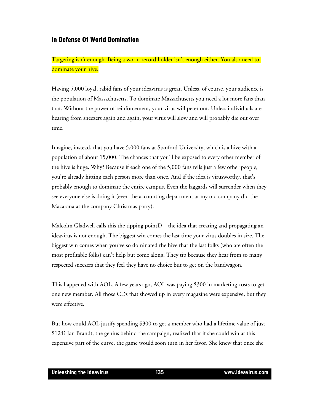### In Defense Of World Domination

Targeting isn't enough. Being a world record holder isn't enough either. You also need to dominate your hive.

Having 5,000 loyal, rabid fans of your ideavirus is great. Unless, of course, your audience is the population of Massachusetts. To dominate Massachusetts you need a lot more fans than that. Without the power of reinforcement, your virus will peter out. Unless individuals are hearing from sneezers again and again, your virus will slow and will probably die out over time.

Imagine, instead, that you have 5,000 fans at Stanford University, which is a hive with a population of about 15,000. The chances that you'll be exposed to every other member of the hive is huge. Why? Because if each one of the 5,000 fans tells just a few other people, you're already hitting each person more than once. And if the idea is virusworthy, that's probably enough to dominate the entire campus. Even the laggards will surrender when they see everyone else is doing it (even the accounting department at my old company did the Macarana at the company Christmas party).

Malcolm Gladwell calls this the tipping pointD—the idea that creating and propagating an ideavirus is not enough. The biggest win comes the last time your virus doubles in size. The biggest win comes when you've so dominated the hive that the last folks (who are often the most profitable folks) can't help but come along. They tip because they hear from so many respected sneezers that they feel they have no choice but to get on the bandwagon.

This happened with AOL. A few years ago, AOL was paying \$300 in marketing costs to get one new member. All those CDs that showed up in every magazine were expensive, but they were effective.

But how could AOL justify spending \$300 to get a member who had a lifetime value of just \$124? Jan Brandt, the genius behind the campaign, realized that if she could win at this expensive part of the curve, the game would soon turn in her favor. She knew that once she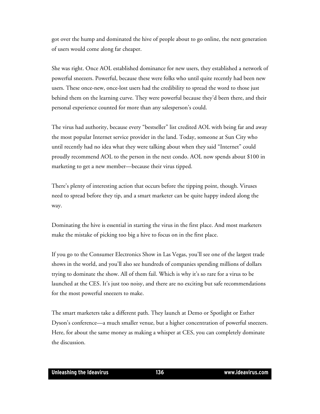got over the hump and dominated the hive of people about to go online, the next generation of users would come along far cheaper.

She was right. Once AOL established dominance for new users, they established a network of powerful sneezers. Powerful, because these were folks who until quite recently had been new users. These once-new, once-lost users had the credibility to spread the word to those just behind them on the learning curve. They were powerful because they'd been there, and their personal experience counted for more than any salesperson's could.

The virus had authority, because every "bestseller" list credited AOL with being far and away the most popular Internet service provider in the land. Today, someone at Sun City who until recently had no idea what they were talking about when they said "Internet" could proudly recommend AOL to the person in the next condo. AOL now spends about \$100 in marketing to get a new member—because their virus tipped.

There's plenty of interesting action that occurs before the tipping point, though. Viruses need to spread before they tip, and a smart marketer can be quite happy indeed along the way.

Dominating the hive is essential in starting the virus in the first place. And most marketers make the mistake of picking too big a hive to focus on in the first place.

If you go to the Consumer Electronics Show in Las Vegas, you'll see one of the largest trade shows in the world, and you'll also see hundreds of companies spending millions of dollars trying to dominate the show. All of them fail. Which is why it's so rare for a virus to be launched at the CES. It's just too noisy, and there are no exciting but safe recommendations for the most powerful sneezers to make.

The smart marketers take a different path. They launch at Demo or Spotlight or Esther Dyson's conference—a much smaller venue, but a higher concentration of powerful sneezers. Here, for about the same money as making a whisper at CES, you can completely dominate the discussion.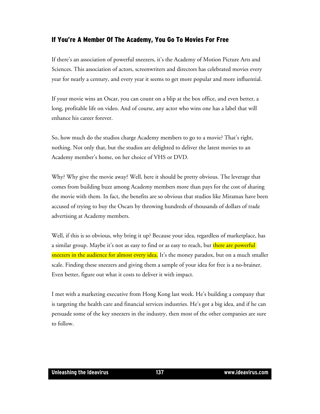### If You're A Member Of The Academy, You Go To Movies For Free

If there's an association of powerful sneezers, it's the Academy of Motion Picture Arts and Sciences. This association of actors, screenwriters and directors has celebrated movies every year for nearly a century, and every year it seems to get more popular and more influential.

If your movie wins an Oscar, you can count on a blip at the box office, and even better, a long, profitable life on video. And of course, any actor who wins one has a label that will enhance his career forever.

So, how much do the studios charge Academy members to go to a movie? That's right, nothing. Not only that, but the studios are delighted to deliver the latest movies to an Academy member's home, on her choice of VHS or DVD.

Why? Why give the movie away? Well, here it should be pretty obvious. The leverage that comes from building buzz among Academy members more than pays for the cost of sharing the movie with them. In fact, the benefits are so obvious that studios like Miramax have been accused of trying to buy the Oscars by throwing hundreds of thousands of dollars of trade advertising at Academy members.

Well, if this is so obvious, why bring it up? Because your idea, regardless of marketplace, has a similar group. Maybe it's not as easy to find or as easy to reach, but there are powerful sneezers in the audience for almost every idea. It's the money paradox, but on a much smaller scale. Finding these sneezers and giving them a sample of your idea for free is a no-brainer. Even better, figure out what it costs to deliver it with impact.

I met with a marketing executive from Hong Kong last week. He's building a company that is targeting the health care and financial services industries. He's got a big idea, and if he can persuade some of the key sneezers in the industry, then most of the other companies are sure to follow.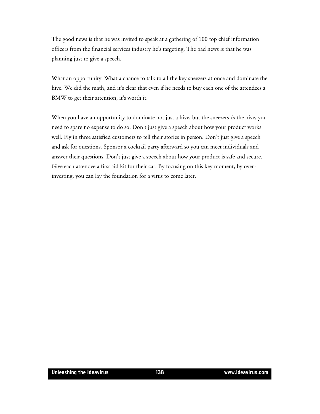The good news is that he was invited to speak at a gathering of 100 top chief information officers from the financial services industry he's targeting. The bad news is that he was planning just to give a speech.

What an opportunity! What a chance to talk to all the key sneezers at once and dominate the hive. We did the math, and it's clear that even if he needs to buy each one of the attendees a BMW to get their attention, it's worth it.

When you have an opportunity to dominate not just a hive, but the sneezers *in* the hive, you need to spare no expense to do so. Don't just give a speech about how your product works well. Fly in three satisfied customers to tell their stories in person. Don't just give a speech and ask for questions. Sponsor a cocktail party afterward so you can meet individuals and answer their questions. Don't just give a speech about how your product is safe and secure. Give each attendee a first aid kit for their car. By focusing on this key moment, by overinvesting, you can lay the foundation for a virus to come later.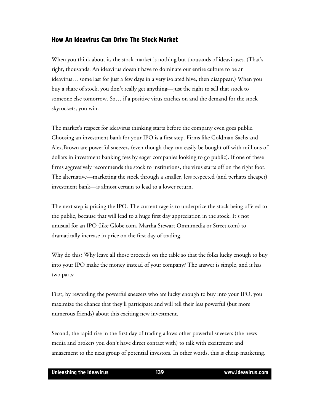### How An Ideavirus Can Drive The Stock Market

When you think about it, the stock market is nothing but thousands of ideaviruses. (That's right, thousands. An ideavirus doesn't have to dominate our entire culture to be an ideavirus… some last for just a few days in a very isolated hive, then disappear.) When you buy a share of stock, you don't really get anything—just the right to sell that stock to someone else tomorrow. So… if a positive virus catches on and the demand for the stock skyrockets, you win.

The market's respect for ideavirus thinking starts before the company even goes public. Choosing an investment bank for your IPO is a first step. Firms like Goldman Sachs and Alex.Brown are powerful sneezers (even though they can easily be bought off with millions of dollars in investment banking fees by eager companies looking to go public). If one of these firms aggressively recommends the stock to institutions, the virus starts off on the right foot. The alternative—marketing the stock through a smaller, less respected (and perhaps cheaper) investment bank—is almost certain to lead to a lower return.

The next step is pricing the IPO. The current rage is to underprice the stock being offered to the public, because that will lead to a huge first day appreciation in the stock. It's not unusual for an IPO (like Globe.com, Martha Stewart Omnimedia or Street.com) to dramatically increase in price on the first day of trading.

Why do this? Why leave all those proceeds on the table so that the folks lucky enough to buy into your IPO make the money instead of your company? The answer is simple, and it has two parts:

First, by rewarding the powerful sneezers who are lucky enough to buy into your IPO, you maximize the chance that they'll participate and will tell their less powerful (but more numerous friends) about this exciting new investment.

Second, the rapid rise in the first day of trading allows other powerful sneezers (the news media and brokers you don't have direct contact with) to talk with excitement and amazement to the next group of potential investors. In other words, this is cheap marketing.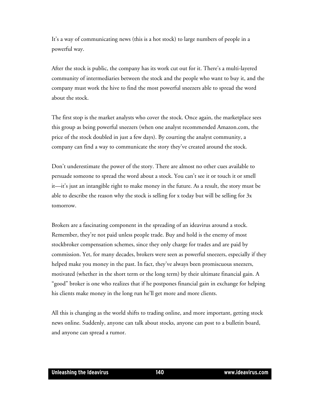It's a way of communicating news (this is a hot stock) to large numbers of people in a powerful way.

After the stock is public, the company has its work cut out for it. There's a multi-layered community of intermediaries between the stock and the people who want to buy it, and the company must work the hive to find the most powerful sneezers able to spread the word about the stock.

The first stop is the market analysts who cover the stock. Once again, the marketplace sees this group as being powerful sneezers (when one analyst recommended Amazon.com, the price of the stock doubled in just a few days). By courting the analyst community, a company can find a way to communicate the story they've created around the stock.

Don't underestimate the power of the story. There are almost no other cues available to persuade someone to spread the word about a stock. You can't see it or touch it or smell it—it's just an intangible right to make money in the future. As a result, the story must be able to describe the reason why the stock is selling for x today but will be selling for 3x tomorrow.

Brokers are a fascinating component in the spreading of an ideavirus around a stock. Remember, they're not paid unless people trade. Buy and hold is the enemy of most stockbroker compensation schemes, since they only charge for trades and are paid by commission. Yet, for many decades, brokers were seen as powerful sneezers, especially if they helped make you money in the past. In fact, they've always been promiscuous sneezers, motivated (whether in the short term or the long term) by their ultimate financial gain. A "good" broker is one who realizes that if he postpones financial gain in exchange for helping his clients make money in the long run he'll get more and more clients.

All this is changing as the world shifts to trading online, and more important, getting stock news online. Suddenly, anyone can talk about stocks, anyone can post to a bulletin board, and anyone can spread a rumor.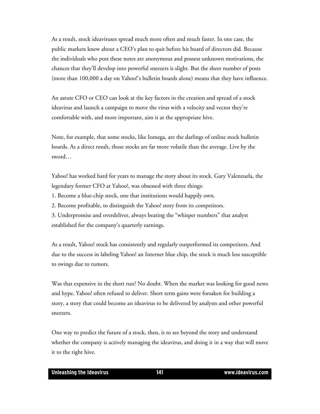As a result, stock ideaviruses spread much more often and much faster. In one case, the public markets knew about a CEO's plan to quit before his board of directors did. Because the individuals who post these notes are anonymous and possess unknown motivations, the chances that they'll develop into powerful sneezers is slight. But the sheer number of posts (more than 100,000 a day on Yahoo!'s bulletin boards alone) means that they have influence.

An astute CFO or CEO can look at the key factors in the creation and spread of a stock ideavirus and launch a campaign to move the virus with a velocity and vector they're comfortable with, and more important, aim it at the appropriate hive.

Note, for example, that some stocks, like Iomega, are the darlings of online stock bulletin boards. As a direct result, those stocks are far more volatile than the average. Live by the sword…

Yahoo! has worked hard for years to manage the story about its stock. Gary Valenzuela, the legendary former CFO at Yahoo!, was obsessed with three things:

- 1. Become a blue-chip stock, one that institutions would happily own.
- 2. Become profitable, to distinguish the Yahoo! story from its competitors.

3. Underpromise and overdeliver, always beating the "whisper numbers" that analyst established for the company's quarterly earnings.

As a result, Yahoo! stock has consistently and regularly outperformed its competitors. And due to the success in labeling Yahoo! an Internet blue chip, the stock is much less susceptible to swings due to rumors.

Was that expensive in the short run? No doubt. When the market was looking for good news and hype, Yahoo! often refused to deliver. Short term gains were forsaken for building a story, a story that could become an ideavirus to be delivered by analysts and other powerful sneezers.

One way to predict the future of a stock, then, is to see beyond the story and understand whether the company is actively managing the ideavirus, and doing it in a way that will move it to the right hive.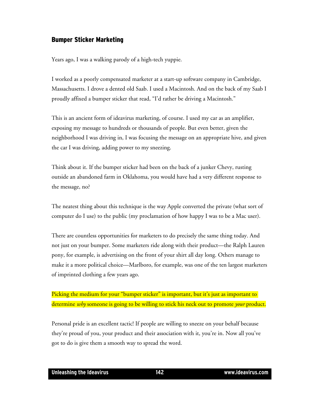### Bumper Sticker Marketing

Years ago, I was a walking parody of a high-tech yuppie.

I worked as a poorly compensated marketer at a start-up software company in Cambridge, Massachusetts. I drove a dented old Saab. I used a Macintosh. And on the back of my Saab I proudly affixed a bumper sticker that read, "I'd rather be driving a Macintosh."

This is an ancient form of ideavirus marketing, of course. I used my car as an amplifier, exposing my message to hundreds or thousands of people. But even better, given the neighborhood I was driving in, I was focusing the message on an appropriate hive, and given the car I was driving, adding power to my sneezing.

Think about it. If the bumper sticker had been on the back of a junker Chevy, rusting outside an abandoned farm in Oklahoma, you would have had a very different response to the message, no?

The neatest thing about this technique is the way Apple converted the private (what sort of computer do I use) to the public (my proclamation of how happy I was to be a Mac user).

There are countless opportunities for marketers to do precisely the same thing today. And not just on your bumper. Some marketers ride along with their product—the Ralph Lauren pony, for example, is advertising on the front of your shirt all day long. Others manage to make it a more political choice—Marlboro, for example, was one of the ten largest marketers of imprinted clothing a few years ago.

Picking the medium for your "bumper sticker" is important, but it's just as important to determine *why* someone is going to be willing to stick his neck out to promote *your* product.

Personal pride is an excellent tactic! If people are willing to sneeze on your behalf because they're proud of you, your product and their association with it, you're in. Now all you've got to do is give them a smooth way to spread the word.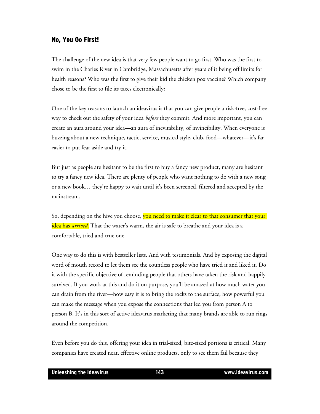#### No, You Go First!

The challenge of the new idea is that very few people want to go first. Who was the first to swim in the Charles River in Cambridge, Massachusetts after years of it being off limits for health reasons? Who was the first to give their kid the chicken pox vaccine? Which company chose to be the first to file its taxes electronically?

One of the key reasons to launch an ideavirus is that you can give people a risk-free, cost-free way to check out the safety of your idea *before* they commit. And more important, you can create an aura around your idea—an aura of inevitability, of invincibility. When everyone is buzzing about a new technique, tactic, service, musical style, club, food—whatever—it's far easier to put fear aside and try it.

But just as people are hesitant to be the first to buy a fancy new product, many are hesitant to try a fancy new idea. There are plenty of people who want nothing to do with a new song or a new book… they're happy to wait until it's been screened, filtered and accepted by the mainstream.

So, depending on the hive you choose, you need to make it clear to that consumer that your idea has *arrived*. That the water's warm, the air is safe to breathe and your idea is a comfortable, tried and true one.

One way to do this is with bestseller lists. And with testimonials. And by exposing the digital word of mouth record to let them see the countless people who have tried it and liked it. Do it with the specific objective of reminding people that others have taken the risk and happily survived. If you work at this and do it on purpose, you'll be amazed at how much water you can drain from the river—how easy it is to bring the rocks to the surface, how powerful you can make the message when you expose the connections that led you from person A to person B. It's in this sort of active ideavirus marketing that many brands are able to run rings around the competition.

Even before you do this, offering your idea in trial-sized, bite-sized portions is critical. Many companies have created neat, effective online products, only to see them fail because they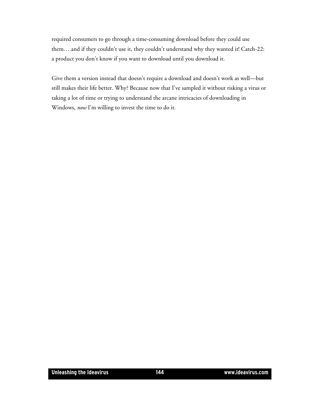required consumers to go through a time-consuming download before they could use them… and if they couldn't use it, they couldn't understand why they wanted it! Catch-22: a product you don't know if you want to download until you download it.

Give them a version instead that doesn't require a download and doesn't work as well—but still makes their life better. Why? Because now that I've sampled it without risking a virus or taking a lot of time or trying to understand the arcane intricacies of downloading in Windows, *now* I'm willing to invest the time to do it.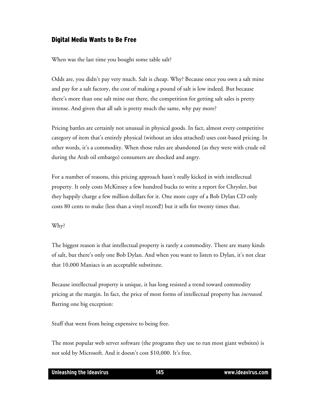# Digital Media Wants to Be Free

When was the last time you bought some table salt?

Odds are, you didn't pay very much. Salt is cheap. Why? Because once you own a salt mine and pay for a salt factory, the cost of making a pound of salt is low indeed. But because there's more than one salt mine out there, the competition for getting salt sales is pretty intense. And given that all salt is pretty much the same, why pay more?

Pricing battles are certainly not unusual in physical goods. In fact, almost every competitive category of item that's entirely physical (without an idea attached) uses cost-based pricing. In other words, it's a commodity. When those rules are abandoned (as they were with crude oil during the Arab oil embargo) consumers are shocked and angry.

For a number of reasons, this pricing approach hasn't really kicked in with intellectual property. It only costs McKinsey a few hundred bucks to write a report for Chrysler, but they happily charge a few million dollars for it. One more copy of a Bob Dylan CD only costs 80 cents to make (less than a vinyl record!) but it sells for twenty times that.

#### Why?

The biggest reason is that intellectual property is rarely a commodity. There are many kinds of salt, but there's only one Bob Dylan. And when you want to listen to Dylan, it's not clear that 10,000 Maniacs is an acceptable substitute.

Because intellectual property is unique, it has long resisted a trend toward commodity pricing at the margin. In fact, the price of most forms of intellectual property has *increased*. Barring one big exception:

Stuff that went from being expensive to being free.

The most popular web server software (the programs they use to run most giant websites) is not sold by Microsoft. And it doesn't cost \$10,000. It's free.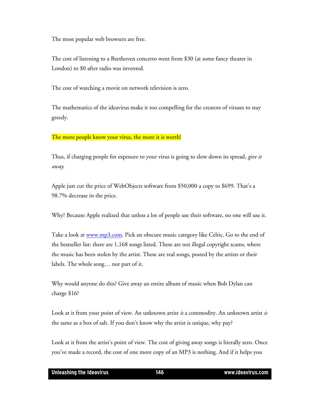The most popular web browsers are free.

The cost of listening to a Beethoven concerto went from \$30 (at some fancy theater in London) to \$0 after radio was invented.

The cost of watching a movie on network television is zero.

The mathematics of the ideavirus make it too compelling for the creators of viruses to stay greedy.

#### The more people know your virus, the more it is worth!

Thus, if charging people for exposure to your virus is going to slow down its spread, *give it away*.

Apple just cut the price of WebObjects software from \$50,000 a copy to \$699. That's a 98.7% decrease in the price.

Why? Because Apple realized that unless a lot of people use their software, no one will use it.

Take a look at <u>www.mp3.com</u>. Pick an obscure music category like Celtic. Go to the end of the bestseller list: there are 1,168 songs listed. These are not illegal copyright scams, where the music has been stolen by the artist. These are real songs, posted by the artists or their labels. The whole song… not part of it.

Why would anyone do this? Give away an entire album of music when Bob Dylan can charge \$16?

Look at it from your point of view. An unknown artist *is* a commodity. An unknown artist *is* the same as a box of salt. If you don't know why the artist is unique, why pay?

Look at it from the artist's point of view. The cost of giving away songs is literally zero. Once you've made a record, the cost of one more copy of an MP3 is nothing. And if it helps you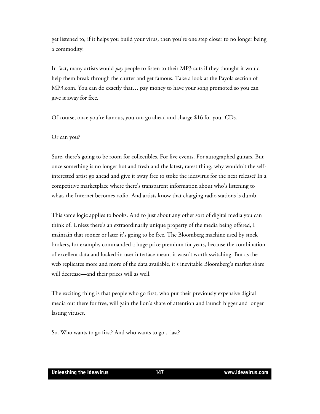get listened to, if it helps you build your virus, then you're one step closer to no longer being a commodity!

In fact, many artists would *pay* people to listen to their MP3 cuts if they thought it would help them break through the clutter and get famous. Take a look at the Payola section of MP3.com. You can do exactly that… pay money to have your song promoted so you can give it away for free.

Of course, once you're famous, you can go ahead and charge \$16 for your CDs.

#### Or can you?

Sure, there's going to be room for collectibles. For live events. For autographed guitars. But once something is no longer hot and fresh and the latest, rarest thing, why wouldn't the selfinterested artist go ahead and give it away free to stoke the ideavirus for the next release? In a competitive marketplace where there's transparent information about who's listening to what, the Internet becomes radio. And artists know that charging radio stations is dumb.

This same logic applies to books. And to just about any other sort of digital media you can think of. Unless there's an extraordinarily unique property of the media being offered, I maintain that sooner or later it's going to be free. The Bloomberg machine used by stock brokers, for example, commanded a huge price premium for years, because the combination of excellent data and locked-in user interface meant it wasn't worth switching. But as the web replicates more and more of the data available, it's inevitable Bloomberg's market share will decrease—and their prices will as well.

The exciting thing is that people who go first, who put their previously expensive digital media out there for free, will gain the lion's share of attention and launch bigger and longer lasting viruses.

So. Who wants to go first? And who wants to go... last?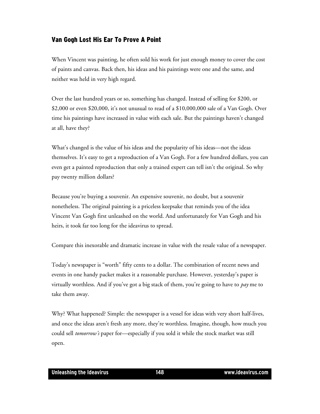# Van Gogh Lost His Ear To Prove A Point

When Vincent was painting, he often sold his work for just enough money to cover the cost of paints and canvas. Back then, his ideas and his paintings were one and the same, and neither was held in very high regard.

Over the last hundred years or so, something has changed. Instead of selling for \$200, or \$2,000 or even \$20,000, it's not unusual to read of a \$10,000,000 sale of a Van Gogh. Over time his paintings have increased in value with each sale. But the paintings haven't changed at all, have they?

What's changed is the value of his ideas and the popularity of his ideas—not the ideas themselves. It's easy to get a reproduction of a Van Gogh. For a few hundred dollars, you can even get a painted reproduction that only a trained expert can tell isn't the original. So why pay twenty million dollars?

Because you're buying a souvenir. An expensive souvenir, no doubt, but a souvenir nonetheless. The original painting is a priceless keepsake that reminds you of the idea Vincent Van Gogh first unleashed on the world. And unfortunately for Van Gogh and his heirs, it took far too long for the ideavirus to spread.

Compare this inexorable and dramatic increase in value with the resale value of a newspaper.

Today's newspaper is "worth" fifty cents to a dollar. The combination of recent news and events in one handy packet makes it a reasonable purchase. However, yesterday's paper is virtually worthless. And if you've got a big stack of them, you're going to have to *pay* me to take them away.

Why? What happened? Simple: the newspaper is a vessel for ideas with very short half-lives, and once the ideas aren't fresh any more, they're worthless. Imagine, though, how much you could sell *tomorrow's* paper for—especially if you sold it while the stock market was still open.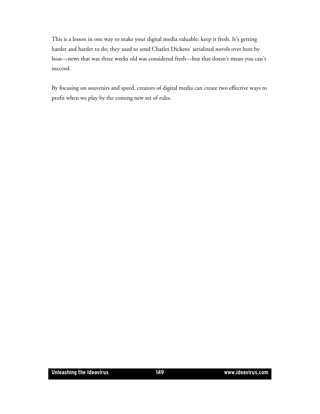This is a lesson in one way to make your digital media valuable: keep it fresh. It's getting harder and harder to do; they used to send Charles Dickens' serialized novels over here by boat—news that was three weeks old was considered fresh—but that doesn't mean you can't succeed.

By focusing on souvenirs and speed, creators of digital media can create two effective ways to profit when we play by the coming new set of rules.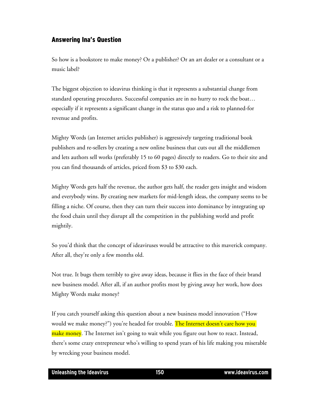## Answering Ina's Question

So how is a bookstore to make money? Or a publisher? Or an art dealer or a consultant or a music label?

The biggest objection to ideavirus thinking is that it represents a substantial change from standard operating procedures. Successful companies are in no hurry to rock the boat… especially if it represents a significant change in the status quo and a risk to planned-for revenue and profits.

Mighty Words (an Internet articles publisher) is aggressively targeting traditional book publishers and re-sellers by creating a new online business that cuts out all the middlemen and lets authors sell works (preferably 15 to 60 pages) directly to readers. Go to their site and you can find thousands of articles, priced from \$3 to \$30 each.

Mighty Words gets half the revenue, the author gets half, the reader gets insight and wisdom and everybody wins. By creating new markets for mid-length ideas, the company seems to be filling a niche. Of course, then they can turn their success into dominance by integrating up the food chain until they disrupt all the competition in the publishing world and profit mightily.

So you'd think that the concept of ideaviruses would be attractive to this maverick company. After all, they're only a few months old.

Not true. It bugs them terribly to give away ideas, because it flies in the face of their brand new business model. After all, if an author profits most by giving away her work, how does Mighty Words make money?

If you catch yourself asking this question about a new business model innovation ("How would we make money?") you're headed for trouble. The Internet doesn't care how you make money. The Internet isn't going to wait while you figure out how to react. Instead, there's some crazy entrepreneur who's willing to spend years of his life making you miserable by wrecking your business model.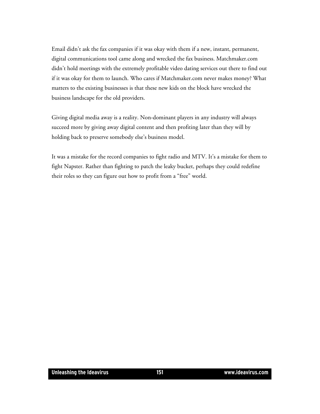Email didn't ask the fax companies if it was okay with them if a new, instant, permanent, digital communications tool came along and wrecked the fax business. Matchmaker.com didn't hold meetings with the extremely profitable video dating services out there to find out if it was okay for them to launch. Who cares if Matchmaker.com never makes money? What matters to the existing businesses is that these new kids on the block have wrecked the business landscape for the old providers.

Giving digital media away is a reality. Non-dominant players in any industry will always succeed more by giving away digital content and then profiting later than they will by holding back to preserve somebody else's business model.

It was a mistake for the record companies to fight radio and MTV. It's a mistake for them to fight Napster. Rather than fighting to patch the leaky bucket, perhaps they could redefine their roles so they can figure out how to profit from a "free" world.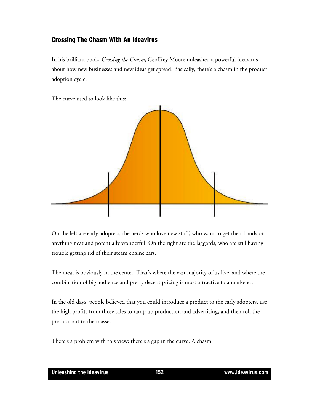# Crossing The Chasm With An Ideavirus

In his brilliant book, *Crossing the Chasm*, Geoffrey Moore unleashed a powerful ideavirus about how new businesses and new ideas get spread. Basically, there's a chasm in the product adoption cycle.

The curve used to look like this:



On the left are early adopters, the nerds who love new stuff, who want to get their hands on anything neat and potentially wonderful. On the right are the laggards, who are still having trouble getting rid of their steam engine cars.

The meat is obviously in the center. That's where the vast majority of us live, and where the combination of big audience and pretty decent pricing is most attractive to a marketer.

In the old days, people believed that you could introduce a product to the early adopters, use the high profits from those sales to ramp up production and advertising, and then roll the product out to the masses.

There's a problem with this view: there's a gap in the curve. A chasm.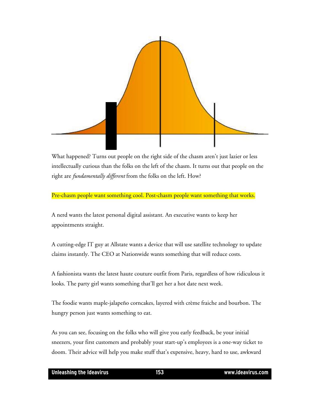

What happened? Turns out people on the right side of the chasm aren't just lazier or less intellectually curious than the folks on the left of the chasm. It turns out that people on the right are *fundamentally different* from the folks on the left. How?

Pre-chasm people want something cool. Post-chasm people want something that works.

A nerd wants the latest personal digital assistant. An executive wants to keep her appointments straight.

A cutting-edge IT guy at Allstate wants a device that will use satellite technology to update claims instantly. The CEO at Nationwide wants something that will reduce costs.

A fashionista wants the latest haute couture outfit from Paris, regardless of how ridiculous it looks. The party girl wants something that'll get her a hot date next week.

The foodie wants maple-jalapeño corncakes, layered with crème fraiche and bourbon. The hungry person just wants something to eat.

As you can see, focusing on the folks who will give you early feedback, be your initial sneezers, your first customers and probably your start-up's employees is a one-way ticket to doom. Their advice will help you make stuff that's expensive, heavy, hard to use, awkward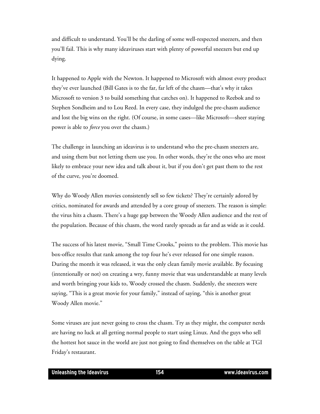and difficult to understand. You'll be the darling of some well-respected sneezers, and then you'll fail. This is why many ideaviruses start with plenty of powerful sneezers but end up dying.

It happened to Apple with the Newton. It happened to Microsoft with almost every product they've ever launched (Bill Gates is to the far, far left of the chasm—that's why it takes Microsoft to version 3 to build something that catches on). It happened to Reebok and to Stephen Sondheim and to Lou Reed. In every case, they indulged the pre-chasm audience and lost the big wins on the right. (Of course, in some cases—like Microsoft—sheer staying power is able to *force* you over the chasm.)

The challenge in launching an ideavirus is to understand who the pre-chasm sneezers are, and using them but not letting them use you. In other words, they're the ones who are most likely to embrace your new idea and talk about it, but if you don't get past them to the rest of the curve, you're doomed.

Why do Woody Allen movies consistently sell so few tickets? They're certainly adored by critics, nominated for awards and attended by a core group of sneezers. The reason is simple: the virus hits a chasm. There's a huge gap between the Woody Allen audience and the rest of the population. Because of this chasm, the word rarely spreads as far and as wide as it could.

The success of his latest movie, "Small Time Crooks," points to the problem. This movie has box-office results that rank among the top four he's ever released for one simple reason. During the month it was released, it was the only clean family movie available. By focusing (intentionally or not) on creating a wry, funny movie that was understandable at many levels and worth bringing your kids to, Woody crossed the chasm. Suddenly, the sneezers were saying, "This is a great movie for your family," instead of saying, "this is another great Woody Allen movie."

Some viruses are just never going to cross the chasm. Try as they might, the computer nerds are having no luck at all getting normal people to start using Linux. And the guys who sell the hottest hot sauce in the world are just not going to find themselves on the table at TGI Friday's restaurant.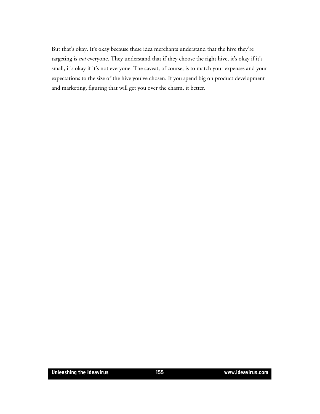But that's okay. It's okay because these idea merchants understand that the hive they're targeting is *not* everyone. They understand that if they choose the right hive, it's okay if it's small, it's okay if it's not everyone. The caveat, of course, is to match your expenses and your expectations to the size of the hive you've chosen. If you spend big on product development and marketing, figuring that will get you over the chasm, it better.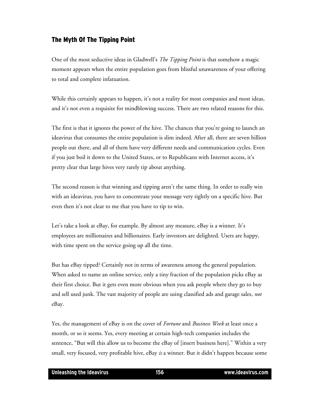## The Myth Of The Tipping Point

One of the most seductive ideas in Gladwell's *The Tipping Point* is that somehow a magic moment appears when the entire population goes from blissful unawareness of your offering to total and complete infatuation.

While this certainly appears to happen, it's not a reality for most companies and most ideas, and it's not even a requisite for mindblowing success. There are two related reasons for this.

The first is that it ignores the power of the hive. The chances that you're going to launch an ideavirus that consumes the entire population is slim indeed. After all, there are seven billion people out there, and all of them have very different needs and communication cycles. Even if you just boil it down to the United States, or to Republicans with Internet access, it's pretty clear that large hives very rarely tip about anything.

The second reason is that winning and tipping aren't the same thing. In order to really win with an ideavirus, you have to concentrate your message very tightly on a specific hive. But even then it's not clear to me that you have to tip to win.

Let's take a look at eBay, for example. By almost any measure, eBay is a winner. It's employees are millionaires and billionaires. Early investors are delighted. Users are happy, with time spent on the service going up all the time.

But has eBay tipped? Certainly not in terms of awareness among the general population. When asked to name an online service, only a tiny fraction of the population picks eBay as their first choice. But it gets even more obvious when you ask people where they go to buy and sell used junk. The vast majority of people are using classified ads and garage sales, *not* eBay.

Yes, the management of eBay is on the cover of *Fortune* and *Business Week* at least once a month, or so it seems. Yes, every meeting at certain high-tech companies includes the sentence, "But will this allow us to become the eBay of [insert business here]." Within a very small, very focused, very profitable hive, eBay *is* a winner. But it didn't happen because some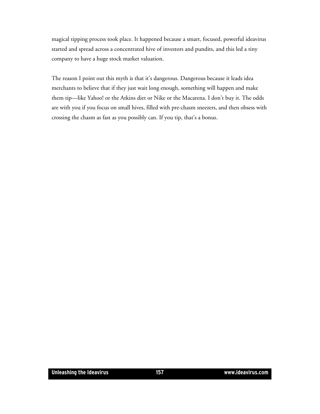magical tipping process took place. It happened because a smart, focused, powerful ideavirus started and spread across a concentrated hive of investors and pundits, and this led a tiny company to have a huge stock market valuation.

The reason I point out this myth is that it's dangerous. Dangerous because it leads idea merchants to believe that if they just wait long enough, something will happen and make them tip—like Yahoo! or the Atkins diet or Nike or the Macarena. I don't buy it. The odds are with you if you focus on small hives, filled with pre-chasm sneezers, and then obsess with crossing the chasm as fast as you possibly can. If you tip, that's a bonus.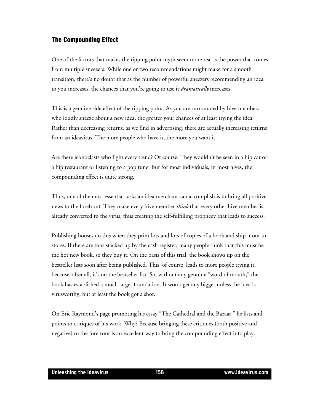### The Compounding Effect

One of the factors that makes the tipping point myth seem more real is the power that comes from multiple sneezers. While one or two recommendations might make for a smooth transition, there's no doubt that as the number of powerful sneezers recommending an idea to you increases, the chances that you're going to use it *dramatically* increases.

This is a genuine side effect of the tipping point. As you are surrounded by hive members who loudly sneeze about a new idea, the greater your chances of at least trying the idea. Rather than decreasing returns, as we find in advertising, there are actually increasing returns from an ideavirus. The more people who have it, the more you want it.

Are there iconoclasts who fight every trend? Of course. They wouldn't be seen in a hip car or a hip restaurant or listening to a pop tune. But for most individuals, in most hives, the compounding effect is quite strong.

Thus, one of the most essential tasks an idea merchant can accomplish is to bring all positive news to the forefront. They make every hive member *think* that every other hive member is already converted to the virus, thus creating the self-fulfilling prophecy that leads to success.

Publishing houses do this when they print lots and lots of copies of a book and ship it out to stores. If there are tons stacked up by the cash register, many people think that this must be the hot new book, so they buy it. On the basis of this trial, the book shows up on the bestseller lists soon after being published. This, of course, leads to more people trying it, because, after all, it's on the bestseller list. So, without any genuine "word of mouth," the book has established a much larger foundation. It won't get any bigger unless the idea is virusworthy, but at least the book got a shot.

On Eric Raymond's page promoting his essay "The Cathedral and the Bazaar," he lists and points to critiques of his work. Why? Because bringing these critiques (both positive and negative) to the forefront is an excellent way to bring the compounding effect into play.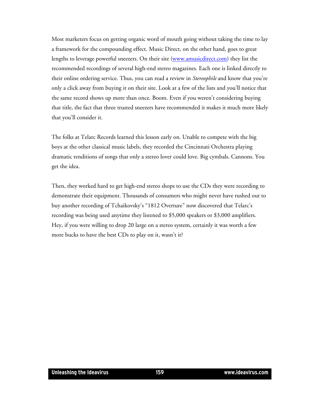Most marketers focus on getting organic word of mouth going without taking the time to lay a framework for the compounding effect. Music Direct, on the other hand, goes to great lengths to leverage powerful sneezers. On their site (www.amusicdirect.com) they list the recommended recordings of several high-end stereo magazines. Each one is linked directly to their online ordering service. Thus, you can read a review in *Stereophile* and know that you're only a click away from buying it on their site. Look at a few of the lists and you'll notice that the same record shows up more than once. Boom. Even if you weren't considering buying that title, the fact that three trusted sneezers have recommended it makes it much more likely that you'll consider it.

The folks at Telarc Records learned this lesson early on. Unable to compete with the big boys at the other classical music labels, they recorded the Cincinnati Orchestra playing dramatic renditions of songs that only a stereo lover could love. Big cymbals. Cannons. You get the idea.

Then, they worked hard to get high-end stereo shops to use the CDs they were recording to demonstrate their equipment. Thousands of consumers who might never have rushed out to buy another recording of Tchaikovsky's "1812 Overture" now discovered that Telarc's recording was being used anytime they listened to \$5,000 speakers or \$3,000 amplifiers. Hey, if you were willing to drop 20 large on a stereo system, certainly it was worth a few more bucks to have the best CDs to play on it, wasn't it?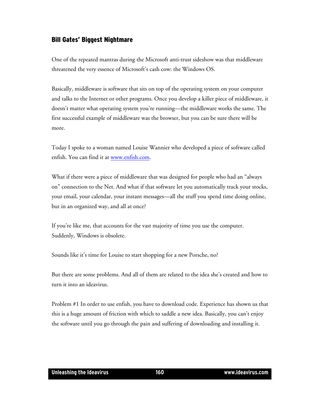# Bill Gates' Biggest Nightmare

One of the repeated mantras during the Microsoft anti-trust sideshow was that middleware threatened the very essence of Microsoft's cash cow: the Windows OS.

Basically, middleware is software that sits on top of the operating system on your computer and talks to the Internet or other programs. Once you develop a killer piece of middleware, it doesn't matter what operating system you're running—the middleware works the same. The first successful example of middleware was the browser, but you can be sure there will be more.

Today I spoke to a woman named Louise Wannier who developed a piece of software called enfish. You can find it at www.enfish.com .

What if there were a piece of middleware that was designed for people who had an "always on" connection to the Net. And what if that software let you automatically track your stocks, your email, your calendar, your instant messages—all the stuff you spend time doing online, but in an organized way, and all at once?

If you're like me, that accounts for the vast majority of time you use the computer. Suddenly, Windows is obsolete.

Sounds like it's time for Louise to start shopping for a new Porsche, no?

But there are some problems. And all of them are related to the idea she's created and how to turn it into an ideavirus.

Problem #1 In order to use enfish, you have to download code. Experience has shown us that this is a huge amount of friction with which to saddle a new idea. Basically, you can't enjoy the software until you go through the pain and suffering of downloading and installing it.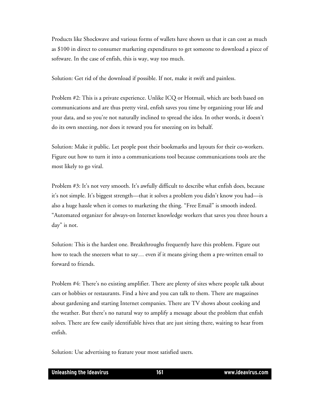Products like Shockwave and various forms of wallets have shown us that it can cost as much as \$100 in direct to consumer marketing expenditures to get someone to download a piece of software. In the case of enfish, this is way, way too much.

Solution: Get rid of the download if possible. If not, make it swift and painless.

Problem #2: This is a private experience. Unlike ICQ or Hotmail, which are both based on communications and are thus pretty viral, enfish saves you time by organizing your life and your data, and so you're not naturally inclined to spread the idea. In other words, it doesn't do its own sneezing, nor does it reward you for sneezing on its behalf.

Solution: Make it public. Let people post their bookmarks and layouts for their co-workers. Figure out how to turn it into a communications tool because communications tools are the most likely to go viral.

Problem #3: It's not very smooth. It's awfully difficult to describe what enfish does, because it's not simple. It's biggest strength—that it solves a problem you didn't know you had—is also a huge hassle when it comes to marketing the thing. "Free Email" is smooth indeed. "Automated organizer for always-on Internet knowledge workers that saves you three hours a day" is not.

Solution: This is the hardest one. Breakthroughs frequently have this problem. Figure out how to teach the sneezers what to say… even if it means giving them a pre-written email to forward to friends.

Problem #4: There's no existing amplifier. There are plenty of sites where people talk about cars or hobbies or restaurants. Find a hive and you can talk to them. There are magazines about gardening and starting Internet companies. There are TV shows about cooking and the weather. But there's no natural way to amplify a message about the problem that enfish solves. There are few easily identifiable hives that are just sitting there, waiting to hear from enfish.

Solution: Use advertising to feature your most satisfied users.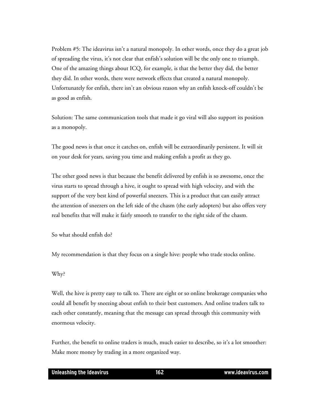Problem #5: The ideavirus isn't a natural monopoly. In other words, once they do a great job of spreading the virus, it's not clear that enfish's solution will be the only one to triumph. One of the amazing things about ICQ, for example, is that the better they did, the better they did. In other words, there were network effects that created a natural monopoly. Unfortunately for enfish, there isn't an obvious reason why an enfish knock-off couldn't be as good as enfish.

Solution: The same communication tools that made it go viral will also support its position as a monopoly.

The good news is that once it catches on, enfish will be extraordinarily persistent. It will sit on your desk for years, saving you time and making enfish a profit as they go.

The other good news is that because the benefit delivered by enfish is so awesome, once the virus starts to spread through a hive, it ought to spread with high velocity, and with the support of the very best kind of powerful sneezers. This is a product that can easily attract the attention of sneezers on the left side of the chasm (the early adopters) but also offers very real benefits that will make it fairly smooth to transfer to the right side of the chasm.

So what should enfish do?

My recommendation is that they focus on a single hive: people who trade stocks online.

#### Why?

Well, the hive is pretty easy to talk to. There are eight or so online brokerage companies who could all benefit by sneezing about enfish to their best customers. And online traders talk to each other constantly, meaning that the message can spread through this community with enormous velocity.

Further, the benefit to online traders is much, much easier to describe, so it's a lot smoother: Make more money by trading in a more organized way.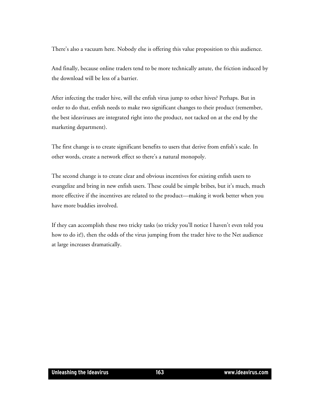There's also a vacuum here. Nobody else is offering this value proposition to this audience.

And finally, because online traders tend to be more technically astute, the friction induced by the download will be less of a barrier.

After infecting the trader hive, will the enfish virus jump to other hives? Perhaps. But in order to do that, enfish needs to make two significant changes to their product (remember, the best ideaviruses are integrated right into the product, not tacked on at the end by the marketing department).

The first change is to create significant benefits to users that derive from enfish's scale. In other words, create a network effect so there's a natural monopoly.

The second change is to create clear and obvious incentives for existing enfish users to evangelize and bring in new enfish users. These could be simple bribes, but it's much, much more effective if the incentives are related to the product—making it work better when you have more buddies involved.

If they can accomplish these two tricky tasks (so tricky you'll notice I haven't even told you how to do it!), then the odds of the virus jumping from the trader hive to the Net audience at large increases dramatically.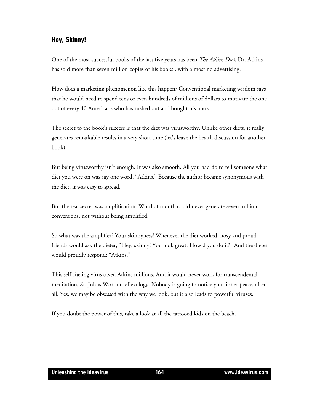# Hey, Skinny!

One of the most successful books of the last five years has been *The Atkins Diet*. Dr. Atkins has sold more than seven million copies of his books...with almost no advertising.

How does a marketing phenomenon like this happen? Conventional marketing wisdom says that he would need to spend tens or even hundreds of millions of dollars to motivate the one out of every 40 Americans who has rushed out and bought his book.

The secret to the book's success is that the diet was virusworthy. Unlike other diets, it really generates remarkable results in a very short time (let's leave the health discussion for another book).

But being virusworthy isn't enough. It was also smooth. All you had do to tell someone what diet you were on was say one word, "Atkins." Because the author became synonymous with the diet, it was easy to spread.

But the real secret was amplification. Word of mouth could never generate seven million conversions, not without being amplified.

So what was the amplifier? Your skinnyness! Whenever the diet worked, nosy and proud friends would ask the dieter, "Hey, skinny! You look great. How'd you do it?" And the dieter would proudly respond: "Atkins."

This self-fueling virus saved Atkins millions. And it would never work for transcendental meditation, St. Johns Wort or reflexology. Nobody is going to notice your inner peace, after all. Yes, we may be obsessed with the way we look, but it also leads to powerful viruses.

If you doubt the power of this, take a look at all the tattooed kids on the beach.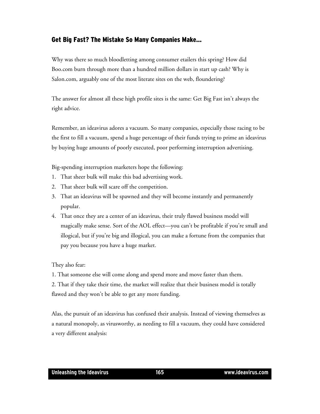# Get Big Fast? The Mistake So Many Companies Make…

Why was there so much bloodletting among consumer etailers this spring? How did Boo.com burn through more than a hundred million dollars in start up cash? Why is Salon.com, arguably one of the most literate sites on the web, floundering?

The answer for almost all these high profile sites is the same: Get Big Fast isn't always the right advice.

Remember, an ideavirus adores a vacuum. So many companies, especially those racing to be the first to fill a vacuum, spend a huge percentage of their funds trying to prime an ideavirus by buying huge amounts of poorly executed, poor performing interruption advertising.

Big-spending interruption marketers hope the following:

- 1. That sheer bulk will make this bad advertising work.
- 2. That sheer bulk will scare off the competition.
- 3. That an ideavirus will be spawned and they will become instantly and permanently popular.
- 4. That once they are a center of an ideavirus, their truly flawed business model will magically make sense. Sort of the AOL effect—you can't be profitable if you're small and illogical, but if you're big and illogical, you can make a fortune from the companies that pay you because you have a huge market.

They also fear:

1. That someone else will come along and spend more and move faster than them.

2. That if they take their time, the market will realize that their business model is totally flawed and they won't be able to get any more funding.

Alas, the pursuit of an ideavirus has confused their analysis. Instead of viewing themselves as a natural monopoly, as virusworthy, as needing to fill a vacuum, they could have considered a very different analysis: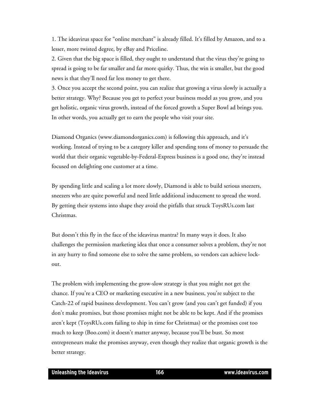1. The ideavirus space for "online merchant" is already filled. It's filled by Amazon, and to a lesser, more twisted degree, by eBay and Priceline.

2. Given that the big space is filled, they ought to understand that the virus they're going to spread is going to be far smaller and far more quirky. Thus, the win is smaller, but the good news is that they'll need far less money to get there.

3. Once you accept the second point, you can realize that growing a virus slowly is actually a better strategy. Why? Because you get to perfect your business model as you grow, and you get holistic, organic virus growth, instead of the forced growth a Super Bowl ad brings you. In other words, you actually get to earn the people who visit your site.

Diamond Organics (www.diamondorganics.com) is following this approach, and it's working. Instead of trying to be a category killer and spending tons of money to persuade the world that their organic vegetable-by-Federal-Express business is a good one, they're instead focused on delighting one customer at a time.

By spending little and scaling a lot more slowly, Diamond is able to build serious sneezers, sneezers who are quite powerful and need little additional inducement to spread the word. By getting their systems into shape they avoid the pitfalls that struck ToysRUs.com last Christmas.

But doesn't this fly in the face of the ideavirus mantra? In many ways it does. It also challenges the permission marketing idea that once a consumer solves a problem, they're not in any hurry to find someone else to solve the same problem, so vendors can achieve lockout.

The problem with implementing the grow-slow strategy is that you might not get the chance. If you're a CEO or marketing executive in a new business, you're subject to the Catch-22 of rapid business development. You can't grow (and you can't get funded) if you don't make promises, but those promises might not be able to be kept. And if the promises aren't kept (ToysRUs.com failing to ship in time for Christmas) or the promises cost too much to keep (Boo.com) it doesn't matter anyway, because you'll be bust. So most entrepreneurs make the promises anyway, even though they realize that organic growth is the better strategy.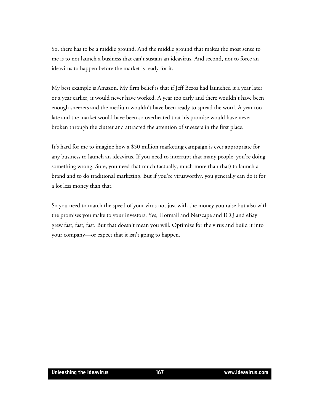So, there has to be a middle ground. And the middle ground that makes the most sense to me is to not launch a business that can't sustain an ideavirus. And second, not to force an ideavirus to happen before the market is ready for it.

My best example is Amazon. My firm belief is that if Jeff Bezos had launched it a year later or a year earlier, it would never have worked. A year too early and there wouldn't have been enough sneezers and the medium wouldn't have been ready to spread the word. A year too late and the market would have been so overheated that his promise would have never broken through the clutter and attracted the attention of sneezers in the first place.

It's hard for me to imagine how a \$50 million marketing campaign is ever appropriate for any business to launch an ideavirus. If you need to interrupt that many people, you're doing something wrong. Sure, you need that much (actually, much more than that) to launch a brand and to do traditional marketing. But if you're virusworthy, you generally can do it for a lot less money than that.

So you need to match the speed of your virus not just with the money you raise but also with the promises you make to your investors. Yes, Hotmail and Netscape and ICQ and eBay grew fast, fast, fast. But that doesn't mean you will. Optimize for the virus and build it into your company—or expect that it isn't going to happen.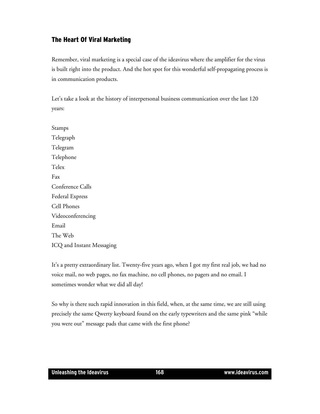# The Heart Of Viral Marketing

Remember, viral marketing is a special case of the ideavirus where the amplifier for the virus is built right into the product. And the hot spot for this wonderful self-propagating process is in communication products.

Let's take a look at the history of interpersonal business communication over the last 120 years:

Stamps Telegraph Telegram Telephone Telex Fax Conference Calls Federal Express Cell Phones Videoconferencing Email The Web ICQ and Instant Messaging

It's a pretty extraordinary list. Twenty-five years ago, when I got my first real job, we had no voice mail, no web pages, no fax machine, no cell phones, no pagers and no email. I sometimes wonder what we did all day!

So why is there such rapid innovation in this field, when, at the same time, we are still using precisely the same Qwerty keyboard found on the early typewriters and the same pink "while you were out" message pads that came with the first phone?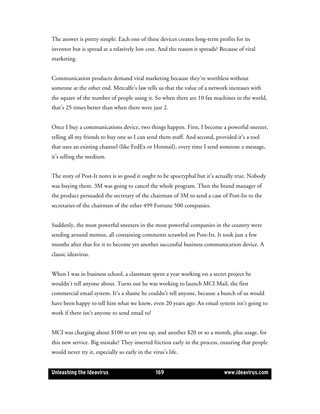The answer is pretty simple: Each one of these devices creates long-term profits for its inventor but is spread at a relatively low cost. And the reason it spreads? Because of viral marketing.

Communication products demand viral marketing because they're worthless without someone at the other end. Metcalfe's law tells us that the value of a network increases with the square of the number of people using it. So when there are 10 fax machines in the world, that's 25 times better than when there were just 2.

Once I buy a communications device, two things happen. First, I become a powerful sneezer, telling all my friends to buy one so I can send them stuff. And second, provided it's a tool that uses an existing channel (like FedEx or Hotmail), every time I send someone a message, it's selling the medium.

The story of Post-It notes is so good it ought to be apocryphal but it's actually true. Nobody was buying them. 3M was going to cancel the whole program. Then the brand manager of the product persuaded the secretary of the chairman of 3M to send a case of Post-Its to the secretaries of the chairmen of the other 499 Fortune 500 companies.

Suddenly, the most powerful sneezers in the most powerful companies in the country were sending around memos, all containing comments scrawled on Post-Its. It took just a few months after that for it to become yet another successful business communication device. A classic ideavirus.

When I was in business school, a classmate spent a year working on a secret project he wouldn't tell anyone about. Turns out he was working to launch MCI Mail, the first commercial email system. It's a shame he couldn't tell anyone, because a bunch of us would have been happy to tell him what we knew, even 20 years ago: An email system isn't going to work if there isn't anyone to send email to!

MCI was charging about \$100 to set you up, and another \$20 or so a month, plus usage, for this new service. Big mistake! They inserted friction early in the process, ensuring that people would never try it, especially so early in the virus's life.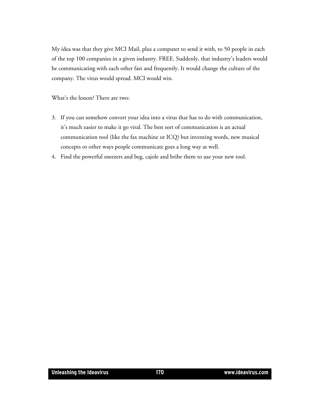My idea was that they give MCI Mail, plus a computer to send it with, to 50 people in each of the top 100 companies in a given industry. FREE. Suddenly, that industry's leaders would be communicating with each other fast and frequently. It would change the culture of the company. The virus would spread. MCI would win.

What's the lesson? There are two:

- 3. If you can somehow convert your idea into a virus that has to do with communication, it's much easier to make it go viral. The best sort of communication is an actual communication tool (like the fax machine or ICQ) but inventing words, new musical concepts or other ways people communicate goes a long way as well.
- 4. Find the powerful sneezers and beg, cajole and bribe them to use your new tool.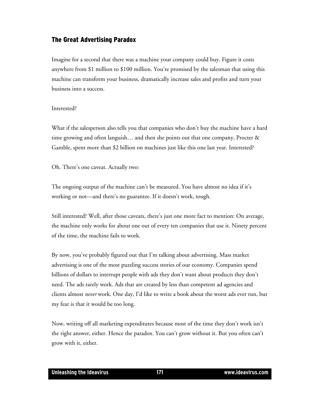### The Great Advertising Paradox

Imagine for a second that there was a machine your company could buy. Figure it costs anywhere from \$1 million to \$100 million. You're promised by the salesman that using this machine can transform your business, dramatically increase sales and profits and turn your business into a success.

#### Interested?

What if the salesperson also tells you that companies who don't buy the machine have a hard time growing and often languish… and then she points out that one company, Procter & Gamble, spent more than \$2 billion on machines just like this one last year. Interested?

Oh. There's one caveat. Actually two:

The ongoing output of the machine can't be measured. You have almost no idea if it's working or not—and there's no guarantee. If it doesn't work, tough.

Still interested? Well, after those caveats, there's just one more fact to mention: On average, the machine only works for about one out of every ten companies that use it. Ninety percent of the time, the machine fails to work.

By now, you've probably figured out that I'm talking about advertising. Mass market advertising is one of the most puzzling success stories of our economy. Companies spend billions of dollars to interrupt people with ads they don't want about products they don't need. The ads rarely work. Ads that are created by less than competent ad agencies and clients almost *never* work. One day, I'd like to write a book about the worst ads ever run, but my fear is that it would be too long.

Now, writing off all marketing expenditures because most of the time they don't work isn't the right answer, either. Hence the paradox. You can't grow without it. But you often can't grow with it, either.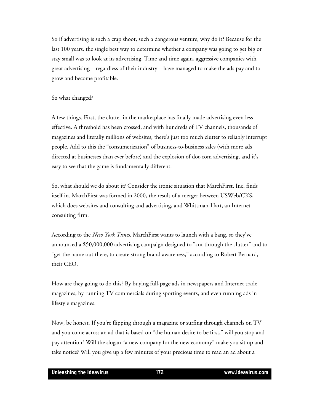So if advertising is such a crap shoot, such a dangerous venture, why do it? Because for the last 100 years, the single best way to determine whether a company was going to get big or stay small was to look at its advertising. Time and time again, aggressive companies with great advertising—regardless of their industry—have managed to make the ads pay and to grow and become profitable.

#### So what changed?

A few things. First, the clutter in the marketplace has finally made advertising even less effective. A threshold has been crossed, and with hundreds of TV channels, thousands of magazines and literally millions of websites, there's just too much clutter to reliably interrupt people. Add to this the "consumerization" of business-to-business sales (with more ads directed at businesses than ever before) and the explosion of dot-com advertising, and it's easy to see that the game is fundamentally different.

So, what should we do about it? Consider the ironic situation that MarchFirst, Inc. finds itself in. MarchFirst was formed in 2000, the result of a merger between USWeb/CKS, which does websites and consulting and advertising, and Whittman-Hart, an Internet consulting firm.

According to the *New York Times*, MarchFirst wants to launch with a bang, so they've announced a \$50,000,000 advertising campaign designed to "cut through the clutter" and to "get the name out there, to create strong brand awareness," according to Robert Bernard, their CEO.

How are they going to do this? By buying full-page ads in newspapers and Internet trade magazines, by running TV commercials during sporting events, and even running ads in lifestyle magazines.

Now, be honest. If you're flipping through a magazine or surfing through channels on TV and you come across an ad that is based on "the human desire to be first," will you stop and pay attention? Will the slogan "a new company for the new economy" make you sit up and take notice? Will you give up a few minutes of your precious time to read an ad about a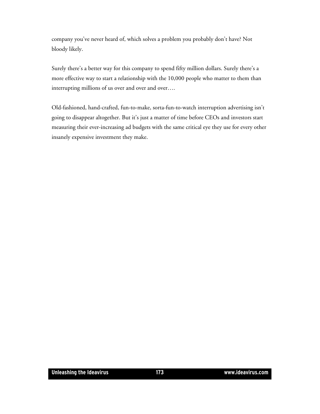company you've never heard of, which solves a problem you probably don't have? Not bloody likely.

Surely there's a better way for this company to spend fifty million dollars. Surely there's a more effective way to start a relationship with the 10,000 people who matter to them than interrupting millions of us over and over and over....

Old-fashioned, hand-crafted, fun-to-make, sorta-fun-to-watch interruption advertising isn't going to disappear altogether. But it's just a matter of time before CEOs and investors start measuring their ever-increasing ad budgets with the same critical eye they use for every other insanely expensive investment they make.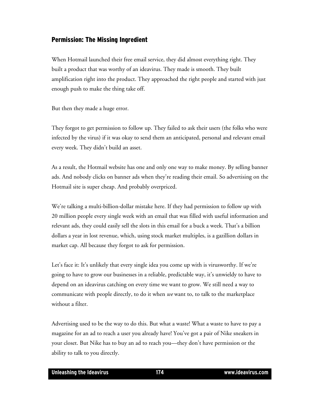## Permission: The Missing Ingredient

When Hotmail launched their free email service, they did almost everything right. They built a product that was worthy of an ideavirus. They made is smooth. They built amplification right into the product. They approached the right people and started with just enough push to make the thing take off.

But then they made a huge error.

They forgot to get permission to follow up. They failed to ask their users (the folks who were infected by the virus) if it was okay to send them an anticipated, personal and relevant email every week. They didn't build an asset.

As a result, the Hotmail website has one and only one way to make money. By selling banner ads. And nobody clicks on banner ads when they're reading their email. So advertising on the Hotmail site is super cheap. And probably overpriced.

We're talking a multi-billion-dollar mistake here. If they had permission to follow up with 20 million people every single week with an email that was filled with useful information and relevant ads, they could easily sell the slots in this email for a buck a week. That's a billion dollars a year in lost revenue, which, using stock market multiples, is a gazillion dollars in market cap. All because they forgot to ask for permission.

Let's face it: It's unlikely that every single idea you come up with is virusworthy. If we're going to have to grow our businesses in a reliable, predictable way, it's unwieldy to have to depend on an ideavirus catching on every time we want to grow. We still need a way to communicate with people directly, to do it when *we* want to, to talk to the marketplace without a filter.

Advertising used to be the way to do this. But what a waste! What a waste to have to pay a magazine for an ad to reach a user you already have! You've got a pair of Nike sneakers in your closet. But Nike has to buy an ad to reach you—they don't have permission or the ability to talk to you directly.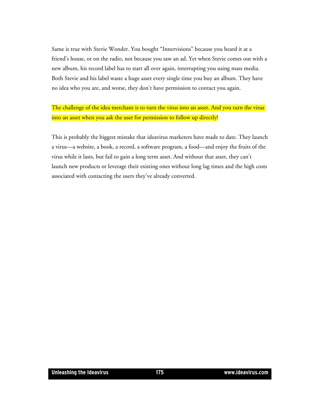Same is true with Stevie Wonder. You bought "Innervisions" because you heard it at a friend's house, or on the radio, not because you saw an ad. Yet when Stevie comes out with a new album, his record label has to start all over again, interrupting you using mass media. Both Stevie and his label waste a huge asset every single time you buy an album. They have no idea who you are, and worse, they don't have permission to contact you again.

The challenge of the idea merchant is to turn the virus into an asset. And you turn the virus into an asset when you ask the user for permission to follow up directly!

This is probably the biggest mistake that ideavirus marketers have made to date. They launch a virus—a website, a book, a record, a software program, a food—and enjoy the fruits of the virus while it lasts, but fail to gain a long term asset. And without that asset, they can't launch new products or leverage their existing ones without long lag times and the high costs associated with contacting the users they've already converted.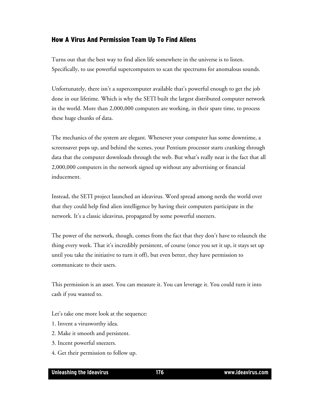## How A Virus And Permission Team Up To Find Aliens

Turns out that the best way to find alien life somewhere in the universe is to listen. Specifically, to use powerful supercomputers to scan the spectrums for anomalous sounds.

Unfortunately, there isn't a supercomputer available that's powerful enough to get the job done in our lifetime. Which is why the SETI built the largest distributed computer network in the world. More than 2,000,000 computers are working, in their spare time, to process these huge chunks of data.

The mechanics of the system are elegant. Whenever your computer has some downtime, a screensaver pops up, and behind the scenes, your Pentium processor starts cranking through data that the computer downloads through the web. But what's really neat is the fact that all 2,000,000 computers in the network signed up without any advertising or financial inducement.

Instead, the SETI project launched an ideavirus. Word spread among nerds the world over that they could help find alien intelligence by having their computers participate in the network. It's a classic ideavirus, propagated by some powerful sneezers.

The power of the network, though, comes from the fact that they don't have to relaunch the thing every week. That it's incredibly persistent, of course (once you set it up, it stays set up until you take the initiative to turn it off), but even better, they have permission to communicate to their users.

This permission is an asset. You can measure it. You can leverage it. You could turn it into cash if you wanted to.

Let's take one more look at the sequence:

- 1. Invent a virusworthy idea.
- 2. Make it smooth and persistent.
- 3. Incent powerful sneezers.
- 4. Get their permission to follow up.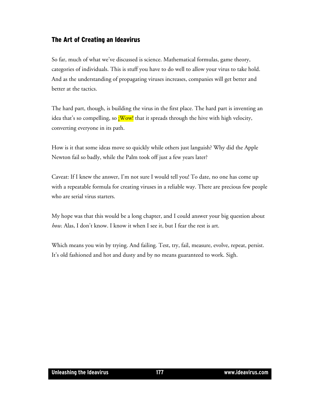# The Art of Creating an Ideavirus

So far, much of what we've discussed is science. Mathematical formulas, game theory, categories of individuals. This is stuff you have to do well to allow your virus to take hold. And as the understanding of propagating viruses increases, companies will get better and better at the tactics.

The hard part, though, is building the virus in the first place. The hard part is inventing an idea that's so compelling, so  $\frac{1}{2}W^{\text{ow}!}$  that it spreads through the hive with high velocity, converting everyone in its path.

How is it that some ideas move so quickly while others just languish? Why did the Apple Newton fail so badly, while the Palm took off just a few years later?

Caveat: If I knew the answer, I'm not sure I would tell you! To date, no one has come up with a repeatable formula for creating viruses in a reliable way. There are precious few people who are serial virus starters.

My hope was that this would be a long chapter, and I could answer your big question about *how*. Alas, I don't know. I know it when I see it, but I fear the rest is art.

Which means you win by trying. And failing. Test, try, fail, measure, evolve, repeat, persist. It's old fashioned and hot and dusty and by no means guaranteed to work. Sigh.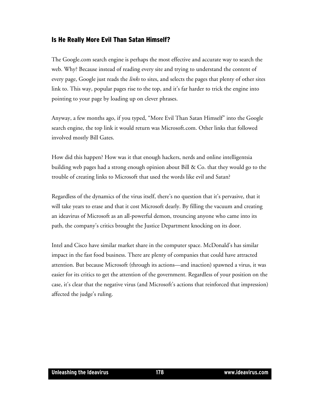## Is He Really More Evil Than Satan Himself?

The Google.com search engine is perhaps the most effective and accurate way to search the web. Why? Because instead of reading every site and trying to understand the content of every page, Google just reads the *links* to sites, and selects the pages that plenty of other sites link to. This way, popular pages rise to the top, and it's far harder to trick the engine into pointing to your page by loading up on clever phrases.

Anyway, a few months ago, if you typed, "More Evil Than Satan Himself" into the Google search engine, the top link it would return was Microsoft.com. Other links that followed involved mostly Bill Gates.

How did this happen? How was it that enough hackers, nerds and online intelligentsia building web pages had a strong enough opinion about Bill & Co. that they would go to the trouble of creating links to Microsoft that used the words like evil and Satan?

Regardless of the dynamics of the virus itself, there's no question that it's pervasive, that it will take years to erase and that it cost Microsoft dearly. By filling the vacuum and creating an ideavirus of Microsoft as an all-powerful demon, trouncing anyone who came into its path, the company's critics brought the Justice Department knocking on its door.

Intel and Cisco have similar market share in the computer space. McDonald's has similar impact in the fast food business. There are plenty of companies that could have attracted attention. But because Microsoft (through its actions—and inaction) spawned a virus, it was easier for its critics to get the attention of the government. Regardless of your position on the case, it's clear that the negative virus (and Microsoft's actions that reinforced that impression) affected the judge's ruling.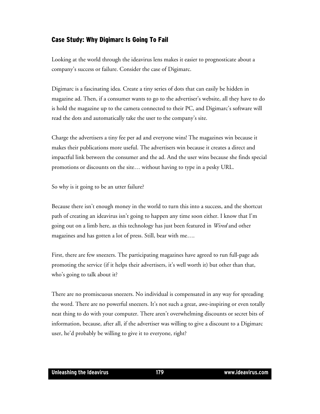## Case Study: Why Digimarc Is Going To Fail

Looking at the world through the ideavirus lens makes it easier to prognosticate about a company's success or failure. Consider the case of Digimarc.

Digimarc is a fascinating idea. Create a tiny series of dots that can easily be hidden in magazine ad. Then, if a consumer wants to go to the advertiser's website, all they have to do is hold the magazine up to the camera connected to their PC, and Digimarc's software will read the dots and automatically take the user to the company's site.

Charge the advertisers a tiny fee per ad and everyone wins! The magazines win because it makes their publications more useful. The advertisers win because it creates a direct and impactful link between the consumer and the ad. And the user wins because she finds special promotions or discounts on the site… without having to type in a pesky URL.

So why is it going to be an utter failure?

Because there isn't enough money in the world to turn this into a success, and the shortcut path of creating an ideavirus isn't going to happen any time soon either. I know that I'm going out on a limb here, as this technology has just been featured in *Wired* and other magazines and has gotten a lot of press. Still, bear with me….

First, there are few sneezers. The participating magazines have agreed to run full-page ads promoting the service (if it helps their advertisers, it's well worth it) but other than that, who's going to talk about it?

There are no promiscuous sneezers. No individual is compensated in any way for spreading the word. There are no powerful sneezers. It's not such a great, awe-inspiring or even totally neat thing to do with your computer. There aren't overwhelming discounts or secret bits of information, because, after all, if the advertiser was willing to give a discount to a Digimarc user, he'd probably be willing to give it to everyone, right?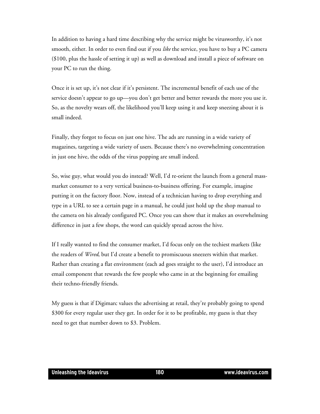In addition to having a hard time describing why the service might be virusworthy, it's not smooth, either. In order to even find out if you *like* the service, you have to buy a PC camera (\$100, plus the hassle of setting it up) as well as download and install a piece of software on your PC to run the thing.

Once it is set up, it's not clear if it's persistent. The incremental benefit of each use of the service doesn't appear to go up—you don't get better and better rewards the more you use it. So, as the novelty wears off, the likelihood you'll keep using it and keep sneezing about it is small indeed.

Finally, they forgot to focus on just one hive. The ads are running in a wide variety of magazines, targeting a wide variety of users. Because there's no overwhelming concentration in just one hive, the odds of the virus popping are small indeed.

So, wise guy, what would you do instead? Well, I'd re-orient the launch from a general massmarket consumer to a very vertical business-to-business offering. For example, imagine putting it on the factory floor. Now, instead of a technician having to drop everything and type in a URL to see a certain page in a manual, he could just hold up the shop manual to the camera on his already configured PC. Once you can show that it makes an overwhelming difference in just a few shops, the word can quickly spread across the hive.

If I really wanted to find the consumer market, I'd focus only on the techiest markets (like the readers of *Wired*, but I'd create a benefit to promiscuous sneezers within that market. Rather than creating a flat environment (each ad goes straight to the user), I'd introduce an email component that rewards the few people who came in at the beginning for emailing their techno-friendly friends.

My guess is that if Digimarc values the advertising at retail, they're probably going to spend \$300 for every regular user they get. In order for it to be profitable, my guess is that they need to get that number down to \$3. Problem.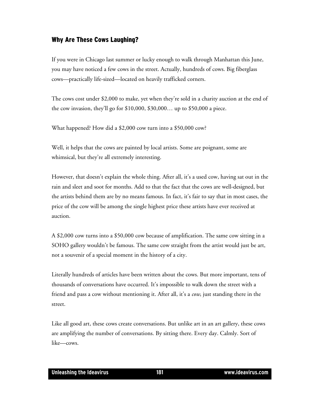# Why Are These Cows Laughing?

If you were in Chicago last summer or lucky enough to walk through Manhattan this June, you may have noticed a few cows in the street. Actually, hundreds of cows. Big fiberglass cows—practically life-sized—located on heavily trafficked corners.

The cows cost under \$2,000 to make, yet when they're sold in a charity auction at the end of the cow invasion, they'll go for \$10,000, \$30,000… up to \$50,000 a piece.

What happened? How did a \$2,000 cow turn into a \$50,000 cow?

Well, it helps that the cows are painted by local artists. Some are poignant, some are whimsical, but they're all extremely interesting.

However, that doesn't explain the whole thing. After all, it's a used cow, having sat out in the rain and sleet and soot for months. Add to that the fact that the cows are well-designed, but the artists behind them are by no means famous. In fact, it's fair to say that in most cases, the price of the cow will be among the single highest price these artists have ever received at auction.

A \$2,000 cow turns into a \$50,000 cow because of amplification. The same cow sitting in a SOHO gallery wouldn't be famous. The same cow straight from the artist would just be art, not a souvenir of a special moment in the history of a city.

Literally hundreds of articles have been written about the cows. But more important, tens of thousands of conversations have occurred. It's impossible to walk down the street with a friend and pass a cow without mentioning it. After all, it's a *cow*, just standing there in the street.

Like all good art, these cows create conversations. But unlike art in an art gallery, these cows are amplifying the number of conversations. By sitting there. Every day. Calmly. Sort of like—cows.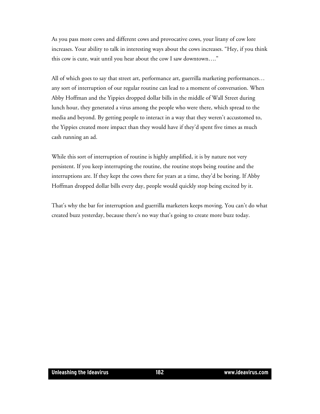As you pass more cows and different cows and provocative cows, your litany of cow lore increases. Your ability to talk in interesting ways about the cows increases. "Hey, if you think this cow is cute, wait until you hear about the cow I saw downtown…."

All of which goes to say that street art, performance art, guerrilla marketing performances… any sort of interruption of our regular routine can lead to a moment of conversation. When Abby Hoffman and the Yippies dropped dollar bills in the middle of Wall Street during lunch hour, they generated a virus among the people who were there, which spread to the media and beyond. By getting people to interact in a way that they weren't accustomed to, the Yippies created more impact than they would have if they'd spent five times as much cash running an ad.

While this sort of interruption of routine is highly amplified, it is by nature not very persistent. If you keep interrupting the routine, the routine stops being routine and the interruptions are. If they kept the cows there for years at a time, they'd be boring. If Abby Hoffman dropped dollar bills every day, people would quickly stop being excited by it.

That's why the bar for interruption and guerrilla marketers keeps moving. You can't do what created buzz yesterday, because there's no way that's going to create more buzz today.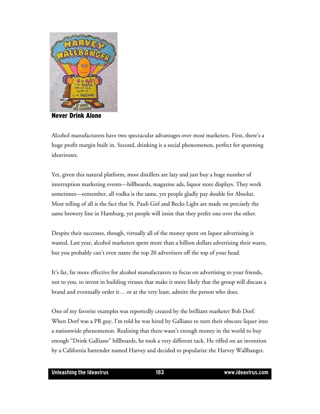

Never Drink Alone

Alcohol manufacturers have two spectacular advantages over most marketers. First, there's a huge profit margin built in. Second, drinking is a social phenomenon, perfect for spawning ideaviruses.

Yet, given this natural platform, most distillers are lazy and just buy a huge number of interruption marketing events—billboards, magazine ads, liquor store displays. They work sometimes—remember, all vodka is the same, yet people gladly pay double for Absolut. Most telling of all is the fact that St. Pauli Girl and Becks Light are made on precisely the same brewery line in Hamburg, yet people will insist that they prefer one over the other.

Despite their successes, though, virtually all of the money spent on liquor advertising is wasted. Last year, alcohol marketers spent more than a billion dollars advertising their wares, but you probably can't even name the top 20 advertisers off the top of your head.

It's far, far more effective for alcohol manufacturers to focus on advertising to your friends, not to you, to invest in building viruses that make it more likely that the group will discuss a brand and eventually order it… or at the very least, admire the person who does.

One of my favorite examples was reportedly created by the brilliant marketer Bob Dorf. When Dorf was a PR guy, I'm told he was hired by Galliano to turn their obscure liquer into a nationwide phenomenon. Realizing that there wasn't enough money in the world to buy enough "Drink Galliano" billboards, he took a very different tack. He riffed on an invention by a California bartender named Harvey and decided to popularize the Harvey Wallbanger.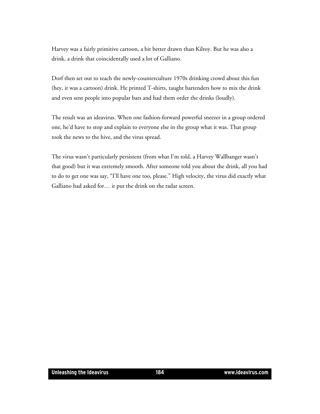Harvey was a fairly primitive cartoon, a bit better drawn than Kilroy. But he was also a drink, a drink that coincidentally used a lot of Galliano.

Dorf then set out to teach the newly-counterculture 1970s drinking crowd about this fun (hey, it was a cartoon) drink. He printed T-shirts, taught bartenders how to mix the drink and even sent people into popular bars and had them order the drinks (loudly).

The result was an ideavirus. When one fashion-forward powerful sneezer in a group ordered one, he'd have to stop and explain to everyone else in the group what it was. That group took the news to the hive, and the virus spread.

The virus wasn't particularly persistent (from what I'm told, a Harvey Wallbanger wasn't that good) but it was extremely smooth. After someone told you about the drink, all you had to do to get one was say, "I'll have one too, please." High velocity, the virus did exactly what Galliano had asked for… it put the drink on the radar screen.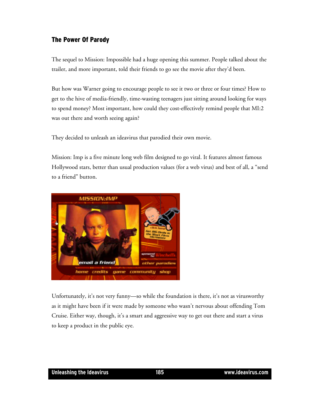# The Power Of Parody

The sequel to Mission: Impossible had a huge opening this summer. People talked about the trailer, and more important, told their friends to go see the movie after they'd been.

But how was Warner going to encourage people to see it two or three or four times? How to get to the hive of media-friendly, time-wasting teenagers just sitting around looking for ways to spend money? Most important, how could they cost-effectively remind people that MI:2 was out there and worth seeing again?

They decided to unleash an ideavirus that parodied their own movie.

Mission: Imp is a five minute long web film designed to go viral. It features almost famous Hollywood stars, better than usual production values (for a web virus) and best of all, a "send to a friend" button.



Unfortunately, it's not very funny—so while the foundation is there, it's not as virusworthy as it might have been if it were made by someone who wasn't nervous about offending Tom Cruise. Either way, though, it's a smart and aggressive way to get out there and start a virus to keep a product in the public eye.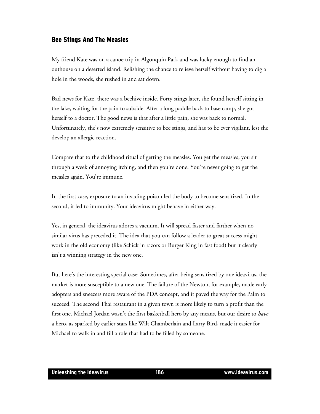## Bee Stings And The Measles

My friend Kate was on a canoe trip in Algonquin Park and was lucky enough to find an outhouse on a deserted island. Relishing the chance to relieve herself without having to dig a hole in the woods, she rushed in and sat down.

Bad news for Kate, there was a beehive inside. Forty stings later, she found herself sitting in the lake, waiting for the pain to subside. After a long paddle back to base camp, she got herself to a doctor. The good news is that after a little pain, she was back to normal. Unfortunately, she's now extremely sensitive to bee stings, and has to be ever vigilant, lest she develop an allergic reaction.

Compare that to the childhood ritual of getting the measles. You get the measles, you sit through a week of annoying itching, and then you're done. You're never going to get the measles again. You're immune.

In the first case, exposure to an invading poison led the body to become sensitized. In the second, it led to immunity. Your ideavirus might behave in either way.

Yes, in general, the ideavirus adores a vacuum. It will spread faster and farther when no similar virus has preceded it. The idea that you can follow a leader to great success might work in the old economy (like Schick in razors or Burger King in fast food) but it clearly isn't a winning strategy in the new one.

But here's the interesting special case: Sometimes, after being sensitized by one ideavirus, the market is more susceptible to a new one. The failure of the Newton, for example, made early adopters and sneezers more aware of the PDA concept, and it paved the way for the Palm to succeed. The second Thai restaurant in a given town is more likely to turn a profit than the first one. Michael Jordan wasn't the first basketball hero by any means, but our desire to *have* a hero, as sparked by earlier stars like Wilt Chamberlain and Larry Bird, made it easier for Michael to walk in and fill a role that had to be filled by someone.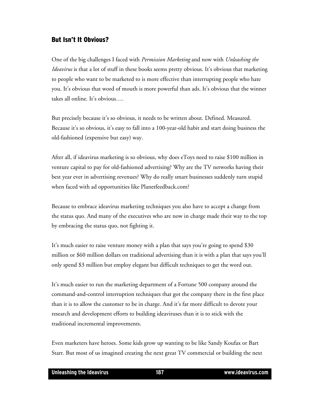# But Isn't It Obvious?

One of the big challenges I faced with *Permission Marketing* and now with *Unleashing the Ideavirus* is that a lot of stuff in these books seems pretty obvious. It's obvious that marketing to people who want to be marketed to is more effective than interrupting people who hate you. It's obvious that word of mouth is more powerful than ads. It's obvious that the winner takes all online. It's obvious….

But precisely because it's so obvious, it needs to be written about. Defined. Measured. Because it's so obvious, it's easy to fall into a 100-year-old habit and start doing business the old-fashioned (expensive but easy) way.

After all, if ideavirus marketing is so obvious, why does eToys need to raise \$100 million in venture capital to pay for old-fashioned advertising? Why are the TV networks having their best year ever in advertising revenues? Why do really smart businesses suddenly turn stupid when faced with ad opportunities like Planetfeedback.com?

Because to embrace ideavirus marketing techniques you also have to accept a change from the status quo. And many of the executives who are now in charge made their way to the top by embracing the status quo, not fighting it.

It's much easier to raise venture money with a plan that says you're going to spend \$30 million or \$60 million dollars on traditional advertising than it is with a plan that says you'll only spend \$3 million but employ elegant but difficult techniques to get the word out.

It's much easier to run the marketing department of a Fortune 500 company around the command-and-control interruption techniques that got the company there in the first place than it is to allow the customer to be in charge. And it's far more difficult to devote your research and development efforts to building ideaviruses than it is to stick with the traditional incremental improvements.

Even marketers have heroes. Some kids grow up wanting to be like Sandy Koufax or Bart Starr. But most of us imagined creating the next great TV commercial or building the next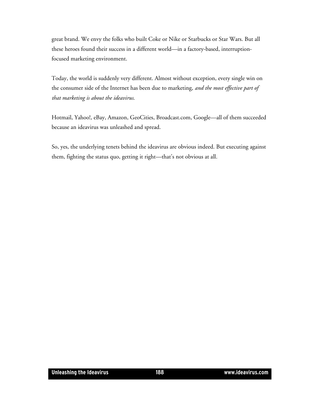great brand. We envy the folks who built Coke or Nike or Starbucks or Star Wars. But all these heroes found their success in a different world—in a factory-based, interruptionfocused marketing environment.

Today, the world is suddenly very different. Almost without exception, every single win on the consumer side of the Internet has been due to marketing, *and the most effective part of that marketing is about the ideavirus*.

Hotmail, Yahoo!, eBay, Amazon, GeoCities, Broadcast.com, Google—all of them succeeded because an ideavirus was unleashed and spread.

So, yes, the underlying tenets behind the ideavirus are obvious indeed. But executing against them, fighting the status quo, getting it right—that's not obvious at all.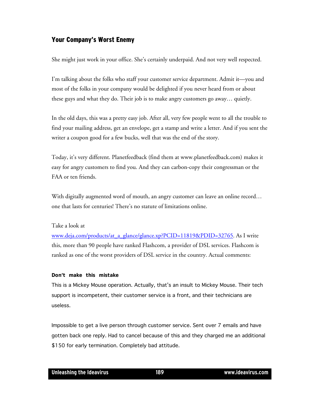## Your Company's Worst Enemy

She might just work in your office. She's certainly underpaid. And not very well respected.

I'm talking about the folks who staff your customer service department. Admit it—you and most of the folks in your company would be delighted if you never heard from or about these guys and what they do. Their job is to make angry customers go away… quietly.

In the old days, this was a pretty easy job. After all, very few people went to all the trouble to find your mailing address, get an envelope, get a stamp and write a letter. And if you sent the writer a coupon good for a few bucks, well that was the end of the story.

Today, it's very different. Planetfeedback (find them at www.planetfeedback.com) makes it easy for angry customers to find you. And they can carbon-copy their congressman or the FAA or ten friends.

With digitally augmented word of mouth, an angry customer can leave an online record… one that lasts for centuries! There's no statute of limitations online.

#### Take a look at

www.deja.com/products/at\_a\_glance/glance.xp?PCID=11819&PDID=32765 . As I write this, more than 90 people have ranked Flashcom, a provider of DSL services. Flashcom is ranked as one of the worst providers of DSL service in the country. Actual comments:

#### **Don't make this mistake**

This is a Mickey Mouse operation. Actually, that's an insult to Mickey Mouse. Their tech support is incompetent, their customer service is a front, and their technicians are useless.

Impossible to get a live person through customer service. Sent over 7 emails and have gotten back one reply. Had to cancel because of this and they charged me an additional \$150 for early termination. Completely bad attitude.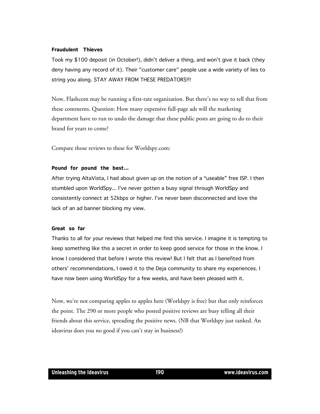#### **Fraudulent Thieves**

Took my \$100 deposit (in October!), didn't deliver a thing, and won't give it back (they deny having any record of it). Their "customer care" people use a wide variety of lies to string you along. STAY AWAY FROM THESE PREDATORS!!!

Now, Flashcom may be running a first-rate organization. But there's no way to tell that from these comments. Question: How many expensive full-page ads will the marketing department have to run to undo the damage that these public posts are going to do to their brand for years to come?

Compare those reviews to these for Worldspy.com:

#### **Pound for pound the best...**

After trying AltaVista, I had about given up on the notion of a "useable" free ISP. I then stumbled upon WorldSpy... I've never gotten a busy signal through WorldSpy and consistently connect at 52kbps or higher. I've never been disconnected and love the lack of an ad banner blocking my view.

## **Great so far**

Thanks to all for your reviews that helped me find this service. I imagine it is tempting to keep something like this a secret in order to keep good service for those in the know. I know I considered that before I wrote this review! But I felt that as I benefited from others' recommendations, I owed it to the Deja community to share my experiences. I have now been using WorldSpy for a few weeks, and have been pleased with it.

Now, we're not comparing apples to apples here (Worldspy is free) but that only reinforces the point. The 290 or more people who posted positive reviews are busy telling all their friends about this service, spreading the positive news. (NB that Worldspy just tanked. An ideavirus does you no good if you can't stay in business!)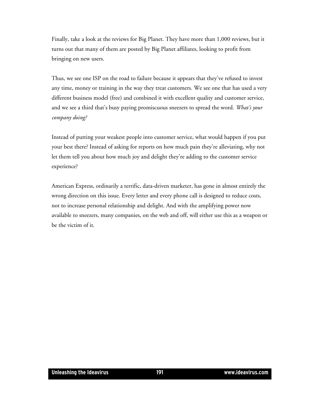Finally, take a look at the reviews for Big Planet. They have more than 1,000 reviews, but it turns out that many of them are posted by Big Planet affiliates, looking to profit from bringing on new users.

Thus, we see one ISP on the road to failure because it appears that they've refused to invest any time, money or training in the way they treat customers. We see one that has used a very different business model (free) and combined it with excellent quality and customer service, and we see a third that's busy paying promiscuous sneezers to spread the word*. What's your company doing?*

Instead of putting your weakest people into customer service, what would happen if you put your best there? Instead of asking for reports on how much pain they're alleviating, why not let them tell you about how much joy and delight they're adding to the customer service experience?

American Express, ordinarily a terrific, data-driven marketer, has gone in almost entirely the wrong direction on this issue. Every letter and every phone call is designed to reduce costs, not to increase personal relationship and delight. And with the amplifying power now available to sneezers, many companies, on the web and off, will either use this as a weapon or be the victim of it.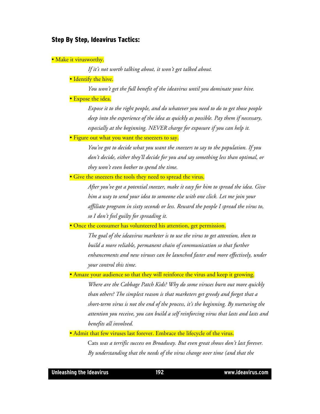## Step By Step, Ideavirus Tactics:

#### • Make it virusworthy.

*If it's not worth talking about, it won't get talked about.*

#### • Identify the hive.

*You won't get the full benefit of the ideavirus until you dominate your hive.*

## • Expose the idea.

*Expose it to the right people, and do whatever you need to do to get those people deep into the experience of the idea as quickly as possible. Pay them if necessary, especially at the beginning. NEVER charge for exposure if you can help it.*

## • Figure out what you want the sneezers to say.

*You've got to decide what you want the sneezers to say to the population. If you don't decide, either they'll decide for you and say something less than optimal, or they won't even bother to spend the time.*

• Give the sneezers the tools they need to spread the virus.

*After you've got a potential sneezer, make it easy for him to spread the idea. Give him a way to send your idea to someone else with one click. Let me join your affiliate program in sixty seconds or less. Reward the people I spread the virus to, so I don't feel guilty for spreading it.*

## • Once the consumer has volunteered his attention, get permission.

*The goal of the ideavirus marketer is to use the virus to get attention, then to build a more reliable, permanent chain of communication so that further enhancements and new viruses can be launched faster and more effectively, under your control this time.*

#### • Amaze your audience so that they will reinforce the virus and keep it growing.

*Where are the Cabbage Patch Kids? Why do some viruses burn out more quickly than others? The simplest reason is that marketers get greedy and forget that a short-term virus is not the end of the process, it's the beginning. By nurturing the attention you receive, you can build a self reinforcing virus that lasts and lasts and benefits all involved.*

## • Admit that few viruses last forever. Embrace the lifecycle of the virus.

Cats *was a terrific success on Broadway. But even great shows don't last forever. By understanding that the needs of the virus change over time (and that the*

**Unleashing the Ideavirus 192 www.ideavirus.com**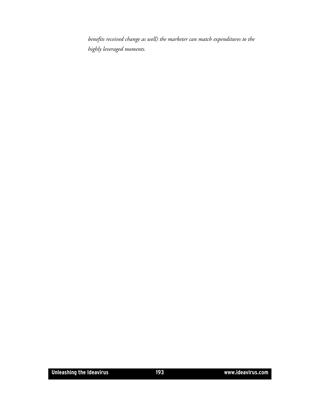*benefits received change as well) the marketer can match expenditures to the highly leveraged moments.*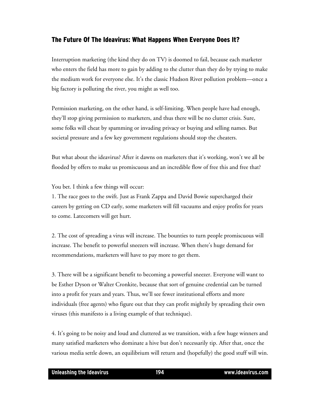# The Future Of The Ideavirus: What Happens When Everyone Does It?

Interruption marketing (the kind they do on TV) is doomed to fail, because each marketer who enters the field has more to gain by adding to the clutter than they do by trying to make the medium work for everyone else. It's the classic Hudson River pollution problem—once a big factory is polluting the river, you might as well too.

Permission marketing, on the other hand, is self-limiting. When people have had enough, they'll stop giving permission to marketers, and thus there will be no clutter crisis. Sure, some folks will cheat by spamming or invading privacy or buying and selling names. But societal pressure and a few key government regulations should stop the cheaters.

But what about the ideavirus? After it dawns on marketers that it's working, won't we all be flooded by offers to make us promiscuous and an incredible flow of free this and free that?

You bet. I think a few things will occur:

1. The race goes to the swift. Just as Frank Zappa and David Bowie supercharged their careers by getting on CD early, some marketers will fill vacuums and enjoy profits for years to come. Latecomers will get hurt.

2. The cost of spreading a virus will increase. The bounties to turn people promiscuous will increase. The benefit to powerful sneezers will increase. When there's huge demand for recommendations, marketers will have to pay more to get them.

3. There will be a significant benefit to becoming a powerful sneezer. Everyone will want to be Esther Dyson or Walter Cronkite, because that sort of genuine credential can be turned into a profit for years and years. Thus, we'll see fewer institutional efforts and more individuals (free agents) who figure out that they can profit mightily by spreading their own viruses (this manifesto is a living example of that technique).

4. It's going to be noisy and loud and cluttered as we transition, with a few huge winners and many satisfied marketers who dominate a hive but don't necessarily tip. After that, once the various media settle down, an equilibrium will return and (hopefully) the good stuff will win.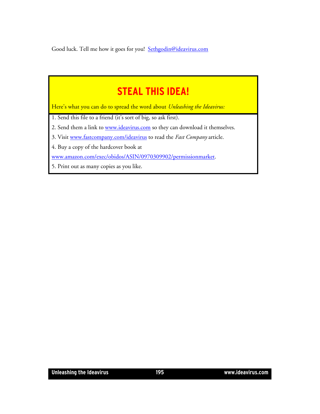Good luck. Tell me how it goes for you! Sethgodin@ideavirus.com

# **STEAL THIS IDEA!**

Here's what you can do to spread the word about *Unleashing the Ideavirus:*

1. Send this file to a friend (it's sort of big, so ask first).

[2. Send them a link to www.ideavirus.com so they can download it themselves.](http://www.amazon.com/exec/obidos/ASIN/0970309902/permissionmarket)

3. Visit www.fastcompany.com/ideavirus to read the *Fast Company* article.

4. Buy a copy of the hardcover book at

www.amazon.com/exec/obidos/ASIN/0970309902/permissionmarket .

5. Print out as many copies as you like.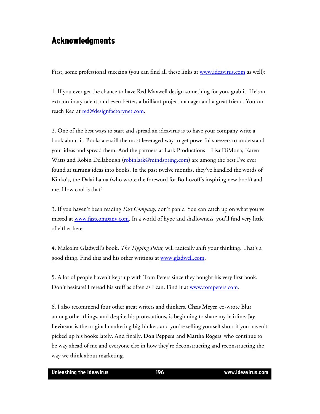# Acknowledgments

First, some professional sneezing (you can find all these links a[t www.ideavirus.com a](http://www.ideavirus.com)s well):

1. If you ever get the chance to have Red Maxwell design something for you, grab it. He's an extraordinary talent, and even better, a brilliant project manager and a great friend. You can reach Red at red@designfactorynet.com.

2. One of the best ways to start and spread an ideavirus is to have your company write a book about it. Books are still the most leveraged way to get powerful sneezers to understand your ideas and spread them. And the partners at Lark Productions—Lisa DiMona, Karen Watts and Robin Dellabough (robinlark@mindspring.com) are among the best I've ever found at turning ideas into books. In the past twelve months, they've handled the words of Kinko's, the Dalai Lama (who wrote the foreword for Bo Lozoff's inspiring new book) and me. How cool is that?

3. If you haven't been reading *Fast Company*, don't panic. You can catch up on what you've missed a[t www.fastcompany.com . In](http://www.fastcompany.com) a world of hype and shallowness, you'll find very little of either here.

4. Malcolm Gladwell's book, *The Tipping Point*, will radically shift your thinking. That's a good thing. Find this and his other writings [at www.gladwell.com .](http://www.gladwell.com)

5. A lot of people haven't kept up with Tom Peters since they bought his very first book. Don't hesitate! I reread his stuff as often as I can. Find it at www.tompeters.com.

6. I also recommend four other great writers and thinkers. **Chris Meyer** co-wrote Blur among other things, and despite his protestations, is beginning to share my hairline**. Jay Levinson** is the original marketing bigthinker, and you're selling yourself short if you haven't picked up his books lately. And finally, **Don Peppers** and **Martha Rogers** who continue to be way ahead of me and everyone else in how they're deconstructing and reconstructing the way we think about marketing.